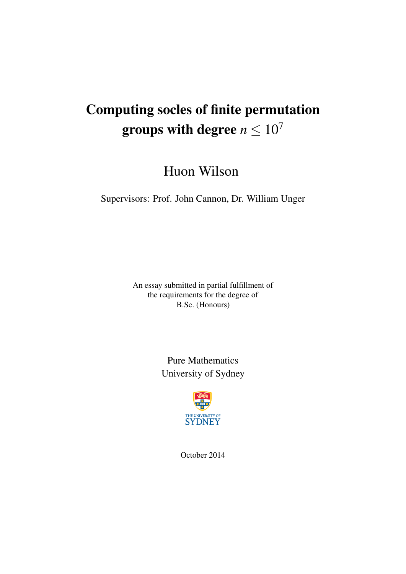# Computing socles of finite permutation groups with degree  $n \leq 10^7$

Huon Wilson

Supervisors: Prof. John Cannon, Dr. William Unger

An essay submitted in partial fulfillment of the requirements for the degree of B.Sc. (Honours)

> Pure Mathematics University of Sydney



October 2014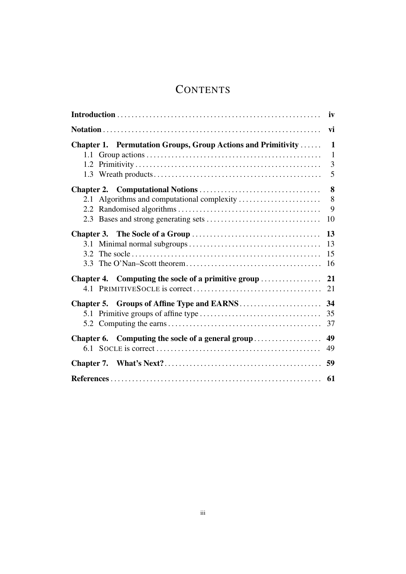## **CONTENTS**

| iv                                                           |              |  |  |
|--------------------------------------------------------------|--------------|--|--|
|                                                              | vi           |  |  |
| Chapter 1. Permutation Groups, Group Actions and Primitivity | $\mathbf{1}$ |  |  |
|                                                              | $\mathbf{1}$ |  |  |
|                                                              | 3            |  |  |
|                                                              | 5            |  |  |
|                                                              | 8            |  |  |
|                                                              | 8            |  |  |
|                                                              | 9            |  |  |
|                                                              | 10           |  |  |
|                                                              | 13           |  |  |
|                                                              | 13           |  |  |
|                                                              | 15           |  |  |
|                                                              | 16           |  |  |
| Chapter 4. Computing the socle of a primitive group          | 21           |  |  |
|                                                              | 21           |  |  |
|                                                              | 34           |  |  |
|                                                              | 35           |  |  |
|                                                              | 37           |  |  |
| Chapter 6. Computing the socle of a general group            | 49           |  |  |
|                                                              | 49           |  |  |
|                                                              | 59           |  |  |
|                                                              | 61           |  |  |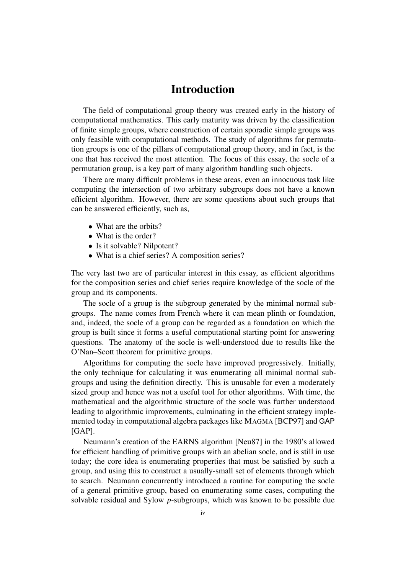## Introduction

The field of computational group theory was created early in the history of computational mathematics. This early maturity was driven by the classification of finite simple groups, where construction of certain sporadic simple groups was only feasible with computational methods. The study of algorithms for permutation groups is one of the pillars of computational group theory, and in fact, is the one that has received the most attention. The focus of this essay, the socle of a permutation group, is a key part of many algorithm handling such objects.

There are many difficult problems in these areas, even an innocuous task like computing the intersection of two arbitrary subgroups does not have a known efficient algorithm. However, there are some questions about such groups that can be answered efficiently, such as,

- What are the orbits?
- What is the order?
- Is it solvable? Nilpotent?
- What is a chief series? A composition series?

The very last two are of particular interest in this essay, as efficient algorithms for the composition series and chief series require knowledge of the socle of the group and its components.

The socle of a group is the subgroup generated by the minimal normal subgroups. The name comes from French where it can mean plinth or foundation, and, indeed, the socle of a group can be regarded as a foundation on which the group is built since it forms a useful computational starting point for answering questions. The anatomy of the socle is well-understood due to results like the O'Nan–Scott theorem for primitive groups.

Algorithms for computing the socle have improved progressively. Initially, the only technique for calculating it was enumerating all minimal normal subgroups and using the definition directly. This is unusable for even a moderately sized group and hence was not a useful tool for other algorithms. With time, the mathematical and the algorithmic structure of the socle was further understood leading to algorithmic improvements, culminating in the efficient strategy implemented today in computational algebra packages like MAGMA [BCP97] and GAP  $[GAP]$ .

Neumann's creation of the EARNS algorithm [Neu87] in the 1980's allowed for efficient handling of primitive groups with an abelian socle, and is still in use today; the core idea is enumerating properties that must be satisfied by such a group, and using this to construct a usually-small set of elements through which to search. Neumann concurrently introduced a routine for computing the socle of a general primitive group, based on enumerating some cases, computing the solvable residual and Sylow *p*-subgroups, which was known to be possible due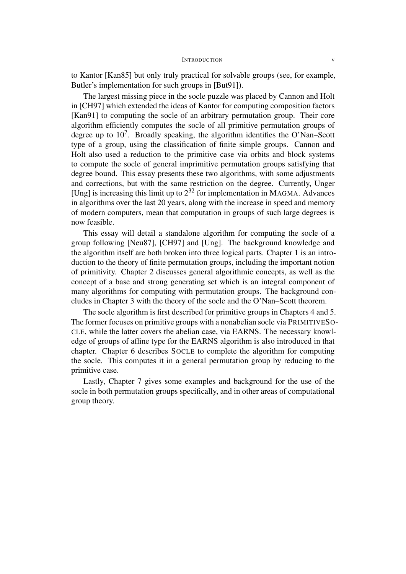#### INTRODUCTION v

to Kantor [Kan85] but only truly practical for solvable groups (see, for example, Butler's implementation for such groups in [But91]).

The largest missing piece in the socle puzzle was placed by Cannon and Holt in [CH97] which extended the ideas of Kantor for computing composition factors [Kan91] to computing the socle of an arbitrary permutation group. Their core algorithm efficiently computes the socle of all primitive permutation groups of degree up to  $10^7$ . Broadly speaking, the algorithm identifies the O'Nan–Scott type of a group, using the classification of finite simple groups. Cannon and Holt also used a reduction to the primitive case via orbits and block systems to compute the socle of general imprimitive permutation groups satisfying that degree bound. This essay presents these two algorithms, with some adjustments and corrections, but with the same restriction on the degree. Currently, Unger [Ung] is increasing this limit up to  $2^{32}$  for implementation in MAGMA. Advances in algorithms over the last 20 years, along with the increase in speed and memory of modern computers, mean that computation in groups of such large degrees is now feasible.

This essay will detail a standalone algorithm for computing the socle of a group following [Neu87], [CH97] and [Ung]. The background knowledge and the algorithm itself are both broken into three logical parts. Chapter 1 is an introduction to the theory of finite permutation groups, including the important notion of primitivity. Chapter 2 discusses general algorithmic concepts, as well as the concept of a base and strong generating set which is an integral component of many algorithms for computing with permutation groups. The background concludes in Chapter 3 with the theory of the socle and the O'Nan–Scott theorem.

The socle algorithm is first described for primitive groups in Chapters 4 and 5. The former focuses on primitive groups with a nonabelian socle via PRIMITIVESO-CLE, while the latter covers the abelian case, via EARNS. The necessary knowledge of groups of affine type for the EARNS algorithm is also introduced in that chapter. Chapter 6 describes SOCLE to complete the algorithm for computing the socle. This computes it in a general permutation group by reducing to the primitive case.

Lastly, Chapter 7 gives some examples and background for the use of the socle in both permutation groups specifically, and in other areas of computational group theory.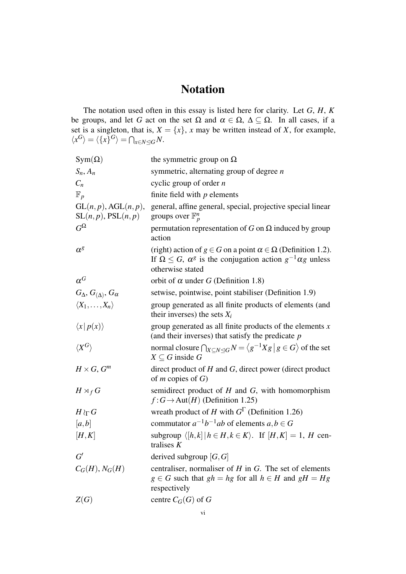## Notation

The notation used often in this essay is listed here for clarity. Let *G*, *H*, *K* be groups, and let *G* act on the set  $\Omega$  and  $\alpha \in \Omega$ ,  $\Delta \subseteq \Omega$ . In all cases, if a set is a singleton, that is,  $X = \{x\}$ , *x* may be written instead of *X*, for example,  $\langle x^G \rangle = \langle \{x\}^G \rangle = \bigcap_{x \in N \leq G} N.$ 

| $Sym(\Omega)$                                          | the symmetric group on $\Omega$                                                                                                                                                        |
|--------------------------------------------------------|----------------------------------------------------------------------------------------------------------------------------------------------------------------------------------------|
| $S_n, A_n$                                             | symmetric, alternating group of degree $n$                                                                                                                                             |
| $C_n$                                                  | cyclic group of order $n$                                                                                                                                                              |
| $\mathbb{F}_p$                                         | finite field with $p$ elements                                                                                                                                                         |
| $GL(n, p)$ , $AGL(n, p)$ ,<br>$SL(n, p)$ , $PSL(n, p)$ | general, affine general, special, projective special linear<br>groups over $\mathbb{F}_p^n$                                                                                            |
| $G^{\Omega}$                                           | permutation representation of G on $\Omega$ induced by group<br>action                                                                                                                 |
| $\alpha^g$                                             | (right) action of $g \in G$ on a point $\alpha \in \Omega$ (Definition 1.2).<br>If $\Omega \leq G$ , $\alpha^g$ is the conjugation action $g^{-1} \alpha g$ unless<br>otherwise stated |
| $\alpha^G$                                             | orbit of $\alpha$ under G (Definition 1.8)                                                                                                                                             |
| $G_{\Delta}, G_{(\Delta)}, G_{\alpha}$                 | setwise, pointwise, point stabiliser (Definition 1.9)                                                                                                                                  |
| $\langle X_1,\ldots,X_n\rangle$                        | group generated as all finite products of elements (and<br>their inverses) the sets $X_i$                                                                                              |
| $\langle x   p(x) \rangle$                             | group generated as all finite products of the elements $x$<br>(and their inverses) that satisfy the predicate $p$                                                                      |
| $\langle X^G\rangle$                                   | normal closure $\bigcap_{X \subseteq N \triangleleft G} N = \langle g^{-1} X g   g \in G \rangle$ of the set<br>$X \subseteq G$ inside G                                               |
| $H \times G$ , $G^m$                                   | direct product of $H$ and $G$ , direct power (direct product<br>of <i>m</i> copies of $G$ )                                                                                            |
| $H \rtimes_f G$                                        | semidirect product of $H$ and $G$ , with homomorphism<br>$f: G \to \text{Aut}(H)$ (Definition 1.25)                                                                                    |
| $H\wr_{\Gamma} G$                                      | wreath product of H with $G^{\Gamma}$ (Definition 1.26)                                                                                                                                |
| [a,b]                                                  | commutator $a^{-1}b^{-1}ab$ of elements $a, b \in G$                                                                                                                                   |
| [H,K]                                                  | subgroup $\langle [h,k]   h \in H, k \in K \rangle$ . If $[H,K] = 1$ , H cen-<br>tralises $K$                                                                                          |
| G'                                                     | derived subgroup $[G, G]$                                                                                                                                                              |
| $C_G(H), N_G(H)$                                       | centraliser, normaliser of $H$ in $G$ . The set of elements<br>$g \in G$ such that $gh = hg$ for all $h \in H$ and $gH = Hg$<br>respectively                                           |
| Z(G)                                                   | centre $C_G(G)$ of G                                                                                                                                                                   |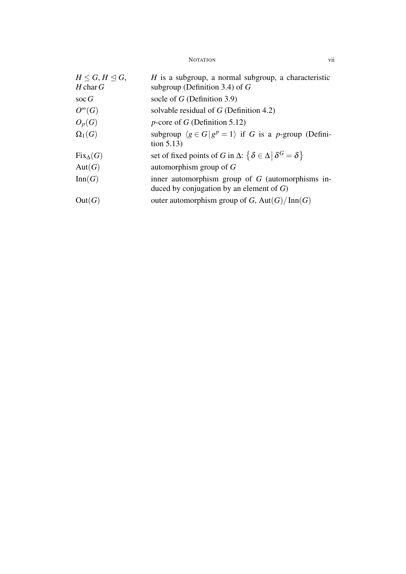NOTATION vii

| $H \leq G, H \leq G$<br>$H$ char $G$ | $H$ is a subgroup, a normal subgroup, a characteristic<br>subgroup (Definition 3.4) of $G$        |
|--------------------------------------|---------------------------------------------------------------------------------------------------|
| $\operatorname{soc} G$               | socle of $G$ (Definition 3.9)                                                                     |
| $O^{\infty}(G)$                      | solvable residual of $G$ (Definition 4.2)                                                         |
| $O_p(G)$                             | $p$ -core of G (Definition 5.12)                                                                  |
| $\Omega_1(G)$                        | subgroup $\langle g \in G   g^p = 1 \rangle$ if G is a p-group (Defini-<br>tion $5.13$ )          |
| $Fix_\Delta(G)$                      | set of fixed points of G in $\Delta$ : $\{\delta \in \Delta \, \, \delta^G = \delta\}$            |
| Aut(G)                               | automorphism group of $G$                                                                         |
| Inn(G)                               | inner automorphism group of $G$ (automorphisms in-<br>duced by conjugation by an element of $G$ ) |
| Out(G)                               | outer automorphism group of G, $Aut(G)/Inn(G)$                                                    |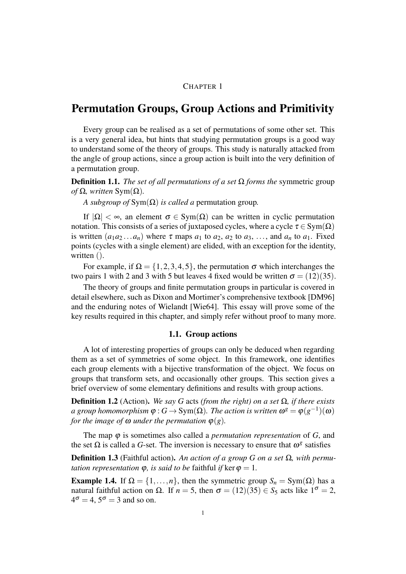#### CHAPTER 1

### Permutation Groups, Group Actions and Primitivity

Every group can be realised as a set of permutations of some other set. This is a very general idea, but hints that studying permutation groups is a good way to understand some of the theory of groups. This study is naturally attacked from the angle of group actions, since a group action is built into the very definition of a permutation group.

**Definition 1.1.** *The set of all permutations of a set*  $\Omega$  *forms the* symmetric group *of* Ω, written Sym( $Ω$ ).

*A subgroup of* Sym(Ω) *is called a* permutation group*.*

If  $|\Omega| < \infty$ , an element  $\sigma \in \text{Sym}(\Omega)$  can be written in cyclic permutation notation. This consists of a series of juxtaposed cycles, where a cycle  $\tau \in \text{Sym}(\Omega)$ is written  $(a_1a_2...a_n)$  where  $\tau$  maps  $a_1$  to  $a_2$ ,  $a_2$  to  $a_3$ , ..., and  $a_n$  to  $a_1$ . Fixed points (cycles with a single element) are elided, with an exception for the identity, written  $()$ .

For example, if  $\Omega = \{1, 2, 3, 4, 5\}$ , the permutation  $\sigma$  which interchanges the two pairs 1 with 2 and 3 with 5 but leaves 4 fixed would be written  $\sigma = (12)(35)$ .

The theory of groups and finite permutation groups in particular is covered in detail elsewhere, such as Dixon and Mortimer's comprehensive textbook [DM96] and the enduring notes of Wielandt [Wie64]. This essay will prove some of the key results required in this chapter, and simply refer without proof to many more.

#### 1.1. Group actions

A lot of interesting properties of groups can only be deduced when regarding them as a set of symmetries of some object. In this framework, one identifies each group elements with a bijective transformation of the object. We focus on groups that transform sets, and occasionally other groups. This section gives a brief overview of some elementary definitions and results with group actions.

**Definition 1.2** (Action). *We say G* acts *(from the right) on a set*  $Ω$ , *if there exists*  $a$  group homomorphism  $\varphi : G \to \text{Sym}(\Omega).$  The action is written  $\omega^g = \varphi(g^{-1})(\omega)$ *for the image of*  $\omega$  *under the permutation*  $\varphi$ (*g*)*.* 

The map φ is sometimes also called a *permutation representation* of *G*, and the set  $\Omega$  is called a G-set. The inversion is necessary to ensure that  $\omega^g$  satisfies

Definition 1.3 (Faithful action). *An action of a group G on a set* Ω*, with permutation representation*  $\varphi$ *, is said to be faithful if* ker  $\varphi = 1$ *.* 

**Example 1.4.** If  $\Omega = \{1, \ldots, n\}$ , then the symmetric group  $S_n = Sym(\Omega)$  has a natural faithful action on Ω. If *n* = 5, then  $σ = (12)(35) ∈ S<sub>5</sub>$  acts like  $1<sup>σ</sup> = 2$ ,  $4^{\sigma} = 4, 5^{\sigma} = 3$  and so on.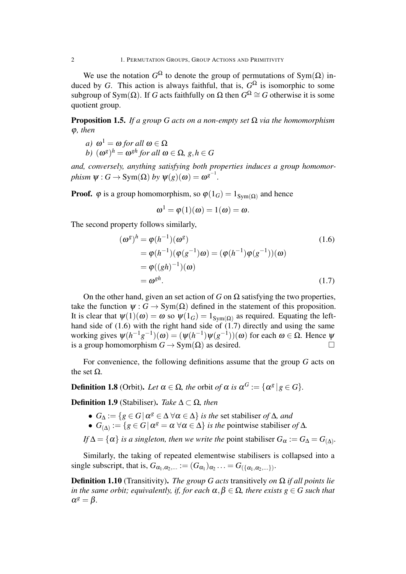2 1. PERMUTATION GROUPS, GROUP ACTIONS AND PRIMITIVITY

We use the notation  $G^{\Omega}$  to denote the group of permutations of Sym( $\Omega$ ) induced by *G*. This action is always faithful, that is,  $G^{\Omega}$  is isomorphic to some subgroup of Sym( $\Omega$ ). If *G* acts faithfully on  $\Omega$  then  $G^{\Omega} \cong G$  otherwise it is some quotient group.

**Proposition 1.5.** *If a group G acts on a non-empty set*  $\Omega$  *via the homomorphism* φ*, then*

*a*)  $\omega^1 = \omega$  *for all*  $\omega \in \Omega$ 

*b*)  $(\omega^g)^h = \omega^{gh}$  for all  $\omega \in \Omega$ ,  $g, h \in G$ 

*and, conversely, anything satisfying both properties induces a group homomor* $phism \ \psi: G \to \text{Sym}(\Omega) \ by \ \psi(g)(\omega) = \omega^{g^{-1}}.$ 

**Proof.**  $\varphi$  is a group homomorphism, so  $\varphi(1_G) = 1_{Sym(\Omega)}$  and hence

$$
\omega^1 = \varphi(1)(\omega) = 1(\omega) = \omega.
$$

The second property follows similarly,

$$
(\omega^g)^h = \varphi(h^{-1})(\omega^g)
$$
  
\n
$$
= \varphi(h^{-1})(\varphi(g^{-1})\omega) = (\varphi(h^{-1})\varphi(g^{-1}))(\omega)
$$
  
\n
$$
= \varphi((gh)^{-1})(\omega)
$$
  
\n
$$
= \omega^{gh}.
$$
\n(1.7)

On the other hand, given an set action of *G* on  $\Omega$  satisfying the two properties, take the function  $\psi$  :  $G \rightarrow Sym(\Omega)$  defined in the statement of this proposition. It is clear that  $\psi(1)(\omega) = \omega$  so  $\psi(1_G) = 1_{Sym(\Omega)}$  as required. Equating the lefthand side of  $(1.6)$  with the right hand side of  $(1.7)$  directly and using the same working gives  $ψ(h^{-1}g^{-1})(ω) = (ψ(h^{-1})ψ(g^{-1}))(ω)$  for each  $ω ∈ Ω$ . Hence  $ψ$ is a group homomorphism  $G \to Sym(\Omega)$  as desired.

For convenience, the following definitions assume that the group *G* acts on the set  $Ω$ .

**Definition 1.8** (Orbit). Let  $\alpha \in \Omega$ , the orbit of  $\alpha$  is  $\alpha^G := {\{\alpha^g \, | \, g \in G\}}$ .

Definition 1.9 (Stabiliser). *Take* ∆ *⊂* Ω*, then*

- $\bullet$  *G*<sub>Δ</sub> := {*g*  $\in$  *G* | α<sup>*g*</sup>  $\in$  Δ  $\forall$  α  $\in$  Δ} *is the* set stabiliser *of* Δ*, and*
- $G_{(\Delta)} := \{ g \in G \mid \alpha^g = \alpha \; \forall \alpha \in \Delta \}$  *is the* pointwise stabiliser *of*  $\Delta$ *.*
- *If*  $\Delta = {\alpha}$  *is a singleton, then we write the point stabiliser*  $G_{\alpha} := G_{\Delta} = G_{(\Delta)}$ *.*

Similarly, the taking of repeated elementwise stabilisers is collapsed into a single subscript, that is,  $G_{\alpha_1,\alpha_2,...} := (G_{\alpha_1})_{\alpha_2} \dots = G_{(\{\alpha_1,\alpha_2,...\})}$ .

**Definition 1.10** (Transitivity). *The group G acts* transitively *on*  $\Omega$  *if all points lie in the same orbit; equivalently, if, for each*  $\alpha, \beta \in \Omega$ *, there exists*  $g \in G$  *such that*  $\alpha^g = \beta$ .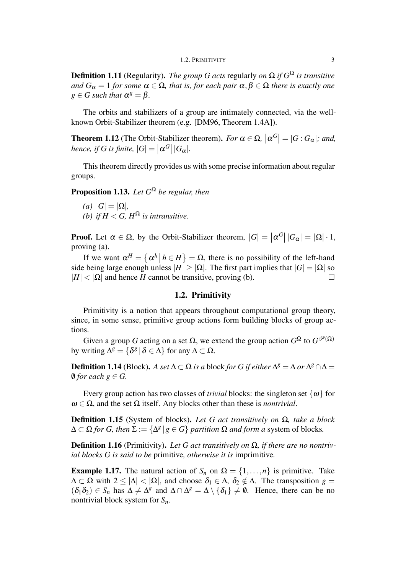Definition 1.11 (Regularity). *The group G acts* regularly *on* Ω *if G* <sup>Ω</sup> *is transitive and*  $G_{\alpha} = 1$  *for some*  $\alpha \in \Omega$ *, that is, for each pair*  $\alpha, \beta \in \Omega$  *there is exactly one*  $g \in G$  *such that*  $\alpha^g = \beta$ .

The orbits and stabilizers of a group are intimately connected, via the wellknown Orbit-Stabilizer theorem (e.g. [DM96, Theorem 1.4A]).

**Theorem 1.12** (The Orbit-Stabilizer theorem). *For*  $\alpha \in \Omega$ ,  $|\alpha^G| = |G:G_{\alpha}|$ ; and,  $hence, if G is finite,  $|G| = | \alpha^G | |G_\alpha| |$ .$ 

This theorem directly provides us with some precise information about regular groups.

Proposition 1.13. *Let G* <sup>Ω</sup> *be regular, then*

 $|G| = |\Omega|$ , *(b) if*  $H < G$ ,  $H^{\Omega}$  *is intransitive.* 

**Proof.** Let  $\alpha \in \Omega$ , by the Orbit-Stabilizer theorem,  $|G| = |\alpha^G||G_{\alpha}| = |\Omega| \cdot 1$ , proving (a).

If we want  $\alpha^H = \{\alpha^h | h \in H\} = \Omega$ , there is no possibility of the left-hand side being large enough unless  $|H| \geq |\Omega|$ . The first part implies that  $|G| = |\Omega|$  so  $|H| < |\Omega|$  and hence *H* cannot be transitive, proving (b).

#### 1.2. Primitivity

Primitivity is a notion that appears throughout computational group theory, since, in some sense, primitive group actions form building blocks of group actions.

Given a group *G* acting on a set  $\Omega$ , we extend the group action  $G^{\Omega}$  to  $G^{\mathcal{P}(\Omega)}$ by writing  $\Delta^g = \{ \delta^g \, | \, \delta \in \Delta \}$  for any  $\Delta \subset \Omega$ .

**Definition 1.14** (Block). *A set*  $\Delta \subset \Omega$  *is a* block *for G if either*  $\Delta^g = \Delta$  *or*  $\Delta^g \cap \Delta =$  $\emptyset$  *for each*  $g \in G$ .

Every group action has two classes of *trivial* blocks: the singleton set  $\{\omega\}$  for  $\omega \in \Omega$ , and the set  $\Omega$  itself. Any blocks other than these is *nontrivial*.

Definition 1.15 (System of blocks). *Let G act transitively on* Ω*, take a block*  $\Delta \subset \Omega$  *for G, then*  $\Sigma := {\Delta^g | g \in G}$  *partition*  $\Omega$  *and form a* system of blocks.

Definition 1.16 (Primitivity). *Let G act transitively on* Ω*, if there are no nontrivial blocks G is said to be* primitive*, otherwise it is* imprimitive*.*

**Example 1.17.** The natural action of  $S_n$  on  $\Omega = \{1, \ldots, n\}$  is primitive. Take  $\Delta \subset \Omega$  with  $2 \le |\Delta| < |\Omega|$ , and choose  $\delta_1 \in \Delta$ ,  $\delta_2 \notin \Delta$ . The transposition  $g =$  $(\delta_1 \delta_2) \in S_n$  has  $\Delta \neq \Delta^g$  and  $\Delta \cap \Delta^g = \Delta \setminus {\delta_1} \neq \emptyset$ . Hence, there can be no nontrivial block system for *Sn*.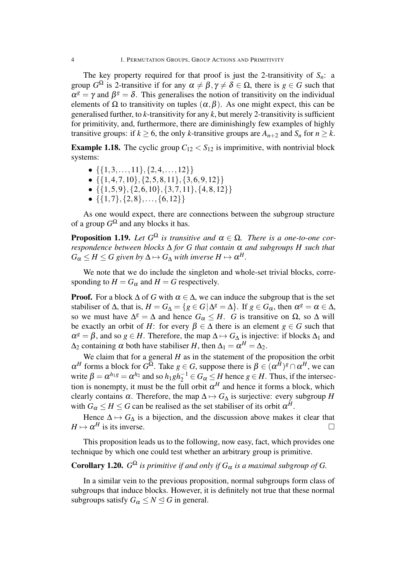The key property required for that proof is just the 2-transitivity of  $S_n$ : a group  $G^{\Omega}$  is 2-transitive if for any  $\alpha \neq \beta, \gamma \neq \delta \in \Omega$ , there is  $g \in G$  such that  $\alpha^g = \gamma$  and  $\beta^g = \delta$ . This generalises the notion of transitivity on the individual elements of  $\Omega$  to transitivity on tuples  $(\alpha, \beta)$ . As one might expect, this can be generalised further, to *k*-transitivity for any *k*, but merely 2-transitivity is sufficient for primitivity, and, furthermore, there are diminishingly few examples of highly transitive groups: if  $k \geq 6$ , the only *k*-transitive groups are  $A_{n+2}$  and  $S_n$  for  $n \geq k$ .

**Example 1.18.** The cyclic group  $C_{12} < S_{12}$  is imprimitive, with nontrivial block systems:

- *• {{*1*,*3*,...,*11*},{*2*,*4*,...,*12*}}*
- *• {{*1*,*4*,*7*,*10*},{*2*,*5*,*8*,*11*},{*3*,*6*,*9*,*12*}}*
- *• {{*1*,*5*,*9*},{*2*,*6*,*10*},{*3*,*7*,*11*},{*4*,*8*,*12*}}*
- *• {{*1*,*7*},{*2*,*8*},...,{*6*,*12*}}*

As one would expect, there are connections between the subgroup structure of a group  $G^{\Omega}$  and any blocks it has.

**Proposition 1.19.** Let  $G^{\Omega}$  is transitive and  $\alpha \in \Omega$ . There is a one-to-one cor*respondence between blocks* ∆ *for G that contain* <sup>α</sup> *and subgroups H such that*  $G_{\alpha} \leq H \leq G$  given by  $\Delta \mapsto G_{\Delta}$  with inverse  $H \mapsto \alpha^H$ .

We note that we do include the singleton and whole-set trivial blocks, corresponding to  $H = G_\alpha$  and  $H = G$  respectively.

**Proof.** For a block  $\Delta$  of *G* with  $\alpha \in \Delta$ , we can induce the subgroup that is the set stabiliser of  $\Delta$ , that is,  $H = G_{\Delta} = \{g \in G | \Delta^g = \Delta\}$ . If  $g \in G_{\alpha}$ , then  $\alpha^g = \alpha \in \Delta$ , so we must have  $\Delta^g = \Delta$  and hence  $G_\alpha \leq H$ . *G* is transitive on  $\Omega$ , so  $\Delta$  will be exactly an orbit of *H*: for every  $\beta \in \Delta$  there is an element  $g \in G$  such that  $\alpha^g = \beta$ , and so  $g \in H$ . Therefore, the map  $\Delta \mapsto G_{\Delta}$  is injective: if blocks  $\Delta_1$  and  $\Delta_2$  containing  $\alpha$  both have stabiliser *H*, then  $\Delta_1 = \alpha^H = \Delta_2$ .

We claim that for a general *H* as in the statement of the proposition the orbit  $\alpha^H$  forms a block for  $G^{\overline{\Omega}}$ . Take  $g \in G$ , suppose there is  $\beta \in (\alpha^{\overline{H}})^g \cap \alpha^H$ , we can write  $\beta = \alpha^{h_1 g} = \alpha^{h_2}$  and so  $h_1 gh_2^{-1} \in G_\alpha \leq H$  hence  $g \in H$ . Thus, if the intersection is nonempty, it must be the full orbit  $\alpha^H$  and hence it forms a block, which clearly contains  $\alpha$ . Therefore, the map  $\Delta \mapsto G_{\Delta}$  is surjective: every subgroup *H* with  $G_{\alpha} \leq H \leq G$  can be realised as the set stabiliser of its orbit  $\alpha^H$ .

Hence  $\Delta \mapsto G_{\Delta}$  is a bijection, and the discussion above makes it clear that  $H \mapsto \alpha^H$  is its inverse.

This proposition leads us to the following, now easy, fact, which provides one technique by which one could test whether an arbitrary group is primitive.

### **Corollary 1.20.**  $G^{\Omega}$  *is primitive if and only if*  $G_{\alpha}$  *is a maximal subgroup of*  $G$ *.*

In a similar vein to the previous proposition, normal subgroups form class of subgroups that induce blocks. However, it is definitely not true that these normal subgroups satisfy  $G_{\alpha} \leq N \leq G$  in general.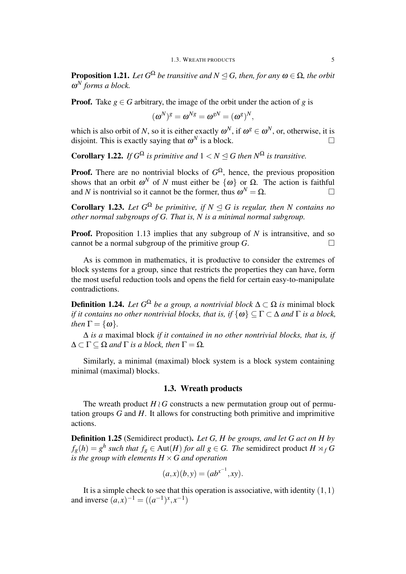**Proposition 1.21.** Let  $G^{\Omega}$  be transitive and  $N \trianglelefteq G$ , then, for any  $\omega \in \Omega$ , the orbit ω *<sup>N</sup> forms a block.*

**Proof.** Take  $g \in G$  arbitrary, the image of the orbit under the action of g is

$$
(\boldsymbol{\omega}^N)^g = \boldsymbol{\omega}^{Ng} = \boldsymbol{\omega}^{gN} = (\boldsymbol{\omega}^g)^N,
$$

which is also orbit of *N*, so it is either exactly  $\omega^N$ , if  $\omega^g \in \omega^N$ , or, otherwise, it is disjoint. This is exactly saying that  $\omega^N$  is a block.

**Corollary 1.22.** *If*  $G^{\Omega}$  *is primitive and*  $1 < N \le G$  *then*  $N^{\Omega}$  *is transitive.* 

**Proof.** There are no nontrivial blocks of  $G^{\Omega}$ , hence, the previous proposition shows that an orbit  $\omega^N$  of *N* must either be  $\{\omega\}$  or  $\Omega$ . The action is faithful and *N* is nontrivial so it cannot be the former, thus  $\omega^N = \Omega$ .

**Corollary 1.23.** Let  $G^{\Omega}$  be primitive, if  $N \leq G$  is regular, then N contains no *other normal subgroups of G. That is, N is a minimal normal subgroup.*

**Proof.** Proposition 1.13 implies that any subgroup of *N* is intransitive, and so cannot be a normal subgroup of the primitive group  $G$ .

As is common in mathematics, it is productive to consider the extremes of block systems for a group, since that restricts the properties they can have, form the most useful reduction tools and opens the field for certain easy-to-manipulate contradictions.

**Definition 1.24.** *Let*  $G^{\Omega}$  *be a group, a nontrivial block*  $\Delta \subset \Omega$  *is* minimal block *if it contains no other nontrivial blocks, that is, if*  $\{\omega\} \subseteq \Gamma \subset \Delta$  *and*  $\Gamma$  *is a block, then*  $\Gamma = {\omega}$ .

∆ *is a* maximal block *if it contained in no other nontrivial blocks, that is, if*  $\Delta \subset \Gamma \subset \Omega$  *and*  $\Gamma$  *is a block, then*  $\Gamma = \Omega$ *.* 

Similarly, a minimal (maximal) block system is a block system containing minimal (maximal) blocks.

#### 1.3. Wreath products

The wreath product  $H \wr G$  constructs a new permutation group out of permutation groups *G* and *H*. It allows for constructing both primitive and imprimitive actions.

Definition 1.25 (Semidirect product). *Let G, H be groups, and let G act on H by*  $f_g(h) = g^h$  such that  $f_g \in Aut(H)$  *for all*  $g \in G$ . *The* semidirect product  $H \rtimes_f G$ *is the group with elements*  $H \times G$  *and operation* 

$$
(a, x)(b, y) = (ab^{x^{-1}}, xy).
$$

It is a simple check to see that this operation is associative, with identity (1*,*1) and inverse  $(a, x)^{-1} = ((a^{-1})^x, x^{-1})$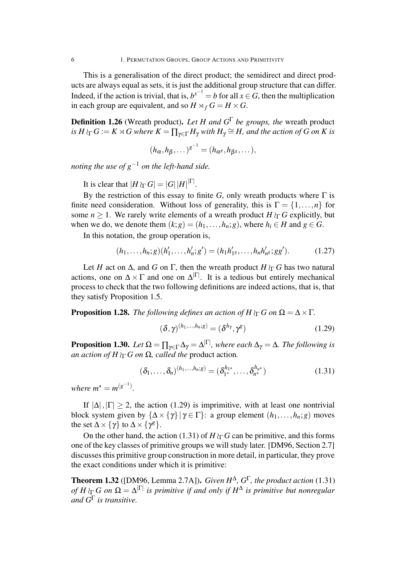6 1. PERMUTATION GROUPS, GROUP ACTIONS AND PRIMITIVITY

This is a generalisation of the direct product; the semidirect and direct products are always equal as sets, it is just the additional group structure that can differ. Indeed, if the action is trivial, that is,  $b^{x^{-1}} = b$  for all  $x \in G$ , then the multiplication in each group are equivalent, and so  $H \rtimes_f G = H \times G$ .

Definition 1.26 (Wreath product). *Let H and G* <sup>Γ</sup> *be groups, the* wreath product  $\iint_R G := K \rtimes G$  where  $K = \prod_{\gamma \in \Gamma} H_\gamma$  with  $H_\gamma \cong H$ , and the action of  $G$  on  $K$  is

$$
(h_{\alpha}, h_{\beta}, \dots)^{g^{-1}} = (h_{\alpha^g}, h_{\beta^g}, \dots),
$$

*noting the use of g <sup>−</sup>*<sup>1</sup> *on the left-hand side.*

It is clear that  $|H \wr_{\Gamma} G| = |G||H|^{|\Gamma|}$ .

By the restriction of this essay to finite *G*, only wreath products where  $\Gamma$  is finite need consideration. Without loss of generality, this is  $\Gamma = \{1, \ldots, n\}$  for some  $n \geq 1$ . We rarely write elements of a wreath product *H*  $\iota_{\Gamma}$  *G* explicitly, but when we do, we denote them  $(k;g) = (h_1, \ldots, h_n;g)$ , where  $h_i \in H$  and  $g \in G$ .

In this notation, the group operation is,

$$
(h_1, \ldots, h_n; g)(h'_1, \ldots, h'_n; g') = (h_1 h'_1, \ldots, h_n h'_n; g g'). \tag{1.27}
$$

Let *H* act on  $\Delta$ , and *G* on  $\Gamma$ , then the wreath product *H*  $\Gamma$  *G* has two natural actions, one on  $\Delta \times \Gamma$  and one on  $\Delta^{|\Gamma|}$ . It is a tedious but entirely mechanical process to check that the two following definitions are indeed actions, that is, that they satisfy Proposition 1.5.

**Proposition 1.28.** *The following defines an action of*  $H \wr_{\Gamma} G$  *on*  $\Omega = \Delta \times \Gamma$ *.* 

$$
(\delta, \gamma)^{(h_1, \dots, h_n; g)} = (\delta^{h_\gamma}, \gamma^g) \tag{1.29}
$$

**Proposition 1.30.** Let  $\Omega = \prod_{\gamma \in \Gamma} \Delta_{\gamma} = \Delta^{|\Gamma|}$ , where each  $\Delta_{\gamma} = \Delta$ . The following is *an action of*  $H \wr_{\Gamma} G$  *on*  $\Omega$ *, called the product action.* 

$$
(\delta_1, \ldots, \delta_n)^{(h_1, \ldots, h_n; g)} = (\delta_1^{h_1*}, \ldots, \delta_{n^*}^{h_n*})
$$
\n(1.31)

*where*  $m^* = m^{(g^{-1})}$ .

If  $|\Delta|$ ,  $|\Gamma| \geq 2$ , the action (1.29) is imprimitive, with at least one nontrivial block system given by  $\{\Delta \times \{\gamma\} | \gamma \in \Gamma\}$ : a group element  $(h_1, \ldots, h_n; g)$  moves the set  $\Delta \times \{\gamma\}$  to  $\Delta \times \{\gamma^g\}$ .

On the other hand, the action (1.31) of  $H \wr_{\Gamma} G$  can be primitive, and this forms one of the key classes of primitive groups we will study later. [DM96, Section 2.7] discusses this primitive group construction in more detail, in particular, they prove the exact conditions under which it is primitive:

**Theorem 1.32** ([DM96, Lemma 2.7A]). *Given*  $H^{\Delta}$ ,  $G^{\Gamma}$ , the product action (1.31)  $of$  *H*  $\iota$ <sub>L</sub> *G on*  $\Omega = \Delta^{|\Gamma|}$  is primitive if and only if  $H^{\Delta}$  is primitive but nonregular *and G* Γ *is transitive.*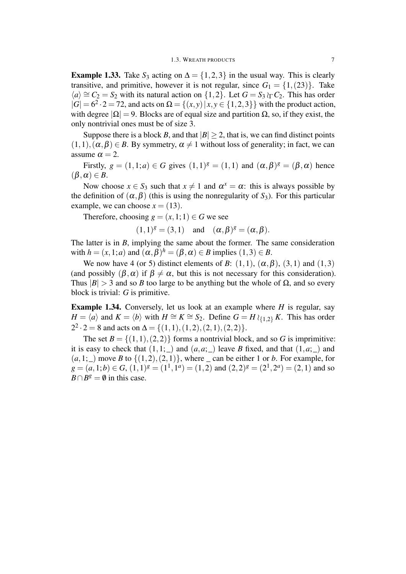**Example 1.33.** Take  $S_3$  acting on  $\Delta = \{1, 2, 3\}$  in the usual way. This is clearly transitive, and primitive, however it is not regular, since  $G_1 = \{1, (23)\}\.$  Take  $\langle a \rangle \cong C_2 = S_2$  with its natural action on  $\{1,2\}$ . Let  $G = S_3 \wr_C C_2$ . This has order  $|G| = 6^2 \cdot 2 = 72$ , and acts on  $\Omega = \{(x, y) | x, y \in \{1, 2, 3\}\}\$  with the product action, with degree  $|\Omega| = 9$ . Blocks are of equal size and partition  $\Omega$ , so, if they exist, the only nontrivial ones must be of size 3.

Suppose there is a block *B*, and that  $|B| > 2$ , that is, we can find distinct points  $(1,1), (\alpha, \beta) \in B$ . By symmetry,  $\alpha \neq 1$  without loss of generality; in fact, we can assume  $\alpha = 2$ .

Firstly,  $g = (1,1;a) \in G$  gives  $(1,1)^g = (1,1)$  and  $(\alpha, \beta)^g = (\beta, \alpha)$  hence  $(\beta, \alpha) \in B$ .

Now choose  $x \in S_3$  such that  $x \neq 1$  and  $\alpha^x = \alpha$ : this is always possible by the definition of  $(\alpha, \beta)$  (this is using the nonregularity of *S*<sub>3</sub>). For this particular example, we can choose  $x = (13)$ .

Therefore, choosing  $g = (x, 1; 1) \in G$  we see

 $(1,1)^{g} = (3,1)$  and  $(\alpha, \beta)^{g} = (\alpha, \beta).$ 

The latter is in *B*, implying the same about the former. The same consideration with  $h = (x, 1; a)$  and  $(\alpha, \beta)^h = (\beta, \alpha) \in B$  implies  $(1, 3) \in B$ .

We now have 4 (or 5) distinct elements of *B*:  $(1,1)$ ,  $(\alpha, \beta)$ ,  $(3,1)$  and  $(1,3)$ (and possibly  $(\beta, \alpha)$  if  $\beta \neq \alpha$ , but this is not necessary for this consideration). Thus  $|B| > 3$  and so *B* too large to be anything but the whole of  $\Omega$ , and so every block is trivial: *G* is primitive.

Example 1.34. Conversely, let us look at an example where *H* is regular, say *H* =  $\langle \overline{a} \rangle$  and  $K = \langle \overline{b} \rangle$  with  $H \cong K \cong S_2$ . Define  $G = H \wr_{\{1,2\}} K$ . This has order  $2^2 \cdot 2 = 8$  and acts on  $\Delta = \{(1,1), (1,2), (2,1), (2,2)\}.$ 

The set  $B = \{(1,1), (2,2)\}$  forms a nontrivial block, and so G is imprimitive: it is easy to check that  $(1,1;$  and  $(a,a;$  leave *B* fixed, and that  $(1,a;$  and  $(a,1; )$  move *B* to  $\{(1,2),(2,1)\}$ , where can be either 1 or *b*. For example, for  $g = (a, 1; b) \in G$ ,  $(1, 1)^g = (1^1, 1^a) = (1, 2)$  and  $(2, 2)^g = (2^1, 2^a) = (2, 1)$  and so  $B \cap B^g = \emptyset$  in this case.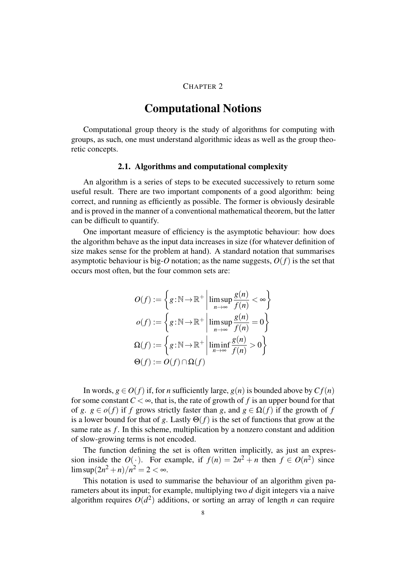#### CHAPTER 2

### Computational Notions

Computational group theory is the study of algorithms for computing with groups, as such, one must understand algorithmic ideas as well as the group theoretic concepts.

#### 2.1. Algorithms and computational complexity

An algorithm is a series of steps to be executed successively to return some useful result. There are two important components of a good algorithm: being correct, and running as efficiently as possible. The former is obviously desirable and is proved in the manner of a conventional mathematical theorem, but the latter can be difficult to quantify.

One important measure of efficiency is the asymptotic behaviour: how does the algorithm behave as the input data increases in size (for whatever definition of size makes sense for the problem at hand). A standard notation that summarises asymptotic behaviour is big- $O$  notation; as the name suggests,  $O(f)$  is the set that occurs most often, but the four common sets are:

$$
O(f) := \left\{ g : \mathbb{N} \to \mathbb{R}^+ \, \middle| \, \limsup_{n \to \infty} \frac{g(n)}{f(n)} < \infty \right\}
$$
\n
$$
o(f) := \left\{ g : \mathbb{N} \to \mathbb{R}^+ \, \middle| \, \limsup_{n \to \infty} \frac{g(n)}{f(n)} = 0 \right\}
$$
\n
$$
\Omega(f) := \left\{ g : \mathbb{N} \to \mathbb{R}^+ \, \middle| \, \liminf_{n \to \infty} \frac{g(n)}{f(n)} > 0 \right\}
$$
\n
$$
\Theta(f) := O(f) \cap \Omega(f)
$$

In words,  $g \in O(f)$  if, for *n* sufficiently large,  $g(n)$  is bounded above by  $Cf(n)$ for some constant  $C < \infty$ , that is, the rate of growth of f is an upper bound for that of *g*.  $g \in o(f)$  if *f* grows strictly faster than *g*, and  $g \in \Omega(f)$  if the growth of *f* is a lower bound for that of *g*. Lastly  $\Theta(f)$  is the set of functions that grow at the same rate as *f*. In this scheme, multiplication by a nonzero constant and addition of slow-growing terms is not encoded.

The function defining the set is often written implicitly, as just an expression inside the  $O(\cdot)$ . For example, if  $f(n) = 2n^2 + n$  then  $f \in O(n^2)$  since  $\limsup(2n^2 + n)/n^2 = 2 < \infty$ .

This notation is used to summarise the behaviour of an algorithm given parameters about its input; for example, multiplying two *d* digit integers via a naive algorithm requires  $O(d^2)$  additions, or sorting an array of length *n* can require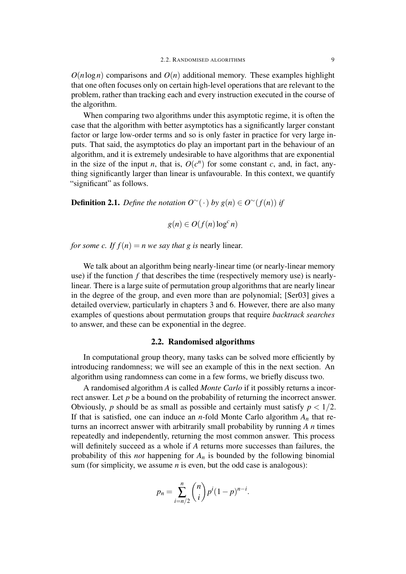$O(n \log n)$  comparisons and  $O(n)$  additional memory. These examples highlight that one often focuses only on certain high-level operations that are relevant to the problem, rather than tracking each and every instruction executed in the course of the algorithm.

When comparing two algorithms under this asymptotic regime, it is often the case that the algorithm with better asymptotics has a significantly larger constant factor or large low-order terms and so is only faster in practice for very large inputs. That said, the asymptotics do play an important part in the behaviour of an algorithm, and it is extremely undesirable to have algorithms that are exponential in the size of the input *n*, that is,  $O(c^n)$  for some constant *c*, and, in fact, anything significantly larger than linear is unfavourable. In this context, we quantify "significant" as follows.

**Definition 2.1.** *Define the notation*  $O^{\sim}(\cdot)$  *by*  $g(n) \in O^{\sim}(f(n))$  *if* 

 $g(n) \in O(f(n) \log^c n)$ 

*for some c. If*  $f(n) = n$  *we say that g is nearly linear.* 

We talk about an algorithm being nearly-linear time (or nearly-linear memory use) if the function *f* that describes the time (respectively memory use) is nearlylinear. There is a large suite of permutation group algorithms that are nearly linear in the degree of the group, and even more than are polynomial; [Ser03] gives a detailed overview, particularly in chapters 3 and 6. However, there are also many examples of questions about permutation groups that require *backtrack searches* to answer, and these can be exponential in the degree.

#### 2.2. Randomised algorithms

In computational group theory, many tasks can be solved more efficiently by introducing randomness; we will see an example of this in the next section. An algorithm using randomness can come in a few forms, we briefly discuss two.

A randomised algorithm *A* is called *Monte Carlo* if it possibly returns a incorrect answer. Let *p* be a bound on the probability of returning the incorrect answer. Obviously, *p* should be as small as possible and certainly must satisfy  $p < 1/2$ . If that is satisfied, one can induce an *n*-fold Monte Carlo algorithm  $A_n$  that returns an incorrect answer with arbitrarily small probability by running *A n* times repeatedly and independently, returning the most common answer. This process will definitely succeed as a whole if *A* returns more successes than failures, the probability of this *not* happening for *A<sup>n</sup>* is bounded by the following binomial sum (for simplicity, we assume *n* is even, but the odd case is analogous):

$$
p_n = \sum_{i=n/2}^{n} {n \choose i} p^i (1-p)^{n-i}.
$$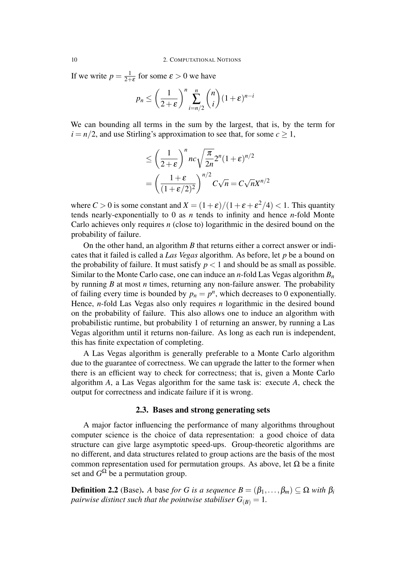If we write  $p = \frac{1}{2+1}$  $\frac{1}{2+\varepsilon}$  for some  $\varepsilon > 0$  we have

$$
p_n \le \left(\frac{1}{2+\varepsilon}\right)^n \sum_{i=n/2}^n \binom{n}{i} (1+\varepsilon)^{n-i}
$$

We can bounding all terms in the sum by the largest, that is, by the term for  $i = n/2$ , and use Stirling's approximation to see that, for some  $c \ge 1$ ,

$$
\leq \left(\frac{1}{2+\epsilon}\right)^n nc \sqrt{\frac{\pi}{2n}} 2^n (1+\epsilon)^{n/2}
$$

$$
= \left(\frac{1+\epsilon}{(1+\epsilon/2)^2}\right)^{n/2} C \sqrt{n} = C \sqrt{n} X^{n/2}
$$

where  $C > 0$  is some constant and  $X = (1 + \varepsilon)/(1 + \varepsilon + \varepsilon^2/4) < 1$ . This quantity tends nearly-exponentially to 0 as *n* tends to infinity and hence *n*-fold Monte Carlo achieves only requires *n* (close to) logarithmic in the desired bound on the probability of failure.

On the other hand, an algorithm *B* that returns either a correct answer or indicates that it failed is called a *Las Vegas* algorithm. As before, let *p* be a bound on the probability of failure. It must satisfy  $p < 1$  and should be as small as possible. Similar to the Monte Carlo case, one can induce an *n*-fold Las Vegas algorithm *B<sup>n</sup>* by running *B* at most *n* times, returning any non-failure answer. The probability of failing every time is bounded by  $p_n = p^n$ , which decreases to 0 exponentially. Hence, *n*-fold Las Vegas also only requires *n* logarithmic in the desired bound on the probability of failure. This also allows one to induce an algorithm with probabilistic runtime, but probability 1 of returning an answer, by running a Las Vegas algorithm until it returns non-failure. As long as each run is independent, this has finite expectation of completing.

A Las Vegas algorithm is generally preferable to a Monte Carlo algorithm due to the guarantee of correctness. We can upgrade the latter to the former when there is an efficient way to check for correctness; that is, given a Monte Carlo algorithm *A*, a Las Vegas algorithm for the same task is: execute *A*, check the output for correctness and indicate failure if it is wrong.

#### 2.3. Bases and strong generating sets

A major factor influencing the performance of many algorithms throughout computer science is the choice of data representation: a good choice of data structure can give large asymptotic speed-ups. Group-theoretic algorithms are no different, and data structures related to group actions are the basis of the most common representation used for permutation groups. As above, let Ω be a finite set and  $G^{\Omega}$  be a permutation group.

**Definition 2.2** (Base). *A* base *for G is a sequence*  $B = (\beta_1, \dots, \beta_m) \subseteq \Omega$  *with*  $\beta_i$ *pairwise distinct such that the pointwise stabiliser*  $G_{(B)} = 1$ *.*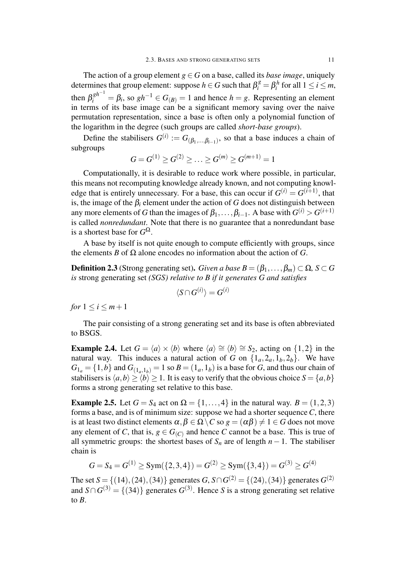The action of a group element  $g \in G$  on a base, called its *base image*, uniquely determines that group element: suppose  $h \in G$  such that  $\beta_i^g = \beta_i^h$  for all  $1 \le i \le m$ , then  $\beta_i^{gh^{-1}} = \beta_i$ , so  $gh^{-1} \in G_{(B)} = 1$  and hence  $h = g$ . Representing an element in terms of its base image can be a significant memory saving over the naive permutation representation, since a base is often only a polynomial function of the logarithm in the degree (such groups are called *short-base groups*).

Define the stabilisers  $G^{(i)} := G_{(\beta_1, \ldots, \beta_{i-1})}$ , so that a base induces a chain of subgroups

$$
G = G^{(1)} \ge G^{(2)} \ge \ldots \ge G^{(m)} \ge G^{(m+1)} = 1
$$

Computationally, it is desirable to reduce work where possible, in particular, this means not recomputing knowledge already known, and not computing knowledge that is entirely unnecessary. For a base, this can occur if  $G^{(i)} = G^{(i+1)}$ , that is, the image of the  $\beta_i$  element under the action of *G* does not distinguish between any more elements of *G* than the images of  $\beta_1, \ldots, \beta_{i-1}.$  A base with  $G^{(i)} > G^{(i+1)}$ is called *nonredundant*. Note that there is no guarantee that a nonredundant base is a shortest base for  $G^{\Omega}$ .

A base by itself is not quite enough to compute efficiently with groups, since the elements *B* of  $\Omega$  alone encodes no information about the action of *G*.

**Definition 2.3** (Strong generating set). *Given a base*  $B = (\beta_1, \ldots, \beta_m) \subset \Omega$ ,  $S \subset G$ *is* strong generating set *(SGS) relative to B if it generates G and satisfies*

$$
\langle S\cap G^{(i)}\rangle=G^{(i)}
$$

*for*  $1 \leq i \leq m+1$ 

The pair consisting of a strong generating set and its base is often abbreviated to BSGS.

**Example 2.4.** Let  $G = \langle a \rangle \times \langle b \rangle$  where  $\langle a \rangle \cong \langle b \rangle \cong S_2$ , acting on  $\{1,2\}$  in the natural way. This induces a natural action of *G* on  $\{1_a, 2_a, 1_b, 2_b\}$ . We have  $G_{1a} = \{1,b\}$  and  $G_{(1a,1b)} = 1$  so  $B = (1a,1b)$  is a base for *G*, and thus our chain of stabilisers is  $\langle a,b \rangle \geq \langle b \rangle \geq 1$ . It is easy to verify that the obvious choice  $S = \{a,b\}$ forms a strong generating set relative to this base.

**Example 2.5.** Let  $G = S_4$  act on  $\Omega = \{1, ..., 4\}$  in the natural way.  $B = (1, 2, 3)$ forms a base, and is of minimum size: suppose we had a shorter sequence*C*, there is at least two distinct elements  $\alpha, \beta \in \Omega \setminus C$  so  $g = (\alpha \beta) \neq 1 \in G$  does not move any element of *C*, that is,  $g \in G_{(C)}$  and hence *C* cannot be a base. This is true of all symmetric groups: the shortest bases of  $S_n$  are of length  $n-1$ . The stabiliser chain is

$$
G = S_4 = G^{(1)} \ge \text{Sym}(\{2, 3, 4\}) = G^{(2)} \ge \text{Sym}(\{3, 4\}) = G^{(3)} \ge G^{(4)}
$$

The set  $S = \{(14), (24), (34)\}$  generates  $G, S \cap G^{(2)} = \{(24), (34)\}$  generates  $G^{(2)}$ and  $S \cap G^{(3)} = \{(34)\}\$  generates  $G^{(3)}$ . Hence *S* is a strong generating set relative to *B*.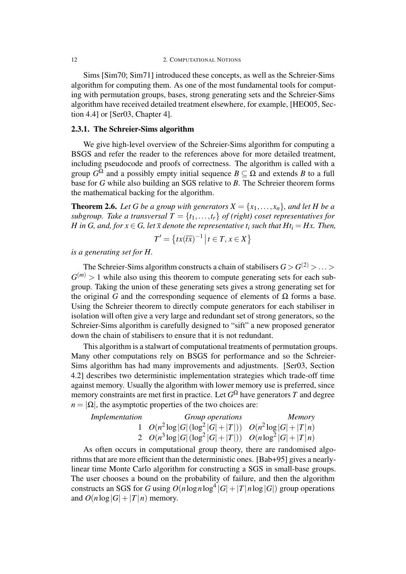Sims [Sim70; Sim71] introduced these concepts, as well as the Schreier-Sims algorithm for computing them. As one of the most fundamental tools for computing with permutation groups, bases, strong generating sets and the Schreier-Sims algorithm have received detailed treatment elsewhere, for example, [HEO05, Section 4.4] or [Ser03, Chapter 4].

#### 2.3.1. The Schreier-Sims algorithm

We give high-level overview of the Schreier-Sims algorithm for computing a BSGS and refer the reader to the references above for more detailed treatment, including pseudocode and proofs of correctness. The algorithm is called with a group  $G^{\Omega}$  and a possibly empty initial sequence  $B \subseteq \Omega$  and extends *B* to a full base for *G* while also building an SGS relative to *B*. The Schreier theorem forms the mathematical backing for the algorithm.

**Theorem 2.6.** Let G be a group with generators  $X = \{x_1, \ldots, x_n\}$ , and let H be a *subgroup. Take a transversal*  $T = \{t_1, \ldots, t_r\}$  *of (right) coset representatives for H* in *G*, and, for  $x \in G$ , let  $\overline{x}$  denote the representative  $t_i$  such that  $Ht_i = Hx$ . Then,

$$
T' = \left\{ tx(\overline{tx})^{-1} \, \middle| \, t \in T, x \in X \right\}
$$

*is a generating set for H.*

The Schreier-Sims algorithm constructs a chain of stabilisers  $G > G^{(2)} > ... >$  $G^{(m)}$  > 1 while also using this theorem to compute generating sets for each subgroup. Taking the union of these generating sets gives a strong generating set for the original *G* and the corresponding sequence of elements of  $\Omega$  forms a base. Using the Schreier theorem to directly compute generators for each stabiliser in isolation will often give a very large and redundant set of strong generators, so the Schreier-Sims algorithm is carefully designed to "sift" a new proposed generator down the chain of stabilisers to ensure that it is not redundant.

This algorithm is a stalwart of computational treatments of permutation groups. Many other computations rely on BSGS for performance and so the Schreier-Sims algorithm has had many improvements and adjustments. [Ser03, Section 4.2] describes two deterministic implementation strategies which trade-off time against memory. Usually the algorithm with lower memory use is preferred, since memory constraints are met first in practice. Let  $G^{\Omega}$  have generators  $T$  and degree  $n = |\Omega|$ , the asymptotic properties of the two choices are:

*Implementation Group operations Memory* 1  $O(n^2 \log |G| (\log^2 |G| + |T|))$   $O(n^2 \log |G| + |T|n)$ 2  $O(n^3 \log |G| (\log^2 |G| + |T|))$   $O(n \log^2 |G| + |T|n)$ 

As often occurs in computational group theory, there are randomised algorithms that are more efficient than the deterministic ones. [Bab+95] gives a nearlylinear time Monte Carlo algorithm for constructing a SGS in small-base groups. The user chooses a bound on the probability of failure, and then the algorithm constructs an SGS for *G* using  $O(n \log n \log^4 |G| + |T| n \log |G|)$  group operations and  $O(n \log |G| + |T|n)$  memory.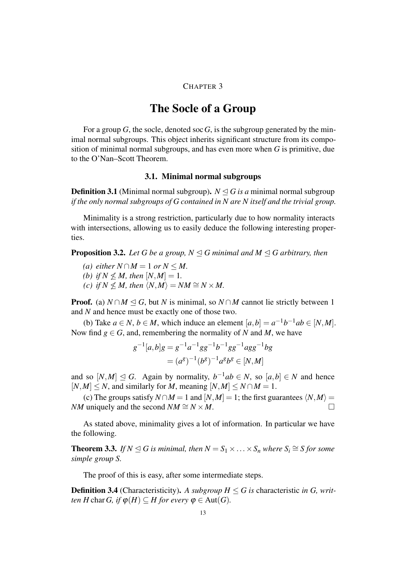#### CHAPTER 3

### The Socle of a Group

For a group  $G$ , the socle, denoted soc  $G$ , is the subgroup generated by the minimal normal subgroups. This object inherits significant structure from its composition of minimal normal subgroups, and has even more when *G* is primitive, due to the O'Nan–Scott Theorem.

#### 3.1. Minimal normal subgroups

**Definition 3.1** (Minimal normal subgroup).  $N \leq G$  *is a* minimal normal subgroup *if the only normal subgroups of G contained in N are N itself and the trivial group.*

Minimality is a strong restriction, particularly due to how normality interacts with intersections, allowing us to easily deduce the following interesting properties.

**Proposition 3.2.** *Let G be a group,*  $N \leq G$  *minimal and*  $M \leq G$  *arbitrary, then* 

- *(a) either*  $N \cap M = 1$  *or*  $N \leq M$ .
- *(b) if*  $N \nleq M$ *, then*  $[N, M] = 1$ *.*
- *(c) if*  $N \nleq M$ *, then*  $\langle N, M \rangle = NM \cong N \times M$ .

**Proof.** (a)  $N \cap M \subseteq G$ , but *N* is minimal, so  $N \cap M$  cannot lie strictly between 1 and *N* and hence must be exactly one of those two.

(b) Take  $a \in N$ ,  $b \in M$ , which induce an element  $[a,b] = a^{-1}b^{-1}ab \in [N,M]$ . Now find  $g \in G$ , and, remembering the normality of *N* and *M*, we have

$$
g^{-1}[a,b]g = g^{-1}a^{-1}gg^{-1}b^{-1}gg^{-1}agg^{-1}bg
$$
  
=  $(a^g)^{-1}(b^g)^{-1}a^gb^g \in [N,M]$ 

and so  $[N,M] \leq G$ . Again by normality,  $b^{-1}ab \in N$ , so  $[a,b] \in N$  and hence  $[N, M] \leq N$ , and similarly for *M*, meaning  $[N, M] \leq N \cap M = 1$ .

(c) The groups satisfy  $N \cap M = 1$  and  $[N, M] = 1$ ; the first guarantees  $\langle N, M \rangle =$ *NM* uniquely and the second  $NM \cong N \times M$ .

As stated above, minimality gives a lot of information. In particular we have the following.

**Theorem 3.3.** *If*  $N \le G$  *is minimal, then*  $N = S_1 \times \ldots \times S_n$  *where*  $S_i \cong S$  *for some simple group S.*

The proof of this is easy, after some intermediate steps.

**Definition 3.4** (Characteristicity). A subgroup  $H \leq G$  is characteristic *in G*, *written H* char *G*, *if*  $\varphi$ (*H*)  $\subseteq$  *H for every*  $\varphi \in$  Aut(*G*).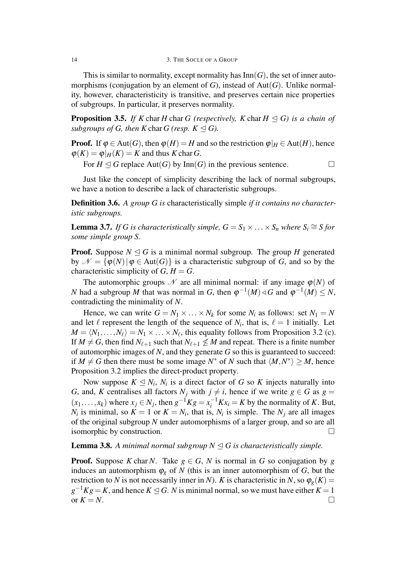14 3. THE SOCLE OF A GROUP

This is similar to normality, except normality has  $Inn(G)$ , the set of inner automorphisms (conjugation by an element of *G*), instead of Aut(*G*). Unlike normality, however, characteristicity is transitive, and preserves certain nice properties of subgroups. In particular, it preserves normality.

**Proposition 3.5.** *If*  $K$  char  $H$  char  $G$  (respectively,  $K$  char  $H \triangleleft G$ ) is a chain of *subgroups of G, then K* char *G* (resp.  $K \triangleleft G$ ).

**Proof.** If  $\varphi \in \text{Aut}(G)$ , then  $\varphi(H) = H$  and so the restriction  $\varphi|_H \in \text{Aut}(H)$ , hence  $\varphi(K) = \varphi|_H(K) = K$  and thus *K* char *G*.

For  $H \triangleleft G$  replace Aut(*G*) by Inn(*G*) in the previous sentence.  $\Box$ 

Just like the concept of simplicity describing the lack of normal subgroups, we have a notion to describe a lack of characteristic subgroups.

Definition 3.6. *A group G is* characteristically simple *if it contains no characteristic subgroups.*

**Lemma 3.7.** *If G is characteristically simple,*  $G = S_1 \times \ldots \times S_n$  *where*  $S_i \cong S$  *for some simple group S.*

**Proof.** Suppose  $N \leq G$  is a minimal normal subgroup. The group *H* generated by  $\mathcal{N} = {\phi(N) | \phi \in Aut(G)}$  is a characteristic subgroup of *G*, and so by the characteristic simplicity of  $G, H = G$ .

The automorphic groups  $\mathcal N$  are all minimal normal: if any image  $\varphi(N)$  of *N* had a subgroup *M* that was normal in *G*, then  $\varphi^{-1}(M) \triangleleft G$  and  $\varphi^{-1}(M) \leq N$ , contradicting the minimality of *N*.

Hence, we can write  $G = N_1 \times \ldots \times N_k$  for some  $N_i$  as follows: set  $N_1 = N$ and let  $\ell$  represent the length of the sequence of  $N_i$ , that is,  $\ell = 1$  initially. Let  $M = \langle N_1, \ldots, N_\ell \rangle = N_1 \times \ldots \times N_\ell$ , this equality follows from Proposition 3.2 (c). If  $M \neq G$ , then find  $N_{\ell+1}$  such that  $N_{\ell+1} \nleq M$  and repeat. There is a finite number of automorphic images of *N*, and they generate *G* so this is guaranteed to succeed: if  $M \neq G$  then there must be some image  $N^*$  of  $N$  such that  $\langle M, N^* \rangle \geq M$ , hence Proposition 3.2 implies the direct-product property.

Now suppose  $K \leq N_i$ ,  $N_i$  is a direct factor of *G* so *K* injects naturally into *G*, and, *K* centralises all factors  $N_j$  with  $j \neq i$ , hence if we write  $g \in G$  as  $g =$  $(x_1, \ldots, x_k)$  where  $x_j \in N_j$ , then  $g^{-1}Kg = x_i^{-1}Kx_i = K$  by the normality of *K*. But, *N<sub>i</sub>* is minimal, so  $K = 1$  or  $K = N_i$ , that is,  $N_i$  is simple. The  $N_j$  are all images of the original subgroup *N* under automorphisms of a larger group, and so are all isomorphic by construction.  $\Box$ 

#### **Lemma 3.8.** A minimal normal subgroup  $N \triangleleft G$  is characteristically simple.

**Proof.** Suppose *K* char *N*. Take  $g \in G$ , *N* is normal in *G* so conjugation by *g* induces an automorphism  $\varphi_g$  of *N* (this is an inner automorphism of *G*, but the restriction to *N* is not necessarily inner in *N*). *K* is characteristic in *N*, so  $\varphi_{g}(K)$  =  $g^{-1}Kg = K$ , and hence  $K \leq G$ . *N* is minimal normal, so we must have either  $K = 1$ or  $K = N$ .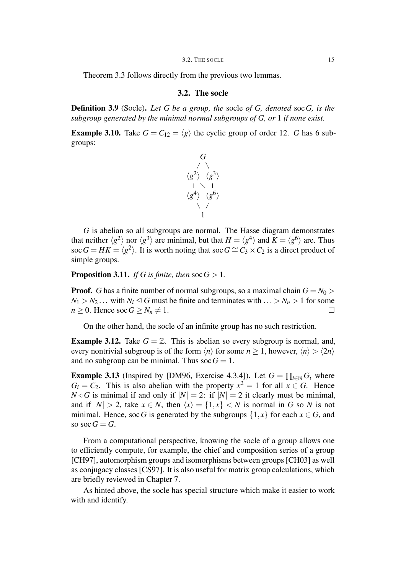Theorem 3.3 follows directly from the previous two lemmas.

#### 3.2. The socle

Definition 3.9 (Socle). *Let G be a group, the* socle *of G, denoted* soc*G, is the subgroup generated by the minimal normal subgroups of G, or* 1 *if none exist.*

**Example 3.10.** Take  $G = C_{12} = \langle g \rangle$  the cyclic group of order 12. *G* has 6 subgroups:



*G* is abelian so all subgroups are normal. The Hasse diagram demonstrates that neither  $\langle g^2 \rangle$  nor  $\langle g^3 \rangle$  are minimal, but that  $H = \langle g^4 \rangle$  and  $K = \langle g^6 \rangle$  are. Thus soc  $G = HK = \langle g^2 \rangle$ . It is worth noting that soc  $G \cong C_3 \times C_2$  is a direct product of simple groups.

**Proposition 3.11.** *If G is finite, then*  $\operatorname{soc} G > 1$ *.* 

**Proof.** *G* has a finite number of normal subgroups, so a maximal chain  $G = N_0$  >  $N_1 > N_2$ ... with  $N_i \leq G$  must be finite and terminates with  $\ldots > N_n > 1$  for some  $n \geq 0$ . Hence soc  $G \geq N_n \neq 1$ .

On the other hand, the socle of an infinite group has no such restriction.

**Example 3.12.** Take  $G = \mathbb{Z}$ . This is abelian so every subgroup is normal, and, every nontrivial subgroup is of the form  $\langle n \rangle$  for some  $n > 1$ , however,  $\langle n \rangle > \langle 2n \rangle$ and no subgroup can be minimal. Thus  $\operatorname{soc} G = 1$ .

**Example 3.13** (Inspired by [DM96, Exercise 4.3.4]). Let  $G = \prod_{i \in \mathbb{N}} G_i$  where  $G_i = C_2$ . This is also abelian with the property  $x^2 = 1$  for all  $x \in G$ . Hence  $N \triangleleft G$  is minimal if and only if  $|N| = 2$ : if  $|N| = 2$  it clearly must be minimal, and if  $|N| > 2$ , take  $x \in N$ , then  $\langle x \rangle = \{1, x\} < N$  is normal in G so N is not minimal. Hence, soc *G* is generated by the subgroups  $\{1, x\}$  for each  $x \in G$ , and so soc $G = G$ .

From a computational perspective, knowing the socle of a group allows one to efficiently compute, for example, the chief and composition series of a group [CH97], automorphism groups and isomorphisms between groups [CH03] as well as conjugacy classes [CS97]. It is also useful for matrix group calculations, which are briefly reviewed in Chapter 7.

As hinted above, the socle has special structure which make it easier to work with and identify.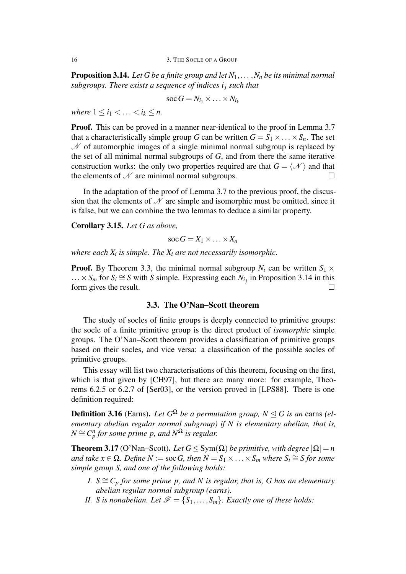**Proposition 3.14.** *Let G be a finite group and let*  $N_1, \ldots, N_n$  *be its minimal normal subgroups. There exists a sequence of indices i<sup>j</sup> such that*

$$
\operatorname{soc} G = N_{i_1} \times \ldots \times N_{i_k}
$$

*where*  $1 \le i_1 \le ... \le i_k \le n$ .

Proof. This can be proved in a manner near-identical to the proof in Lemma 3.7 that a characteristically simple group *G* can be written  $G = S_1 \times \ldots \times S_n$ . The set  $\mathcal N$  of automorphic images of a single minimal normal subgroup is replaced by the set of all minimal normal subgroups of *G*, and from there the same iterative construction works: the only two properties required are that  $G = \langle \mathcal{N} \rangle$  and that the elements of  $\mathcal N$  are minimal normal subgroups.

In the adaptation of the proof of Lemma 3.7 to the previous proof, the discussion that the elements of  $\mathcal N$  are simple and isomorphic must be omitted, since it is false, but we can combine the two lemmas to deduce a similar property.

Corollary 3.15. *Let G as above,*

$$
\operatorname{soc} G = X_1 \times \ldots \times X_n
$$

*where each X<sup>i</sup> is simple. The X<sup>i</sup> are not necessarily isomorphic.*

**Proof.** By Theorem 3.3, the minimal normal subgroup  $N_i$  can be written  $S_1 \times$  $\ldots \times S_m$  for  $S_i \cong S$  with *S* simple. Expressing each  $N_{i_j}$  in Proposition 3.14 in this form gives the result.  $\Box$ 

#### 3.3. The O'Nan–Scott theorem

The study of socles of finite groups is deeply connected to primitive groups: the socle of a finite primitive group is the direct product of *isomorphic* simple groups. The O'Nan–Scott theorem provides a classification of primitive groups based on their socles, and vice versa: a classification of the possible socles of primitive groups.

This essay will list two characterisations of this theorem, focusing on the first, which is that given by [CH97], but there are many more: for example, Theorems 6.2.5 or 6.2.7 of [Ser03], or the version proved in [LPS88]. There is one definition required:

**Definition 3.16** (Earns). Let  $G^{\Omega}$  be a permutation group,  $N \leq G$  is an earns (el*ementary abelian regular normal subgroup) if N is elementary abelian, that is,*  $N \cong C_p^n$  *for some prime p, and*  $N^{\Omega}$  *is regular.* 

**Theorem 3.17** (O'Nan–Scott). Let  $G \leq Sym(\Omega)$  be primitive, with degree  $|\Omega| = n$  $a$ nd take  $x \in \Omega$ . Define  $N := \text{soc } G$ , then  $N = S_1 \times \ldots \times S_m$  where  $S_i \cong S$  for some *simple group S, and one of the following holds:*

- *I.*  $S \cong C_p$  *for some prime p, and N is regular, that is, G has an elementary abelian regular normal subgroup (earns).*
- *II. S is nonabelian. Let*  $\mathcal{F} = \{S_1, \ldots, S_m\}$ *. Exactly one of these holds:*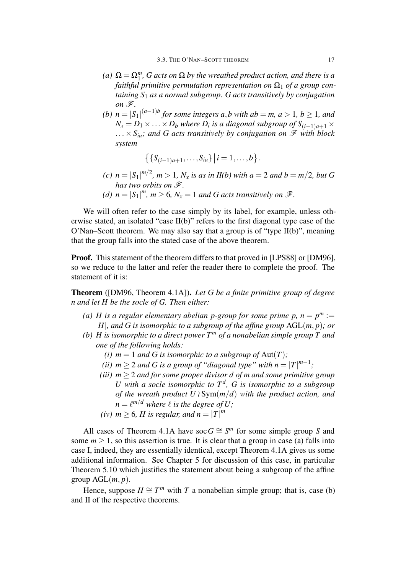- *(a)*  $\Omega = \Omega_1^m$ , *G acts on*  $\Omega$  *by the wreathed product action, and there is a faithful primitive permutation representation on*  $\Omega_1$  *of a group containing S*<sup>1</sup> *as a normal subgroup. G acts transitively by conjugation on*  $\mathscr{F}$ .
- *(b)*  $n = |S_1|^{(a-1)b}$  for some integers *a*,*b* with *ab* = *m*, *a* > 1, *b* ≥ 1, *and*  $N_x = D_1 \times \ldots \times D_b$  where  $D_i$  is a diagonal subgroup of  $S_{(i-1)a+1} \times$  $... \times S_{ia}$ *; and G acts transitively by conjugation on*  $\mathscr F$  *with block system*

$$
\{S_{(i-1)a+1},\ldots,S_{ia}\}\,| \,i=1,\ldots,b\}.
$$

- *(c)*  $n = |S_1|^{m/2}$ ,  $m > 1$ ,  $N_x$  *is as in II(b) with*  $a = 2$  *and*  $b = m/2$ , *but G has two orbits on F.*
- *(d)*  $n = |S_1|^m$ ,  $m \ge 6$ ,  $N_x = 1$  *and G acts transitively on*  $\mathscr{F}$ *.*

We will often refer to the case simply by its label, for example, unless otherwise stated, an isolated "case  $II(b)$ " refers to the first diagonal type case of the O'Nan–Scott theorem. We may also say that a group is of "type  $II(b)$ ", meaning that the group falls into the stated case of the above theorem.

Proof. This statement of the theorem differs to that proved in [LPS88] or [DM96], so we reduce to the latter and refer the reader there to complete the proof. The statement of it is:

Theorem ([DM96, Theorem 4.1A]). *Let G be a finite primitive group of degree n and let H be the socle of G. Then either:*

- (a) *H* is a regular elementary abelian *p*-group for some prime *p*,  $n = p^m :=$ *|H|, and G is isomorphic to a subgroup of the affine group* AGL(*m, p*)*; or*
- *(b) H* is isomorphic to a direct power  $T<sup>m</sup>$  of a nonabelian simple group T and *one of the following holds:*
	- *(i)*  $m = 1$  *and G is isomorphic to a subgroup of*  $Aut(T)$ ;
	- *(ii)*  $m \geq 2$  *and G is a group of "diagonal type" with*  $n = |T|^{m-1}$ ;
	- *(iii) m ≥* 2 *and for some proper divisor d of m and some primitive group U* with a socle isomorphic to  $T^d$ , G is isomorphic to a subgroup *of the wreath product U ≀* Sym(*m/d*) *with the product action, and*  $n = \ell^{m/d}$  where  $\ell$  *is the degree of U;*
	- *(iv) m*  $\geq$  6*, H is regular, and*  $n = |T|^m$

All cases of Theorem 4.1A have soc  $G \cong S^m$  for some simple group *S* and some  $m \geq 1$ , so this assertion is true. It is clear that a group in case (a) falls into case I, indeed, they are essentially identical, except Theorem 4.1A gives us some additional information. See Chapter 5 for discussion of this case, in particular Theorem 5.10 which justifies the statement about being a subgroup of the affine group  $AGL(m, p)$ .

Hence, suppose  $H \cong T^m$  with *T* a nonabelian simple group; that is, case (b) and II of the respective theorems.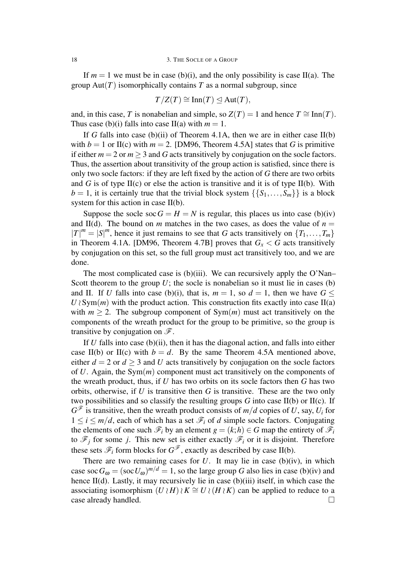If  $m = 1$  we must be in case (b)(i), and the only possibility is case II(a). The group  $Aut(T)$  isomorphically contains T as a normal subgroup, since

$$
T/Z(T) \cong \text{Inn}(T) \trianglelefteq \text{Aut}(T),
$$

and, in this case, *T* is nonabelian and simple, so  $Z(T) = 1$  and hence  $T \cong \text{Inn}(T)$ . Thus case (b)(i) falls into case II(a) with  $m = 1$ .

If *G* falls into case (b)(ii) of Theorem 4.1A, then we are in either case  $II(b)$ with  $b = 1$  or II(c) with  $m = 2$ . [DM96, Theorem 4.5A] states that *G* is primitive if either  $m = 2$  or  $m > 3$  and G acts transitively by conjugation on the socle factors. Thus, the assertion about transitivity of the group action is satisfied, since there is only two socle factors: if they are left fixed by the action of *G* there are two orbits and *G* is of type  $II(c)$  or else the action is transitive and it is of type  $II(b)$ . With  $b = 1$ , it is certainly true that the trivial block system  $\{\{S_1, \ldots, S_m\}\}\$ is a block system for this action in case II(b).

Suppose the socle soc  $G = H = N$  is regular, this places us into case (b)(iv) and II(d). The bound on *m* matches in the two cases, as does the value of  $n =$  $|T|^m = |S|^m$ , hence it just remains to see that *G* acts transitively on  $\{T_1, \ldots, T_m\}$ in Theorem 4.1A. [DM96, Theorem 4.7B] proves that  $G_x < G$  acts transitively by conjugation on this set, so the full group must act transitively too, and we are done.

The most complicated case is  $(b)(iii)$ . We can recursively apply the O'Nan– Scott theorem to the group  $U$ ; the socle is nonabelian so it must lie in cases (b) and II. If *U* falls into case (b)(i), that is,  $m = 1$ , so  $d = 1$ , then we have  $G \leq$  $U \wr Sym(m)$  with the product action. This construction fits exactly into case II(a) with  $m \ge 2$ . The subgroup component of  $Sym(m)$  must act transitively on the components of the wreath product for the group to be primitive, so the group is transitive by conjugation on *F*.

If *U* falls into case (b)(ii), then it has the diagonal action, and falls into either case II(b) or II(c) with  $b = d$ . By the same Theorem 4.5A mentioned above, either  $d = 2$  or  $d \geq 3$  and *U* acts transitively by conjugation on the socle factors of *U*. Again, the Sym(*m*) component must act transitively on the components of the wreath product, thus, if *U* has two orbits on its socle factors then *G* has two orbits, otherwise, if *U* is transitive then *G* is transitive. These are the two only two possibilities and so classify the resulting groups *G* into case II(b) or II(c). If  $G^{\mathscr{F}}$  is transitive, then the wreath product consists of  $m/d$  copies of U, say,  $U_i$  for  $1 \leq i \leq m/d$ , each of which has a set  $\mathcal{F}_i$  of *d* simple socle factors. Conjugating the elements of one such  $\mathscr{F}_i$  by an element  $g = (k; h) \in G$  map the entirety of  $\mathscr{F}_i$ to  $\mathscr{F}_j$  for some *j*. This new set is either exactly  $\mathscr{F}_i$  or it is disjoint. Therefore these sets  $\mathscr{F}_i$  form blocks for  $G^{\mathscr{F}}$ , exactly as described by case II(b).

There are two remaining cases for  $U$ . It may lie in case (b)(iv), in which case soc  $G_{\omega} = (\sec U_{\omega})^{m/d} = 1$ , so the large group G also lies in case (b)(iv) and hence II(d). Lastly, it may recursively lie in case (b)(iii) itself, in which case the associating isomorphism  $(U \nvert H) \nvert K \cong U \nvert (H \nvert K)$  can be applied to reduce to a case already handled. □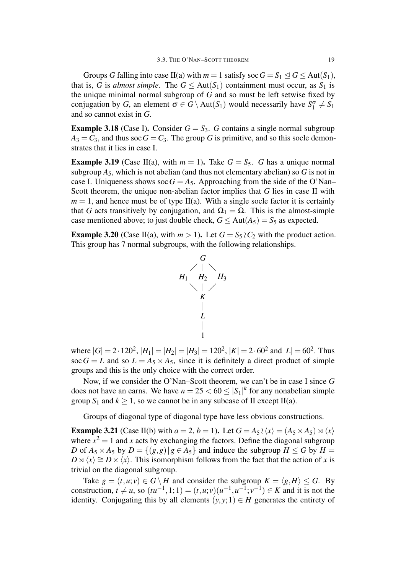Groups *G* falling into case II(a) with  $m = 1$  satisfy soc  $G = S_1 \le G \le Aut(S_1)$ , that is, *G* is *almost simple*. The  $G \leq Aut(S_1)$  containment must occur, as  $S_1$  is the unique minimal normal subgroup of *G* and so must be left setwise fixed by conjugation by *G*, an element  $\sigma \in G \setminus \text{Aut}(S_1)$  would necessarily have  $S_1^{\sigma} \neq S_1$ and so cannot exist in *G*.

**Example 3.18** (Case I). Consider  $G = S_3$ . *G* contains a single normal subgroup  $A_3 = C_3$ , and thus soc  $G = C_3$ . The group G is primitive, and so this socle demonstrates that it lies in case I.

**Example 3.19** (Case II(a), with  $m = 1$ ). Take  $G = S_5$ . *G* has a unique normal subgroup  $A_5$ , which is not abelian (and thus not elementary abelian) so  $G$  is not in case I. Uniqueness shows soc  $G = A_5$ . Approaching from the side of the O'Nan– Scott theorem, the unique non-abelian factor implies that *G* lies in case II with  $m = 1$ , and hence must be of type II(a). With a single socle factor it is certainly that *G* acts transitively by conjugation, and  $\Omega_1 = \Omega$ . This is the almost-simple case mentioned above; to just double check,  $G \leq Aut(A_5) = S_5$  as expected.

**Example 3.20** (Case II(a), with  $m > 1$ ). Let  $G = S_5 \wr C_2$  with the product action. This group has 7 normal subgroups, with the following relationships.



where  $|G| = 2 \cdot 120^2$ ,  $|H_1| = |H_2| = |H_3| = 120^2$ ,  $|K| = 2 \cdot 60^2$  and  $|L| = 60^2$ . Thus soc  $G = L$  and so  $L = A_5 \times A_5$ , since it is definitely a direct product of simple groups and this is the only choice with the correct order.

Now, if we consider the O'Nan–Scott theorem, we can't be in case I since *G* does not have an earns. We have  $n = 25 < 60 \leq |\mathcal{S}_1|^k$  for any nonabelian simple group  $S_1$  and  $k \ge 1$ , so we cannot be in any subcase of II except II(a).

Groups of diagonal type of diagonal type have less obvious constructions.

**Example 3.21** (Case II(b) with  $a = 2$ ,  $b = 1$ ). Let  $G = A_5 \wr \langle x \rangle = (A_5 \times A_5) \rtimes \langle x \rangle$ where  $x^2 = 1$  and x acts by exchanging the factors. Define the diagonal subgroup *D* of  $A_5 \times A_5$  by  $D = \{(g, g) | g \in A_5\}$  and induce the subgroup  $H \leq G$  by  $H =$  $D \rtimes \langle x \rangle \cong D \times \langle x \rangle$ . This isomorphism follows from the fact that the action of *x* is trivial on the diagonal subgroup.

Take  $g = (t, u; v) \in G \setminus H$  and consider the subgroup  $K = \langle g, H \rangle \le G$ . By construction,  $t \neq u$ , so  $(tu^{-1}, 1; 1) = (t, u; v)(u^{-1}, u^{-1}; v^{-1}) \in K$  and it is not the identity. Conjugating this by all elements  $(y, y; 1) \in H$  generates the entirety of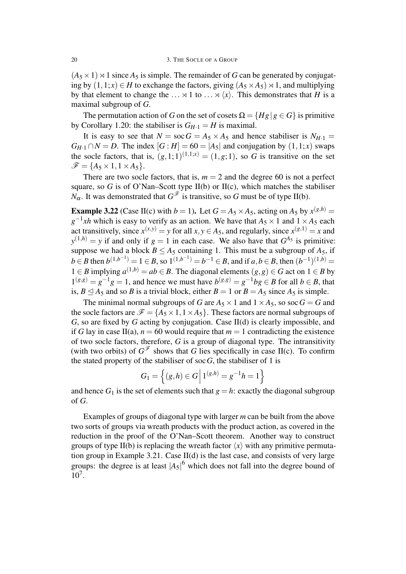$(A_5 \times 1) \rtimes 1$  since  $A_5$  is simple. The remainder of *G* can be generated by conjugating by  $(1,1;x)$  ∈ *H* to exchange the factors, giving  $(A_5 \times A_5) \times 1$ , and multiplying by that element to change the  $\ldots \rtimes 1$  to  $\ldots \rtimes \langle x \rangle$ . This demonstrates that *H* is a maximal subgroup of *G*.

The permutation action of *G* on the set of cosets  $\Omega = \{Hg | g \in G\}$  is primitive by Corollary 1.20: the stabiliser is  $G_{H-1} = H$  is maximal.

It is easy to see that  $N = \text{soc } G = A_5 \times A_5$  and hence stabiliser is  $N_{H-1} =$  $G_{H-1} \cap N = D$ . The index  $[G:H] = 60 = |A_5|$  and conjugation by  $(1,1;x)$  swaps the socle factors, that is,  $(g,1;1)^{(1,1;x)} = (1,g;1)$ , so G is transitive on the set  $\mathscr{F} = \{A_5 \times 1, 1 \times A_5\}.$ 

There are two socle factors, that is,  $m = 2$  and the degree 60 is not a perfect square, so  $G$  is of O'Nan–Scott type II(b) or II(c), which matches the stabiliser *N*<sub>α</sub>. It was demonstrated that  $G^{\mathscr{F}}$  is transitive, so *G* must be of type II(b).

**Example 3.22** (Case II(c) with  $b = 1$ ). Let  $G = A_5 \times A_5$ , acting on  $A_5$  by  $x^{(g,h)} =$  $g^{-1}xh$  which is easy to verify as an action. We have that  $A_5 \times 1$  and  $1 \times A_5$  each act transitively, since  $x^{(x,y)} = y$  for all  $x, y \in A_5$ , and regularly, since  $x^{(g,1)} = x$  and  $y^{(1,h)} = y$  if and only if  $g = 1$  in each case. We also have that  $G^{A_5}$  is primitive: suppose we had a block  $B \leq A_5$  containing 1. This must be a subgroup of  $A_5$ , if  $b \in B$  then  $b^{(1,b^{-1})} = 1 \in B$ , so  $1^{(1,b^{-1})} = b^{-1} \in B$ , and if  $a, b \in B$ , then  $(b^{-1})^{(1,b)} =$ 1 ∈ *B* implying  $a^{(1,b)} = ab \in B$ . The diagonal elements  $(g, g) \in G$  act on 1 ∈ *B* by  $1^{(g,g)} = g^{-1}g = 1$ , and hence we must have  $b^{(g,g)} = g^{-1}bg \in B$  for all *b* ∈ *B*, that is, *B* ≤ *A*<sub>5</sub> and so *B* is a trivial block, either *B* = 1 or *B* = *A*<sub>5</sub> since *A*<sub>5</sub> is simple.

The minimal normal subgroups of *G* are  $A_5 \times 1$  and  $1 \times A_5$ , so soc *G* = *G* and the socle factors are  $\mathcal{F} = \{A_5 \times 1, 1 \times A_5\}$ . These factors are normal subgroups of *G*, so are fixed by *G* acting by conjugation. Case II(d) is clearly impossible, and if *G* lay in case II(a),  $n = 60$  would require that  $m = 1$  contradicting the existence of two socle factors, therefore, *G* is a group of diagonal type. The intransitivity (with two orbits) of  $G^{\mathscr{F}}$  shows that *G* lies specifically in case II(c). To confirm the stated property of the stabiliser of soc $G$ , the stabiliser of 1 is

$$
G_1 = \left\{ (g, h) \in G \, \middle| \, 1^{(g, h)} = g^{-1}h = 1 \right\}
$$

and hence  $G_1$  is the set of elements such that  $g = h$ : exactly the diagonal subgroup of *G*.

Examples of groups of diagonal type with larger *m* can be built from the above two sorts of groups via wreath products with the product action, as covered in the reduction in the proof of the O'Nan–Scott theorem. Another way to construct groups of type II(b) is replacing the wreath factor  $\langle x \rangle$  with any primitive permutation group in Example 3.21. Case II(d) is the last case, and consists of very large groups: the degree is at least  $|A_5|^6$  which does not fall into the degree bound of 10<sup>7</sup> .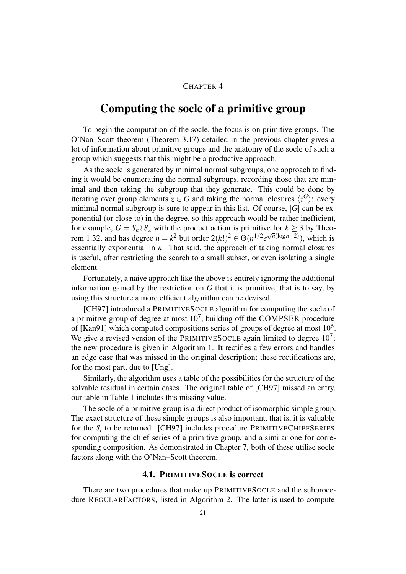#### CHAPTER 4

### Computing the socle of a primitive group

To begin the computation of the socle, the focus is on primitive groups. The O'Nan–Scott theorem (Theorem 3.17) detailed in the previous chapter gives a lot of information about primitive groups and the anatomy of the socle of such a group which suggests that this might be a productive approach.

As the socle is generated by minimal normal subgroups, one approach to finding it would be enumerating the normal subgroups, recording those that are minimal and then taking the subgroup that they generate. This could be done by iterating over group elements  $z \in G$  and taking the normal closures  $\langle z^G \rangle$ : every minimal normal subgroup is sure to appear in this list. Of course,  $|G|$  can be exponential (or close to) in the degree, so this approach would be rather inefficient, for example,  $G = S_k \wr S_2$  with the product action is primitive for  $k \geq 3$  by Theorem 1.32, and has degree  $n = k^2$  but order  $2(k!)^2 \in \Theta(n^{1/2} e^{\sqrt{n}(\log n - 2)})$ , which is essentially exponential in *n*. That said, the approach of taking normal closures is useful, after restricting the search to a small subset, or even isolating a single element.

Fortunately, a naive approach like the above is entirely ignoring the additional information gained by the restriction on *G* that it is primitive, that is to say, by using this structure a more efficient algorithm can be devised.

[CH97] introduced a PRIMITIVESOCLE algorithm for computing the socle of a primitive group of degree at most  $10^7$ , building off the COMPSER procedure of [Kan91] which computed compositions series of groups of degree at most  $10^6$ . We give a revised version of the PRIMITIVES OCLE again limited to degree  $10^7$ ; the new procedure is given in Algorithm 1. It rectifies a few errors and handles an edge case that was missed in the original description; these rectifications are, for the most part, due to [Ung].

Similarly, the algorithm uses a table of the possibilities for the structure of the solvable residual in certain cases. The original table of [CH97] missed an entry, our table in Table 1 includes this missing value.

The socle of a primitive group is a direct product of isomorphic simple group. The exact structure of these simple groups is also important, that is, it is valuable for the  $S_i$  to be returned. [CH97] includes procedure PRIMITIVECHIEFSERIES for computing the chief series of a primitive group, and a similar one for corresponding composition. As demonstrated in Chapter 7, both of these utilise socle factors along with the O'Nan–Scott theorem.

#### 4.1. PRIMITIVESOCLE is correct

There are two procedures that make up PRIMITIVESOCLE and the subprocedure REGULARFACTORS, listed in Algorithm 2. The latter is used to compute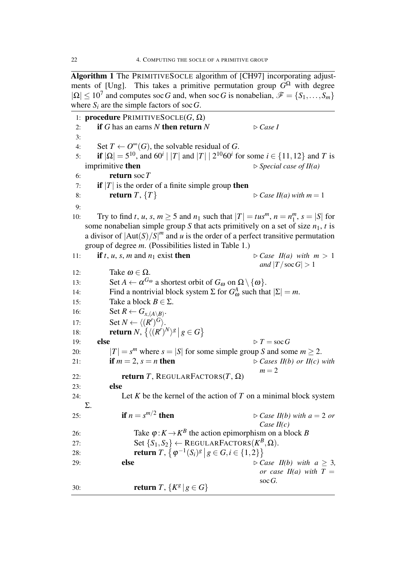Algorithm 1 The PRIMITIVESOCLE algorithm of [CH97] incorporating adjustments of [Ung]. This takes a primitive permutation group  $\overline{G}^{\Omega}$  with degree  $|Q| \le 10^7$  and computes soc *G* and, when soc *G* is nonabelian,  $\mathscr{F} = \{S_1, \ldots, S_m\}$ where  $S_i$  are the simple factors of soc  $G$ .

1: procedure PRIMITIVESOCLE(*G*, Ω) 2: if *G* has an earns *N* then return  $N \geq C \text{ as } I$ 3: 4: Set  $T \leftarrow O^{\infty}(G)$ , the solvable residual of *G*. 5: if  $|\Omega| = 5^{10}$ , and  $60^{i}$  | |T| and  $|T|$  |  $2^{10}60^{i}$  for some  $i \in \{11, 12\}$  and T is imprimitive then *▷ Special case of II(a)* 6: return soc*T* 7: **if**  $|T|$  is the order of a finite simple group then 8: **return** *T*,  $\{T\}$   $\triangleright$  *Case II(a) with*  $m = 1$ 9: 10: Try to find *t*, *u*, *s*,  $m \ge 5$  and  $n_1$  such that  $|T| = t u s^m$ ,  $n = n_1^m$  $\binom{m}{1}$ ,  $s = |S|$  for some nonabelian simple group *S* that acts primitively on a set of size  $n_1$ , *t* is a divisor of  $|Aut(S)/S|^m$  and *u* is the order of a perfect transitive permutation group of degree *m*. (Possibilities listed in Table 1.) 11: if *t*, *u*, *s*, *m* and *n*<sub>1</sub> exist then  $\triangleright$  *Case II(a) with*  $m > 1$ *and*  $|T/\operatorname{soc} G| > 1$ 12: **Take ω** ∈ Ω. 13: Set  $A \leftarrow \alpha^{G_{\omega}}$  a shortest orbit of  $G_{\omega}$  on  $\Omega \setminus \{\omega\}.$ 14: Find a nontrivial block system Σ for  $G^A_\omega$  such that  $|\Sigma| = m$ . 15: Take a block  $B \in \Sigma$ . 16: Set  $R \leftarrow G_{x,(A \setminus B)}$ . 17: **Set**  $N \leftarrow \langle (R')^G \rangle$ . 18: **return**  $N$ ,  $\left\{ \left\langle (R')^N \right\rangle^g \mid g \in G \right\}$ 19: **else**  $\triangleright T = \operatorname{soc} G$ 20:  $|T| = s^m$  where  $s = |S|$  for some simple group *S* and some  $m \ge 2$ . 21: **if**  $m = 2$ ,  $s = n$  **then**  $\triangleright$  *Cases II(b) or II(c) with*  $m = 2$ 22: **return** *T*, REGULARFACTORS(*T*,  $\Omega$ ) 23: else 24: Let *K* be the kernel of the action of *T* on a minimal block system Σ. 25: **if**  $n = s^{m/2}$  $\triangleright$  *Case II(b)* with  $a = 2$  *or Case II(c)* 26: Take  $\varphi$ :  $K \to K^B$  the action epimorphism on a block *B* 27: Set  ${S_1, S_2} \leftarrow \text{REGULARFACTORS}(K^B, \Omega)$ . 28: **return**  $T, \{ \varphi^{-1}(S_i)^g \mid g \in G, i \in \{1, 2\} \}$ 29: **else** *b*  $\bigcirc$  *case II(b)* with  $a \geq 3$ , *or case II(a)* with  $T =$ soc*G.* 30: **return** *T*,  $\{K^g | g \in G\}$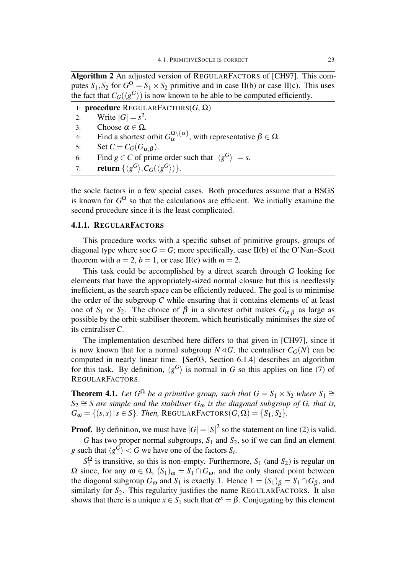Algorithm 2 An adjusted version of REGULARFACTORS of [CH97]. This computes  $S_1$ ,  $S_2$  for  $G^{\Omega} = S_1 \times S_2$  primitive and in case II(b) or case II(c). This uses the fact that  $C_G(\langle g^G \rangle)$  is now known to be able to be computed efficiently.

1: procedure REGULARFACTORS(*G*, Ω) 2: Write  $|G| = s^2$ . 3: Choose  $\alpha \in \Omega$ . 4: Find a shortest orbit  $G_{\alpha}^{\Omega \setminus {\{\alpha\}}}$ , with representative  $\beta \in \Omega$ . 5: Set  $C = C_G(G_{\alpha,\beta})$ . 6: Find  $g \in C$  of prime order such that  $|\langle g^G \rangle| = s$ . 7: **return**  $\{\langle g^G \rangle, C_G(\langle g^G \rangle)\}.$ 

the socle factors in a few special cases. Both procedures assume that a BSGS is known for  $G^{\Omega}$  so that the calculations are efficient. We initially examine the second procedure since it is the least complicated.

#### 4.1.1. REGULARFACTORS

This procedure works with a specific subset of primitive groups, groups of diagonal type where  $\sec G = G$ ; more specifically, case II(b) of the O'Nan–Scott theorem with  $a = 2$ ,  $b = 1$ , or case II(c) with  $m = 2$ .

This task could be accomplished by a direct search through *G* looking for elements that have the appropriately-sized normal closure but this is needlessly inefficient, as the search space can be efficiently reduced. The goal is to minimise the order of the subgroup *C* while ensuring that it contains elements of at least one of  $S_1$  or  $S_2$ . The choice of  $\beta$  in a shortest orbit makes  $G_{\alpha,\beta}$  as large as possible by the orbit-stabiliser theorem, which heuristically minimises the size of its centraliser *C*.

The implementation described here differs to that given in [CH97], since it is now known that for a normal subgroup  $N \triangleleft G$ , the centraliser  $C_G(N)$  can be computed in nearly linear time. [Ser03, Section 6.1.4] describes an algorithm for this task. By definition,  $\langle g^G \rangle$  is normal in *G* so this applies on line (7) of REGULARFACTORS.

**Theorem 4.1.** Let  $G^{\Omega}$  be a primitive group, such that  $G = S_1 \times S_2$  where  $S_1 \cong S_1$  $S_2 \cong S$  *are simple and the stabiliser*  $G_{\omega}$  *is the diagonal subgroup of G, that is,*  $G_{\omega} = \{(s, s) | s \in S\}$ . Then, REGULARFACTORS $(G, \Omega) = \{S_1, S_2\}$ .

**Proof.** By definition, we must have  $|G| = |S|^2$  so the statement on line (2) is valid.

*G* has two proper normal subgroups,  $S_1$  and  $S_2$ , so if we can find an element *g* such that  $\langle g^G \rangle < G$  we have one of the factors  $S_i$ .

*S* Ω  $\frac{1}{1}$  is transitive, so this is non-empty. Furthermore,  $S_1$  (and  $S_2$ ) is regular on Ω since, for any  $ω ∈ Ω$ ,  $(S_1)ω = S_1 ∩ G_ω$ , and the only shared point between the diagonal subgroup  $G_{\omega}$  and  $S_1$  is exactly 1. Hence  $1 = (S_1)_{\beta} = S_1 \cap G_{\beta}$ , and similarly for  $S_2$ . This regularity justifies the name REGULARFACTORS. It also shows that there is a unique  $x \in S_1$  such that  $\alpha^x = \beta$ . Conjugating by this element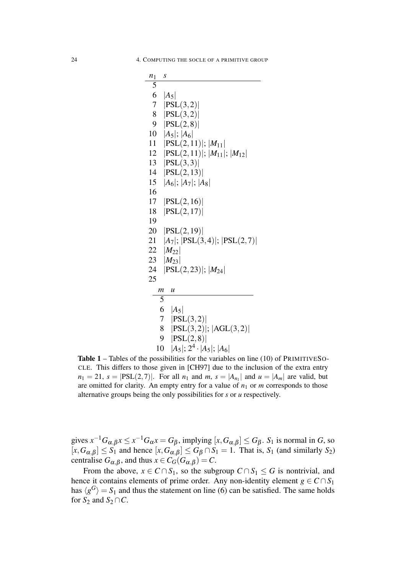| $n_1$ | S                                            |
|-------|----------------------------------------------|
| 5     |                                              |
| 6     | $ A_5 $                                      |
| 7     | PSL(3,2)                                     |
| 8     | PSL(3,2)                                     |
| 9     | PSL(2,8)                                     |
| 10    | $ A_5 $ ; $ A_6 $                            |
| 11    | $ PSL(2,11) ;  M_{11} $                      |
|       | 12   PSL $(2,11)$  ; $ M_{11} $ ; $ M_{12} $ |
|       | 13 $ PSL(3,3) $                              |
| 14    | PSL(2,13)                                    |
| 15    | $ A_6 $ ; $ A_7 $ ; $ A_8 $                  |
| 16    |                                              |
| 17    | PSL(2,16)                                    |
| 18    | PSL(2,17)                                    |
| 19    |                                              |
| 20    | PSL(2,19)                                    |
| 21    | $ A_7 $ ; $ PSL(3,4) $ ; $ PSL(2,7) $        |
|       | 22 $ M_{22} $                                |
| 23    | $ M_{23} $                                   |
| 24    | $ PSL(2,23) $ ; $ M_{24} $                   |
| 25    |                                              |
| т     | u                                            |
|       | 5                                            |
|       | 6<br>$ A_5 $                                 |
|       | 7<br> PSL(3,2)                               |
|       | 8<br>$ PSL(3,2) $ ; $ AGL(3,2) $             |
|       | PSL(2,8) <br>9                               |
|       | $ A_5 $ ; $2^4 \cdot  A_5 $ ; $ A_6 $<br>10  |

Table 1 – Tables of the possibilities for the variables on line (10) of PRIMITIVESO-CLE. This differs to those given in [CH97] due to the inclusion of the extra entry  $n_1 = 21$ ,  $s = |PSL(2, 7)|$ . For all  $n_1$  and  $m$ ,  $s = |A_{n_1}|$  and  $u = |A_m|$  are valid, but are omitted for clarity. An empty entry for a value of  $n_1$  or  $m$  corresponds to those alternative groups being the only possibilities for *s* or *u* respectively.

gives  $x^{-1}G_{\alpha,\beta}x \le x^{-1}G_{\alpha}x = G_{\beta}$ , implying  $[x, G_{\alpha,\beta}] \le G_{\beta}$ .  $S_1$  is normal in *G*, so  $[x, G_{\alpha,\beta}] \leq S_1$  and hence  $[x, G_{\alpha,\beta}] \leq G_{\beta} \cap S_1 = 1$ . That is,  $S_1$  (and similarly  $S_2$ ) centralise  $G_{\alpha,\beta}$ , and thus  $x \in C_G(G_{\alpha,\beta}) = C$ .

From the above,  $x \in C \cap S_1$ , so the subgroup  $C \cap S_1 \leq G$  is nontrivial, and hence it contains elements of prime order. Any non-identity element  $g \in C \cap S_1$ has  $\langle g^G \rangle = S_1$  and thus the statement on line (6) can be satisfied. The same holds for  $S_2$  and  $S_2 \cap C$ .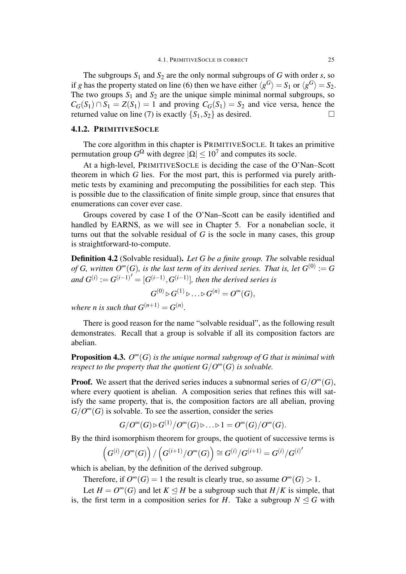The subgroups  $S_1$  and  $S_2$  are the only normal subgroups of *G* with order *s*, so if *g* has the property stated on line (6) then we have either  $\langle g^G \rangle = S_1$  or  $\langle g^G \rangle = S_2$ . The two groups  $S_1$  and  $S_2$  are the unique simple minimal normal subgroups, so  $C_G(S_1) \cap S_1 = Z(S_1) = 1$  and proving  $C_G(S_1) = S_2$  and vice versa, hence the returned value on line (7) is exactly  ${S_1, S_2}$  as desired.

#### 4.1.2. PRIMITIVESOCLE

The core algorithm in this chapter is PRIMITIVESOCLE. It takes an primitive permutation group  $G^{\Omega}$  with degree  $|\Omega| \leq 10^7$  and computes its socle.

At a high-level, PRIMITIVESOCLE is deciding the case of the O'Nan–Scott theorem in which *G* lies. For the most part, this is performed via purely arithmetic tests by examining and precomputing the possibilities for each step. This is possible due to the classification of finite simple group, since that ensures that enumerations can cover ever case.

Groups covered by case I of the O'Nan–Scott can be easily identified and handled by EARNS, as we will see in Chapter 5. For a nonabelian socle, it turns out that the solvable residual of *G* is the socle in many cases, this group is straightforward-to-compute.

Definition 4.2 (Solvable residual). *Let G be a finite group. The* solvable residual *of G*, written  $O^{\infty}(G)$ , is the last term of its derived series. That is, let  $G^{(0)} := G$  $\int$ *and*  $G^{(i)} := G^{(i-1)} = [G^{(i-1)}, G^{(i-1)}]$ , then the derived series is

$$
G^{(0)} \triangleright G^{(1)} \triangleright \ldots \triangleright G^{(n)} = O^{\infty}(G),
$$

*where n is such that*  $G^{(n+1)} = G^{(n)}$ *.* 

There is good reason for the name "solvable residual", as the following result demonstrates. Recall that a group is solvable if all its composition factors are abelian.

**Proposition 4.3.**  $O^{\infty}(G)$  *is the unique normal subgroup of* G *that is minimal with respect to the property that the quotient*  $G/O^{\infty}(G)$  *is solvable.* 

**Proof.** We assert that the derived series induces a subnormal series of  $G/O^{\infty}(G)$ , where every quotient is abelian. A composition series that refines this will satisfy the same property, that is, the composition factors are all abelian, proving  $G/O^{\infty}(G)$  is solvable. To see the assertion, consider the series

$$
G/O^{\infty}(G) \triangleright G^{(1)}/O^{\infty}(G) \triangleright \ldots \triangleright 1 = O^{\infty}(G)/O^{\infty}(G).
$$

By the third isomorphism theorem for groups, the quotient of successive terms is

$$
\left(G^{(i)}/O^{\infty}(G)\right)/\left(G^{(i+1)}/O^{\infty}(G)\right)\cong G^{(i)}/G^{(i+1)}=G^{(i)}/G^{(i)'}
$$

which is abelian, by the definition of the derived subgroup.

Therefore, if  $O^{\infty}(G) = 1$  the result is clearly true, so assume  $O^{\infty}(G) > 1$ .

Let  $H = O^{\infty}(G)$  and let  $K \leq H$  be a subgroup such that  $H/K$  is simple, that is, the first term in a composition series for *H*. Take a subgroup  $N \leq G$  with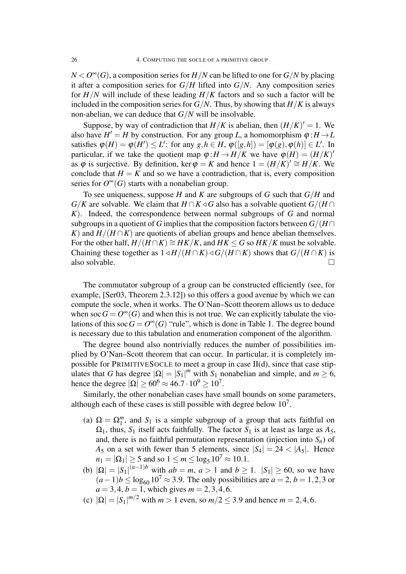$N < O^{\infty}(G)$ , a composition series for  $H/N$  can be lifted to one for  $G/N$  by placing it after a composition series for  $G/H$  lifted into  $G/N$ . Any composition series for *H/N* will include of these leading *H/K* factors and so such a factor will be included in the composition series for  $G/N$ . Thus, by showing that  $H/K$  is always non-abelian, we can deduce that *G/N* will be insolvable.

Suppose, by way of contradiction that  $H/K$  is abelian, then  $(H/K)' = 1$ . We also have  $H' = H$  by construction. For any group *L*, a homomorphism  $\varphi : H \to L$ satisfies  $\varphi(H) = \varphi(H') \leq L'$ : for any  $g, h \in H$ ,  $\varphi([g,h]) = [\varphi(g), \varphi(h)] \in L'$ . In particular, if we take the quotient map  $\varphi: H \to H/K$  we have  $\varphi(H) = (H/K)^t$ as  $\varphi$  is surjective. By definition, ker  $\varphi = K$  and hence  $1 = (H/K)' \cong H/K$ . We conclude that  $H = K$  and so we have a contradiction, that is, every composition series for  $O^{\infty}(G)$  starts with a nonabelian group.

To see uniqueness, suppose *H* and *K* are subgroups of *G* such that *G/H* and *G*/*K* are solvable. We claim that *H* ∩*K*  $\triangleleft$  *G* also has a solvable quotient *G*/(*H* ∩ *K*). Indeed, the correspondence between normal subgroups of *G* and normal subgroups in a quotient of *G* implies that the composition factors between  $G/(H \cap$ *K*) and  $H/(H \cap K)$  are quotients of abelian groups and hence abelian themselves. For the other half,  $H/(H \cap K) \cong HK/K$ , and  $HK \leq G$  so  $HK/K$  must be solvable. Chaining these together as  $1 \triangleleft H / (H \cap K) \triangleleft G / (H \cap K)$  shows that  $G / (H \cap K)$  is also solvable.  $\Box$ 

The commutator subgroup of a group can be constructed efficiently (see, for example, [Ser03, Theorem 2.3.12]) so this offers a good avenue by which we can compute the socle, when it works. The O'Nan–Scott theorem allows us to deduce when soc  $G = O^{\infty}(G)$  and when this is not true. We can explicitly tabulate the violations of this soc  $G = O^{\infty}(G)$  "rule", which is done in Table 1. The degree bound is necessary due to this tabulation and enumeration component of the algorithm.

The degree bound also nontrivially reduces the number of possibilities implied by O'Nan–Scott theorem that can occur. In particular, it is completely impossible for PRIMITIVESOCLE to meet a group in case II(d), since that case stipulates that *G* has degree  $|\Omega| = |S_1|^m$  with  $S_1$  nonabelian and simple, and  $m \ge 6$ , hence the degree  $|\Omega| \ge 60^6 \approx 46.7 \cdot 10^9 \ge 10^7$ .

Similarly, the other nonabelian cases have small bounds on some parameters, although each of these cases is still possible with degree below  $10<sup>7</sup>$ .

- (a)  $\Omega = \Omega_1^m$ , and  $S_1$  is a simple subgroup of a group that acts faithful on  $\Omega_1$ , thus,  $S_1$  itself acts faithfully. The factor  $S_1$  is at least as large as  $A_5$ , and, there is no faithful permutation representation (injection into  $S_n$ ) of *A*<sub>5</sub> on a set with fewer than 5 elements, since  $|S_4| = 24 < |A_5|$ . Hence  $n_1 = |\Omega_1| \ge 5$  and so  $1 \le m \le \log_5 10^7 \approx 10.1$ .
- (b)  $|Ω| = |S₁|^{(a-1)b}$  with  $ab = m$ ,  $a > 1$  and  $b \ge 1$ .  $|S₁| \ge 60$ , so we have  $(a-1)b \le log_{60} 10^7 \approx 3.9$ . The only possibilities are  $a = 2$ ,  $b = 1,2,3$  or  $a = 3, 4, b = 1$ , which gives  $m = 2, 3, 4, 6$ .
- (c)  $|\Omega| = |S_1|^{m/2}$  with  $m > 1$  even, so  $m/2 \le 3.9$  and hence  $m = 2, 4, 6$ .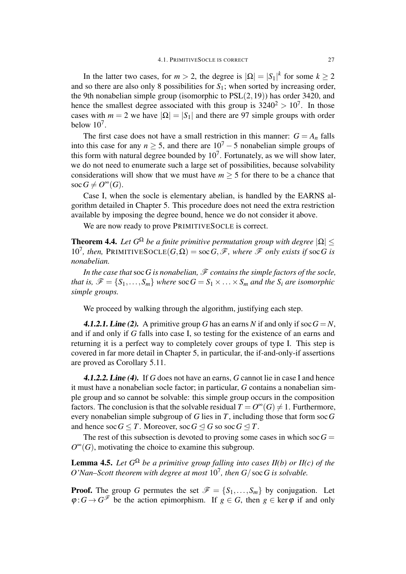In the latter two cases, for  $m > 2$ , the degree is  $|\Omega| = |S_1|^k$  for some  $k \ge 2$ and so there are also only 8 possibilities for  $S_1$ ; when sorted by increasing order, the 9th nonabelian simple group (isomorphic to PSL(2*,*19)) has order 3420, and hence the smallest degree associated with this group is  $3240^2 > 10^7$ . In those cases with  $m = 2$  we have  $|\Omega| = |S_1|$  and there are 97 simple groups with order below  $10<sup>7</sup>$ .

The first case does not have a small restriction in this manner:  $G = A_n$  falls into this case for any  $n \geq 5$ , and there are  $10^7 - 5$  nonabelian simple groups of this form with natural degree bounded by  $10^7$ . Fortunately, as we will show later, we do not need to enumerate such a large set of possibilities, because solvability considerations will show that we must have  $m \geq 5$  for there to be a chance that  $\operatorname{soc} G \neq O^{\infty}(G)$ .

Case I, when the socle is elementary abelian, is handled by the EARNS algorithm detailed in Chapter 5. This procedure does not need the extra restriction available by imposing the degree bound, hence we do not consider it above.

We are now ready to prove PRIMITIVESOCLE is correct.

**Theorem 4.4.** Let  $G^{\Omega}$  be a finite primitive permutation group with degree  $|\Omega|$   $\leq$ 10<sup>7</sup>, then, PRIMITIVESOCLE $(G, \Omega) = \text{soc } G, \mathscr{F}$ , where  $\mathscr{F}$  only exists if  $\text{soc } G$  is *nonabelian.*

*In the case that*soc*G is nonabelian, F contains the simple factors of the socle, that is,*  $\mathscr{F} = \{S_1, \ldots, S_m\}$  *where*  $\operatorname{soc} G = S_1 \times \ldots \times S_m$  *and the*  $S_i$  *are isomorphic simple groups.*

We proceed by walking through the algorithm, justifying each step.

**4.1.2.1. Line (2).** A primitive group G has an earns N if and only if soc  $G = N$ , and if and only if *G* falls into case I, so testing for the existence of an earns and returning it is a perfect way to completely cover groups of type I. This step is covered in far more detail in Chapter 5, in particular, the if-and-only-if assertions are proved as Corollary 5.11.

4.1.2.2. Line (4). If *G* does not have an earns, *G* cannot lie in case I and hence it must have a nonabelian socle factor; in particular, *G* contains a nonabelian simple group and so cannot be solvable: this simple group occurs in the composition factors. The conclusion is that the solvable residual  $T = O^{\infty}(G) \neq 1$ . Furthermore, every nonabelian simple subgroup of *G* lies in *T*, including those that form soc*G* and hence soc  $G \leq T$ . Moreover, soc  $G \leq G$  so soc  $G \leq T$ .

The rest of this subsection is devoted to proving some cases in which soc  $G =$  $O^{\infty}(G)$ , motivating the choice to examine this subgroup.

**Lemma 4.5.** Let  $G^{\Omega}$  be a primitive group falling into cases II(b) or II(c) of the O'Nan–Scott theorem with degree at most  $10^7$ , then  $G/\operatorname{soc} G$  is solvable.

**Proof.** The group *G* permutes the set  $\mathcal{F} = \{S_1, \ldots, S_m\}$  by conjugation. Let  $\varphi: G \to G^{\mathscr{F}}$  be the action epimorphism. If  $g \in G$ , then  $g \in \text{ker } \varphi$  if and only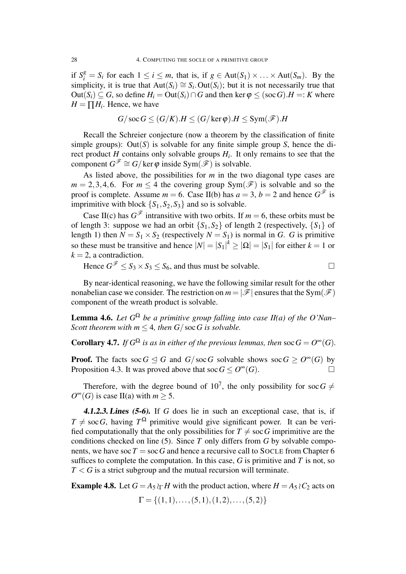if  $S_i^g = S_i$  for each  $1 \le i \le m$ , that is, if  $g \in Aut(S_1) \times \ldots \times Aut(S_m)$ . By the simplicity, it is true that  $Aut(S_i) \cong S_i$ . Out( $S_i$ ); but it is not necessarily true that  $Out(S_i) \subseteq G$ , so define  $H_i = Out(S_i) \cap G$  and then ker  $\varphi \leq (soc \ G)$ .  $H =: K$  where  $H = \prod H_i$ . Hence, we have

$$
G/\operatorname{soc} G \leq (G/K).H \leq (G/\ker \varphi).H \leq \operatorname{Sym}(\mathscr{F}).H
$$

Recall the Schreier conjecture (now a theorem by the classification of finite simple groups): Out $(S)$  is solvable for any finite simple group *S*, hence the direct product *H* contains only solvable groups *H<sup>i</sup>* . It only remains to see that the component  $G^{\mathscr{F}} \cong G/\ker \varphi$  inside Sym $(\mathscr{F})$  is solvable.

As listed above, the possibilities for *m* in the two diagonal type cases are  $m = 2, 3, 4, 6$ . For  $m \leq 4$  the covering group Sym( $\mathscr{F}$ ) is solvable and so the proof is complete. Assume  $m = 6$ . Case II(b) has  $a = 3$ ,  $b = 2$  and hence  $G^{\mathscr{F}}$  is imprimitive with block  ${S_1, S_2, S_3}$  and so is solvable.

Case II(c) has  $G^{\mathscr{F}}$  intransitive with two orbits. If  $m = 6$ , these orbits must be of length 3: suppose we had an orbit  ${S_1, S_2}$  of length 2 (respectively,  ${S_1}$  of length 1) then  $N = S_1 \times S_2$  (respectively  $N = S_1$ ) is normal in *G*. *G* is primitive so these must be transitive and hence  $|N| = |S_1|^k \ge |\Omega| = |S_1|$  for either  $k = 1$  or  $k = 2$ , a contradiction.

Hence  $G^{\mathcal{F}} \leq S_3 \times S_3 \leq S_6$ , and thus must be solvable.

By near-identical reasoning, we have the following similar result for the other nonabelian case we consider. The restriction on  $m = |\mathcal{F}|$  ensures that the Sym $(\mathcal{F})$ component of the wreath product is solvable.

**Lemma 4.6.** Let  $G^{\Omega}$  be a primitive group falling into case II(a) of the O'Nan– *Scott theorem with*  $m < 4$ *, then*  $G / \text{soc } G$  *is solvable.* 

**Corollary 4.7.** *If*  $G^{\Omega}$  *is as in either of the previous lemmas, then* soc  $G = O^{\infty}(G)$ *.* 

**Proof.** The facts soc  $G \trianglelefteq G$  and  $G/\text{soc }G$  solvable shows soc  $G \geq O^{\infty}(G)$  by Proposition 4.3. It was proved above that soc  $G \leq O^{\infty}(G)$ .

Therefore, with the degree bound of  $10^7$ , the only possibility for soc  $G \neq$  $O^{\infty}(G)$  is case II(a) with  $m \geq 5$ .

4.1.2.3. Lines (5-6). If *G* does lie in such an exceptional case, that is, if  $T \neq \text{soc } G$ , having  $T^{\Omega}$  primitive would give significant power. It can be verified computationally that the only possibilities for  $T \neq \text{soc }G$  imprimitive are the conditions checked on line (5). Since *T* only differs from *G* by solvable components, we have soc  $T =$  soc G and hence a recursive call to SOCLE from Chapter 6 suffices to complete the computation. In this case,  $G$  is primitive and  $T$  is not, so *T < G* is a strict subgroup and the mutual recursion will terminate.

**Example 4.8.** Let  $G = A_5 \wr rH$  with the product action, where  $H = A_5 \wr C_2$  acts on

$$
\Gamma = \{(1,1), \ldots, (5,1), (1,2), \ldots, (5,2)\}
$$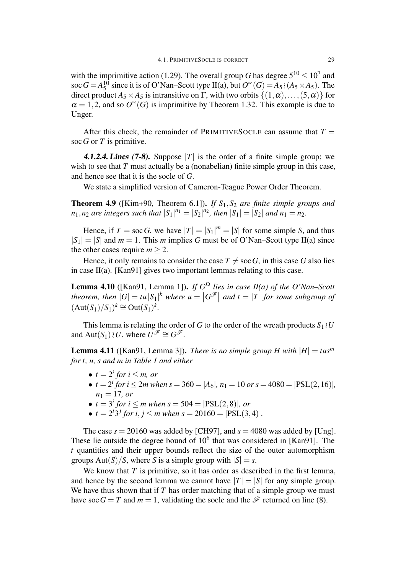with the imprimitive action (1.29). The overall group *G* has degree  $5^{10} \le 10^7$  and soc  $G = A_5^{10}$  $^{10}_{5}$  since it is of O'Nan–Scott type II(a), but  $O^{\infty}(G) = A_5 \wr (A_5 \times A_5)$ . The direct product  $A_5 \times A_5$  is intransitive on  $\Gamma$ , with two orbits  $\{(1, \alpha), \ldots, (5, \alpha)\}\$ for  $\alpha = 1, 2$ , and so  $O^{\infty}(G)$  is imprimitive by Theorem 1.32. This example is due to Unger.

After this check, the remainder of PRIMITIVES OCLE can assume that  $T =$ soc*G* or *T* is primitive.

**4.1.2.4. Lines (7-8).** Suppose  $|T|$  is the order of a finite simple group; we wish to see that *T* must actually be a (nonabelian) finite simple group in this case, and hence see that it is the socle of *G*.

We state a simplified version of Cameron-Teague Power Order Theorem.

**Theorem 4.9** ([Kim+90, Theorem 6.1]). *If*  $S_1$ ,  $S_2$  *are finite simple groups and*  $n_1, n_2$  are integers such that  $|S_1|^{n_1} = |S_2|^{n_2}$ , then  $|S_1| = |S_2|$  and  $n_1 = n_2$ .

Hence, if  $T = \text{soc } G$ , we have  $|T| = |S_1|^m = |S|$  for some simple *S*, and thus  $|S_1| = |S|$  and  $m = 1$ . This *m* implies *G* must be of O'Nan–Scott type II(a) since the other cases require  $m > 2$ .

Hence, it only remains to consider the case  $T \neq \text{soc } G$ , in this case G also lies in case II(a). [Kan91] gives two important lemmas relating to this case.

**Lemma 4.10** ([Kan91, Lemma 1]). *If*  $G^{\Omega}$  *lies in case II(a) of the O'Nan–Scott* theorem, then  $|G| = t u |S_1|^k$  where  $u = |G^{\mathscr{F}}|$  and  $t = |T|$  for some subgroup of  $(\text{Aut}(S_1)/S_1)^k \cong \text{Out}(S_1)^k$ .

This lemma is relating the order of *G* to the order of the wreath products  $S_1 \wr U$ and  $Aut(S_1) \wr U$ , where  $U^{\mathscr{F}} \cong G^{\mathscr{F}}$ .

**Lemma 4.11** ([Kan91, Lemma 3]). *There is no simple group H* with  $|H| = t u s<sup>m</sup>$ *for t, u, s and m in Table 1 and either*

- $t = 2^i$  *for*  $i \leq m$ *, or*
- $t = 2^{i}$  *for*  $i \le 2m$  *when*  $s = 360 = |A_6|$ ,  $n_1 = 10$  *or*  $s = 4080 = |PSL(2, 16)|$ ,  $n_1 = 17$ *, or*
- $t = 3^i$  *for*  $i \le m$  *when*  $s = 504 = |PSL(2,8)|$ *, or*
- $t = 2^{i}3^{j}$  *for*  $i, j \leq m$  *when*  $s = 20160 = |PSL(3, 4)|$ *.*

The case  $s = 20160$  was added by [CH97], and  $s = 4080$  was added by [Ung]. These lie outside the degree bound of  $10<sup>6</sup>$  that was considered in [Kan91]. The *t* quantities and their upper bounds reflect the size of the outer automorphism groups  $Aut(S)/S$ , where *S* is a simple group with  $|S| = s$ .

We know that *T* is primitive, so it has order as described in the first lemma, and hence by the second lemma we cannot have  $|T| = |S|$  for any simple group. We have thus shown that if *T* has order matching that of a simple group we must have soc  $G = T$  and  $m = 1$ , validating the socle and the  $\mathscr F$  returned on line (8).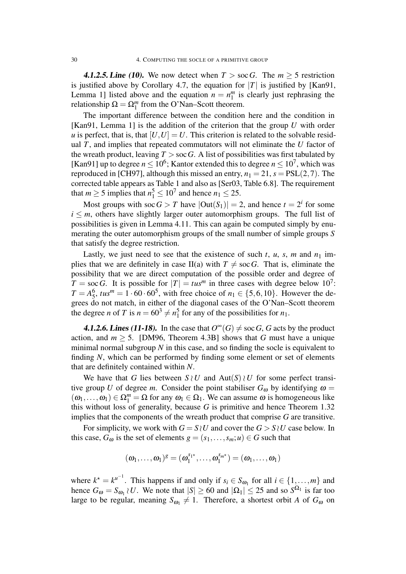**4.1.2.5. Line (10).** We now detect when  $T > \text{soc } G$ . The  $m \geq 5$  restriction is justified above by Corollary 4.7, the equation for  $|T|$  is justified by [Kan91, Lemma 1] listed above and the equation  $n = n_1^m$  $\frac{m}{1}$  is clearly just rephrasing the relationship  $\Omega = \Omega_1^m$  from the O'Nan–Scott theorem.

The important difference between the condition here and the condition in [Kan91, Lemma 1] is the addition of the criterion that the group *U* with order *u* is perfect, that is, that  $[U, U] = U$ . This criterion is related to the solvable residual *T*, and implies that repeated commutators will not eliminate the *U* factor of the wreath product, leaving  $T >$  soc G. A list of possibilities was first tabulated by [Kan91] up to degree  $n \leq 10^6$ ; Kantor extended this to degree  $n \leq 10^7$ , which was reproduced in [CH97], although this missed an entry,  $n_1 = 21$ ,  $s = PSL(2, 7)$ . The corrected table appears as Table 1 and also as [Ser03, Table 6.8]. The requirement that *m*  $\geq$  5 implies that  $n_1^5 \leq 10^7$  and hence  $n_1 \leq 25$ .

Most groups with  $\operatorname{soc} G > T$  have  $|\text{Out}(S_1)| = 2$ , and hence  $t = 2^i$  for some  $i \leq m$ , others have slightly larger outer automorphism groups. The full list of possibilities is given in Lemma 4.11. This can again be computed simply by enumerating the outer automorphism groups of the small number of simple groups *S* that satisfy the degree restriction.

Lastly, we just need to see that the existence of such  $t$ ,  $u$ ,  $s$ ,  $m$  and  $n_1$  implies that we are definitely in case II(a) with  $T \neq \text{soc } G$ . That is, eliminate the possibility that we are direct computation of the possible order and degree of  $T = \text{soc } G$ . It is possible for  $|T| = t u s^m$  in three cases with degree below 10<sup>7</sup>:  $T = A_5^6$  $\frac{6}{5}$ ,  $tus^m = 1 \cdot 60 \cdot 60^5$ , with free choice of  $n_1 \in \{5, 6, 10\}$ . However the degrees do not match, in either of the diagonal cases of the O'Nan–Scott theorem the degree *n* of *T* is  $n = 60^3 \neq n_1^5$  $\frac{5}{1}$  for any of the possibilities for  $n_1$ .

**4.1.2.6. Lines (11-18).** In the case that  $O^{\infty}(G) \neq \text{soc }G$ , *G* acts by the product action, and  $m \geq 5$ . [DM96, Theorem 4.3B] shows that *G* must have a unique minimal normal subgroup *N* in this case, and so finding the socle is equivalent to finding *N*, which can be performed by finding some element or set of elements that are definitely contained within *N*.

We have that *G* lies between  $S \wr U$  and  $Aut(S) \wr U$  for some perfect transitive group *U* of degree *m*. Consider the point stabiliser  $G_{\omega}$  by identifying  $\omega =$  $(\omega_1,\ldots,\omega_1) \in \Omega_1^m = \Omega$  for any  $\omega_1 \in \Omega_1$ . We can assume  $\omega$  is homogeneous like this without loss of generality, because *G* is primitive and hence Theorem 1.32 implies that the components of the wreath product that comprise *G* are transitive.

For simplicity, we work with  $G = S \setminus U$  and cover the  $G > S \setminus U$  case below. In this case,  $G_{\omega}$  is the set of elements  $g = (s_1, \ldots, s_m; u) \in G$  such that

$$
(\omega_1,\ldots,\omega_1)^g=(\omega_1^{s_1\star},\ldots,\omega_1^{s_{m^\star}})=(\omega_1,\ldots,\omega_1)
$$

where  $k^* = k^{u^{-1}}$ . This happens if and only if  $s_i \in S_{\omega_1}$  for all  $i \in \{1, ..., m\}$  and hence  $G_{\omega} = S_{\omega_1} \wr U$ . We note that  $|S| \ge 60$  and  $|\Omega_1| \le 25$  and so  $S^{\Omega_1}$  is far too large to be regular, meaning  $S_{\omega_1} \neq 1$ . Therefore, a shortest orbit *A* of  $G_{\omega}$  on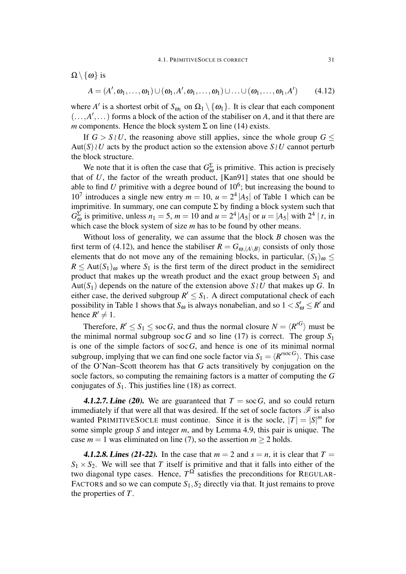$\Omega \setminus \{\omega\}$  is

$$
A = (A', \omega_1, \ldots, \omega_1) \cup (\omega_1, A', \omega_1, \ldots, \omega_1) \cup \ldots \cup (\omega_1, \ldots, \omega_1, A') \qquad (4.12)
$$

where *A'* is a shortest orbit of  $S_{\omega_1}$  on  $\Omega_1 \setminus {\{\omega_1\}}$ . It is clear that each component  $($ ..., $A'$ ,...) forms a block of the action of the stabiliser on *A*, and it that there are *m* components. Hence the block system  $\Sigma$  on line (14) exists.

If  $G > S \wr U$ , the reasoning above still applies, since the whole group  $G \leq$ Aut(*S*)*≀U* acts by the product action so the extension above *S ≀U* cannot perturb the block structure.

We note that it is often the case that  $G_{\omega}^{\Sigma}$  is primitive. This action is precisely that of *U*, the factor of the wreath product, [Kan91] states that one should be able to find  $U$  primitive with a degree bound of  $10^6$ ; but increasing the bound to 10<sup>7</sup> introduces a single new entry  $m = 10$ ,  $u = 2^4 |A_5|$  of Table 1 which can be imprimitive. In summary, one can compute  $\Sigma$  by finding a block system such that  $G_{\omega}^{\Sigma}$  is primitive, unless  $n_1 = 5$ ,  $m = 10$  and  $u = 2^4 |A_5|$  or  $u = |A_5|$  with  $2^4 |t$ , in which case the block system of size *m* has to be found by other means.

Without loss of generality, we can assume that the block *B* chosen was the first term of (4.12), and hence the stabiliser  $R = G_{\omega,(A \setminus B)}$  consists of only those elements that do not move any of the remaining blocks, in particular,  $(S_1)_{\omega} \leq$  $R \leq$  Aut $(S_1)_{\omega}$  where  $S_1$  is the first term of the direct product in the semidirect product that makes up the wreath product and the exact group between  $S_1$  and Aut( $S_1$ ) depends on the nature of the extension above  $S \wr U$  that makes up *G*. In either case, the derived subgroup  $R' \leq S_1$ . A direct computational check of each possibility in Table 1 shows that  $S_{\omega}$  is always nonabelian, and so  $1 < S'_{\omega} \leq R'$  and hence  $R' \neq 1$ .

Therefore,  $R' \leq S_1 \leq \text{soc } G$ , and thus the normal closure  $N = \langle R'^G \rangle$  must be the minimal normal subgroup soc G and so line (17) is correct. The group  $S_1$ is one of the simple factors of soc*G*, and hence is one of its minimal normal subgroup, implying that we can find one socle factor via  $S_1 = \langle R'^{socG} \rangle$ . This case of the O'Nan–Scott theorem has that *G* acts transitively by conjugation on the socle factors, so computing the remaining factors is a matter of computing the *G* conjugates of  $S_1$ . This justifies line (18) as correct.

**4.1.2.7. Line (20).** We are guaranteed that  $T = \text{soc } G$ , and so could return immediately if that were all that was desired. If the set of socle factors  $\mathscr F$  is also wanted PRIMITIVESOCLE must continue. Since it is the socle,  $|T| = |S|^m$  for some simple group *S* and integer *m*, and by Lemma 4.9, this pair is unique. The case  $m = 1$  was eliminated on line (7), so the assertion  $m \ge 2$  holds.

**4.1.2.8. Lines (21-22).** In the case that  $m = 2$  and  $s = n$ , it is clear that  $T =$  $S_1 \times S_2$ . We will see that *T* itself is primitive and that it falls into either of the two diagonal type cases. Hence,  $T^{\Omega}$  satisfies the preconditions for REGULAR-FACTORS and so we can compute  $S_1$ ,  $S_2$  directly via that. It just remains to prove the properties of *T*.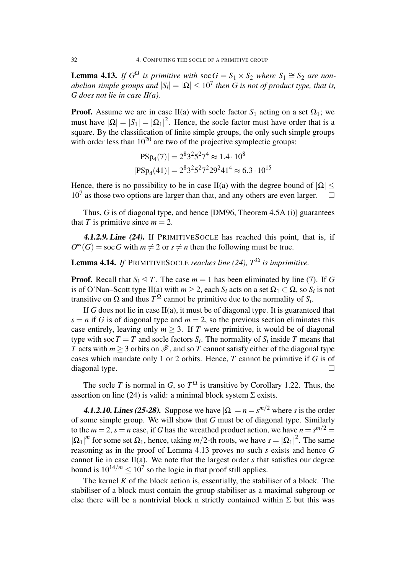**Lemma 4.13.** *If*  $G^{\Omega}$  *is primitive with*  $\operatorname{soc} G = S_1 \times S_2$  *where*  $S_1 \cong S_2$  *are non*abelian simple groups and  $|S_i| = |\Omega| \leq 10^7$  then G is not of product type, that is, *G does not lie in case II(a).*

**Proof.** Assume we are in case II(a) with socle factor  $S_1$  acting on a set  $\Omega_1$ ; we must have  $|\Omega| = |S_1| = |\Omega_1|^2$ . Hence, the socle factor must have order that is a square. By the classification of finite simple groups, the only such simple groups with order less than  $10^{20}$  are two of the projective symplectic groups:

$$
|PSp_4(7)| = 2^8 3^2 5^2 7^4 \approx 1.4 \cdot 10^8
$$
  

$$
|PSp_4(41)| = 2^8 3^2 5^2 7^2 29^2 41^4 \approx 6.3 \cdot 10^{15}
$$

Hence, there is no possibility to be in case II(a) with the degree bound of  $|\Omega|$  < 10<sup>7</sup> as those two options are larger than that, and any others are even larger.  $\Box$ 

Thus, *G* is of diagonal type, and hence [DM96, Theorem 4.5A (i)] guarantees that *T* is primitive since  $m = 2$ .

4.1.2.9. Line (24). If PRIMITIVESOCLE has reached this point, that is, if  $O^{\infty}(G)$  = soc *G* with  $m \neq 2$  or  $s \neq n$  then the following must be true.

### **Lemma 4.14.** *If* PRIMITIVESOCLE *reaches line* (24),  $T^{\Omega}$  *is imprimitive.*

**Proof.** Recall that  $S_i \leq T$ . The case  $m = 1$  has been eliminated by line (7). If G is of O'Nan–Scott type II(a) with  $m \ge 2$ , each  $S_i$  acts on a set  $\Omega_1 \subset \Omega$ , so  $S_i$  is not transitive on  $\Omega$  and thus  $T^{\Omega}$  cannot be primitive due to the normality of  $S_i$ .

If *G* does not lie in case II(a), it must be of diagonal type. It is guaranteed that  $s = n$  if *G* is of diagonal type and  $m = 2$ , so the previous section eliminates this case entirely, leaving only  $m \geq 3$ . If *T* were primitive, it would be of diagonal type with soc  $T = T$  and socle factors  $S_i$ . The normality of  $S_i$  inside  $T$  means that *T* acts with  $m > 3$  orbits on  $\mathcal{F}$ , and so *T* cannot satisfy either of the diagonal type cases which mandate only 1 or 2 orbits. Hence, *T* cannot be primitive if *G* is of diagonal type. □

The socle *T* is normal in *G*, so  $T^{\Omega}$  is transitive by Corollary 1.22. Thus, the assertion on line (24) is valid: a minimal block system  $\Sigma$  exists.

**4.1.2.10. Lines (25-28).** Suppose we have  $|\Omega| = n = s^{m/2}$  where *s* is the order of some simple group. We will show that *G* must be of diagonal type. Similarly to the  $m = 2$ ,  $s = n$  case, if G has the wreathed product action, we have  $n = s^{m/2} =$  $|\Omega_1|^m$  for some set  $\Omega_1$ , hence, taking *m*/2-th roots, we have  $s = |\Omega_1|^2$ . The same reasoning as in the proof of Lemma 4.13 proves no such *s* exists and hence *G* cannot lie in case II(a). We note that the largest order *s* that satisfies our degree bound is  $10^{14/m} \le 10^7$  so the logic in that proof still applies.

The kernel  $K$  of the block action is, essentially, the stabiliser of a block. The stabiliser of a block must contain the group stabiliser as a maximal subgroup or else there will be a nontrivial block n strictly contained within  $\Sigma$  but this was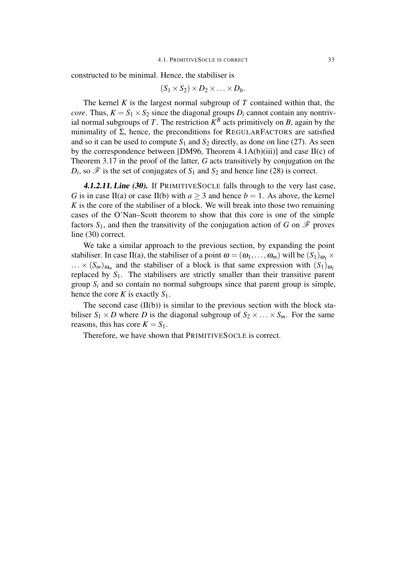constructed to be minimal. Hence, the stabiliser is

$$
(S_1 \times S_2) \times D_2 \times \ldots \times D_b.
$$

The kernel *K* is the largest normal subgroup of *T* contained within that, the *core*. Thus,  $K = S_1 \times S_2$  since the diagonal groups  $D_i$  cannot contain any nontrivial normal subgroups of *T*. The restriction  $K^B$  acts primitively on *B*, again by the minimality of  $\Sigma$ , hence, the preconditions for REGULARFACTORS are satisfied and so it can be used to compute  $S_1$  and  $S_2$  directly, as done on line (27). As seen by the correspondence between [DM96, Theorem  $4.1A(b)(iii)$ ] and case II(c) of Theorem 3.17 in the proof of the latter, *G* acts transitively by conjugation on the  $D_i$ , so  $\mathscr F$  is the set of conjugates of  $S_1$  and  $S_2$  and hence line (28) is correct.

4.1.2.11. Line (30). If PRIMITIVES OCLE falls through to the very last case, *G* is in case II(a) or case II(b) with  $a \ge 3$  and hence  $b = 1$ . As above, the kernel *K* is the core of the stabiliser of a block. We will break into those two remaining cases of the O'Nan–Scott theorem to show that this core is one of the simple factors  $S_1$ , and then the transitivity of the conjugation action of *G* on  $\mathscr F$  proves line (30) correct.

We take a similar approach to the previous section, by expanding the point stabiliser. In case II(a), the stabiliser of a point  $\omega = (\omega_1, \ldots, \omega_m)$  will be  $(S_1)_{\omega_1} \times$  $\ldots \times (S_m)_{\omega_m}$  and the stabiliser of a block is that same expression with  $(S_1)_{\omega_1}$ replaced by  $S_1$ . The stabilisers are strictly smaller than their transitive parent group  $S_i$  and so contain no normal subgroups since that parent group is simple, hence the core *K* is exactly  $S_1$ .

The second case  $(II(b))$  is similar to the previous section with the block stabiliser  $S_1 \times D$  where *D* is the diagonal subgroup of  $S_2 \times \ldots \times S_m$ . For the same reasons, this has core  $K = S_1$ .

Therefore, we have shown that PRIMITIVESOCLE is correct.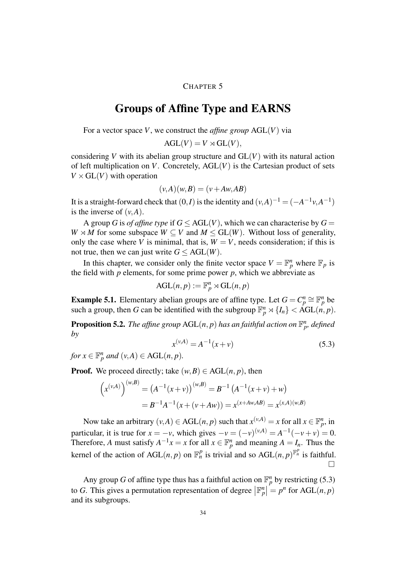#### CHAPTER 5

### Groups of Affine Type and EARNS

For a vector space *V*, we construct the *affine group* AGL(*V*) via

$$
AGL(V) = V \rtimes GL(V),
$$

considering *V* with its abelian group structure and  $GL(V)$  with its natural action of left multiplication on *V*. Concretely,  $AGL(V)$  is the Cartesian product of sets  $V \times GL(V)$  with operation

$$
(\nu, A)(\nu, B) = (\nu + Aw, AB)
$$

It is a straight-forward check that  $(0, I)$  is the identity and  $(\nu, A)^{-1} = (-A^{-1}\nu, A^{-1})$ is the inverse of  $(v, A)$ .

A group *G* is *of affine type* if  $G \leq AGL(V)$ , which we can characterise by  $G =$ *W*  $\times$  *M* for some subspace *W*  $\subseteq$  *V* and *M*  $\le$  GL(*W*). Without loss of generality, only the case where *V* is minimal, that is,  $W = V$ , needs consideration; if this is not true, then we can just write  $G \leq AGL(W)$ .

In this chapter, we consider only the finite vector space  $V = \mathbb{F}_p^n$  where  $\mathbb{F}_p$  is the field with  $p$  elements, for some prime power  $p$ , which we abbreviate as

$$
\text{AGL}(n, p) := \mathbb{F}_p^n \rtimes \text{GL}(n, p)
$$

**Example 5.1.** Elementary abelian groups are of affine type. Let  $G = C_p^n \cong \mathbb{F}_p^n$  be such a group, then *G* can be identified with the subgroup  $\mathbb{F}_p^n \rtimes \{I_n\} < \hat{A}GL(n,p)$ .

**Proposition 5.2.** The affine group  $\mathrm{AGL}(n, p)$  has an faithful action on  $\mathbb{F}_p^n$ , defined *by*

$$
x^{(\nu,A)} = A^{-1}(x+\nu) \tag{5.3}
$$

*for*  $x \in \mathbb{F}_p^n$  *and*  $(v, A) \in \text{AGL}(n, p)$ *.* 

**Proof.** We proceed directly; take  $(w, B) \in \text{AGL}(n, p)$ , then

$$
(x^{(\nu,A)})^{(\nu,B)} = (A^{-1}(x+\nu))^{(\nu,B)} = B^{-1}(A^{-1}(x+\nu)+\nu)
$$
  
= B<sup>-1</sup>A<sup>-1</sup>(x+(v+Aw)) = x<sup>(x+Aw,AB)</sup> = x<sup>(x,A)(w,B)</sup>

Now take an arbitrary  $(v, A) \in \text{AGL}(n, p)$  such that  $x^{(v, A)} = x$  for all  $x \in \mathbb{F}_p^n$ , in particular, it is true for  $x = -v$ , which gives  $-v = (-v)^{(v,A)} = A^{-1}(-v+v) = 0$ . Therefore, *A* must satisfy  $A^{-1}x = x$  for all  $x \in \mathbb{F}_p^n$  and meaning  $A = I_n$ . Thus the kernel of the action of  $AGL(n, p)$  on  $\mathbb{F}_n^p$  is trivial and so  $AGL(n, p)^{\mathbb{F}_n^p}$  is faithful. □

Any group *G* of affine type thus has a faithful action on  $\mathbb{F}_p^n$  by restricting (5.3) to *G*. This gives a permutation representation of degree  $\left|\mathbb{F}_p^n\right| = p^n$  for AGL(*n*, *p*) and its subgroups.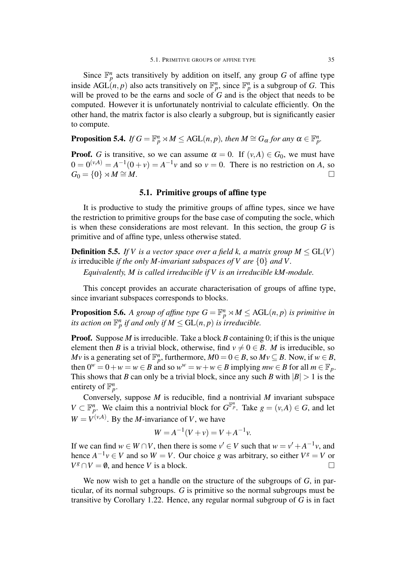Since  $\mathbb{F}_p^n$  acts transitively by addition on itself, any group *G* of affine type inside AGL(*n*, *p*) also acts transitively on  $\mathbb{F}_p^n$ , since  $\mathbb{F}_p^n$  is a subgroup of *G*. This will be proved to be the earns and socle of  $G$  and is the object that needs to be computed. However it is unfortunately nontrivial to calculate efficiently. On the other hand, the matrix factor is also clearly a subgroup, but is significantly easier to compute.

**Proposition 5.4.** *If*  $G = \mathbb{F}_p^n \rtimes M \leq \text{AGL}(n, p)$ , then  $M \cong G_\alpha$  for any  $\alpha \in \mathbb{F}_p^n$ .

**Proof.** *G* is transitive, so we can assume  $\alpha = 0$ . If  $(v, A) \in G_0$ , we must have  $0 = 0^{(\nu,A)} = A^{-1}(0+\nu) = A^{-1}\nu$  and so  $\nu = 0$ . There is no restriction on *A*, so  $G_0 = \{0\} \rtimes M \cong M.$ 

#### 5.1. Primitive groups of affine type

It is productive to study the primitive groups of affine types, since we have the restriction to primitive groups for the base case of computing the socle, which is when these considerations are most relevant. In this section, the group *G* is primitive and of affine type, unless otherwise stated.

**Definition 5.5.** *If V is a vector space over a field k, a matrix group*  $M \le GL(V)$ *is* irreducible *if the only M-invariant subspaces of V are {*0*} and V.*

*Equivalently, M is called irreducible if V is an irreducible kM-module.*

This concept provides an accurate characterisation of groups of affine type, since invariant subspaces corresponds to blocks.

**Proposition 5.6.** A group of affine type  $G = \mathbb{F}_p^n \rtimes M \leq \text{AGL}(n, p)$  is primitive in *its action on*  $\mathbb{F}_p^n$  *if and only if*  $M \leq \mathrm{GL}(n,p)$  *is irreducible.* 

**Proof.** Suppose *M* is irreducible. Take a block *B* containing 0; if this is the unique element then *B* is a trivial block, otherwise, find  $v \neq 0 \in B$ . *M* is irreducible, so *Mv* is a generating set of  $\mathbb{F}_p^n$ , furthermore,  $M0 = 0 \in B$ , so  $Mv \subseteq B$ . Now, if  $w \in B$ , then  $0^w = 0 + w = w \in B$  and so  $w^w = w + w \in B$  implying  $mw \in B$  for all  $m \in \mathbb{F}_p$ . This shows that *B* can only be a trivial block, since any such *B* with  $|B| > 1$  is the entirety of  $\mathbb{F}_p^n$ .

Conversely, suppose *M* is reducible, find a nontrivial *M* invariant subspace  $V \subset \mathbb{F}_p^n$ . We claim this a nontrivial block for  $G^{\mathbb{F}_p^n}$ . Take  $g = (v, A) \in G$ , and let  $W = V^{(\nu,A)}$ . By the *M*-invariance of *V*, we have

$$
W = A^{-1}(V + v) = V + A^{-1}v.
$$

If we can find  $w \in W \cap V$ , then there is some  $v' \in V$  such that  $w = v' + A^{-1}v$ , and hence  $A^{-1}v \in V$  and so  $W = V$ . Our choice *g* was arbitrary, so either  $V^g = V$  or  $V^g \cap V = \emptyset$ , and hence *V* is a block.

We now wish to get a handle on the structure of the subgroups of *G*, in particular, of its normal subgroups. *G* is primitive so the normal subgroups must be transitive by Corollary 1.22. Hence, any regular normal subgroup of *G* is in fact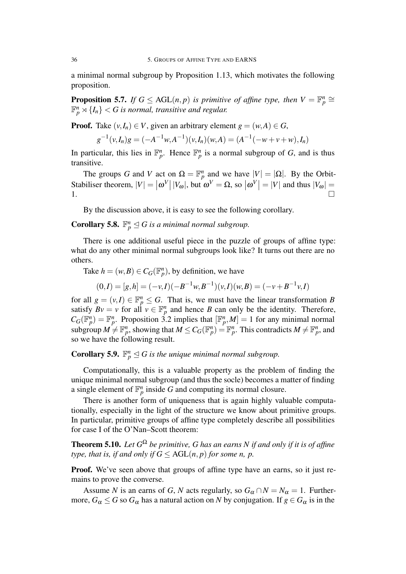a minimal normal subgroup by Proposition 1.13, which motivates the following proposition.

**Proposition 5.7.** *If*  $G \leq \text{AGL}(n, p)$  *is primitive of affine type, then*  $V = \mathbb{F}_p^n \cong$  $\mathbb{F}_p^n \rtimes \{I_n\} < G$  is normal, transitive and regular.

**Proof.** Take  $(v, I_n) \in V$ , given an arbitrary element  $g = (w, A) \in G$ ,

$$
g^{-1}(v, I_n)g = (-A^{-1}w, A^{-1})(v, I_n)(w, A) = (A^{-1}(-w + v + w), I_n)
$$

In particular, this lies in  $\mathbb{F}_p^n$ . Hence  $\mathbb{F}_p^n$  is a normal subgroup of *G*, and is thus transitive.

The groups *G* and *V* act on  $\Omega = \mathbb{F}_p^n$  and we have  $|V| = |\Omega|$ . By the Orbit-Stabiliser theorem,  $|V| = |\omega^V| |V_{\omega}|$ , but  $\omega^V = \Omega$ , so  $|\omega^V| = |V|$  and thus  $|V_{\omega}| =$ 1.  $\Box$ 

By the discussion above, it is easy to see the following corollary.

**Corollary 5.8.**  $\mathbb{F}_p^n \leq G$  *is a minimal normal subgroup.* 

There is one additional useful piece in the puzzle of groups of affine type: what do any other minimal normal subgroups look like? It turns out there are no others.

Take  $h = (w, B) \in C_G(\mathbb{F}_p^n)$ , by definition, we have

$$
(0,I) = [g,h] = (-v,I)(-B^{-1}w,B^{-1})(v,I)(w,B) = (-v+B^{-1}v,I)
$$

for all  $g = (v, I) \in \mathbb{F}_p^n \leq G$ . That is, we must have the linear transformation *B* satisfy  $Bv = v$  for all  $v \in \mathbb{F}_p^n$  and hence *B* can only be the identity. Therefore,  $C_G(\mathbb{F}_p^n) = \mathbb{F}_p^n$ . Proposition 3.2 implies that  $[\mathbb{F}_p^n, M] = 1$  for any minimal normal subgroup  $M \neq \mathbb{F}_p^n$ , showing that  $M \leq C_G(\mathbb{F}_p^n) = \mathbb{F}_p^n$ . This contradicts  $M \neq \mathbb{F}_p^n$ , and so we have the following result.

### **Corollary 5.9.**  $\mathbb{F}_p^n \trianglelefteq G$  *is the unique minimal normal subgroup.*

Computationally, this is a valuable property as the problem of finding the unique minimal normal subgroup (and thus the socle) becomes a matter of finding a single element of  $\mathbb{F}_p^n$  inside G and computing its normal closure.

There is another form of uniqueness that is again highly valuable computationally, especially in the light of the structure we know about primitive groups. In particular, primitive groups of affine type completely describe all possibilities for case I of the O'Nan–Scott theorem:

Theorem 5.10. *Let G* <sup>Ω</sup> *be primitive, G has an earns N if and only if it is of affine type, that is, if and only if*  $G \leq \text{AGL}(n, p)$  *for some n, p.* 

Proof. We've seen above that groups of affine type have an earns, so it just remains to prove the converse.

Assume *N* is an earns of *G*, *N* acts regularly, so  $G_{\alpha} \cap N = N_{\alpha} = 1$ . Furthermore,  $G_{\alpha} \leq G$  so  $G_{\alpha}$  has a natural action on *N* by conjugation. If  $g \in G_{\alpha}$  is in the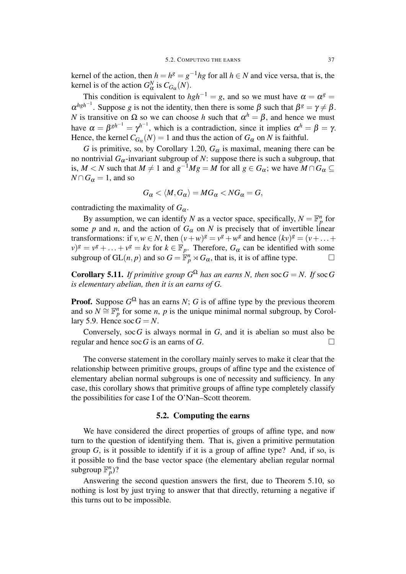kernel of the action, then  $h = h^g = g^{-1}hg$  for all  $h \in N$  and vice versa, that is, the kernel is of the action  $G^N_\alpha$  is  $C_{G_\alpha}(N)$ .

This condition is equivalent to  $hgh^{-1} = g$ , and so we must have  $\alpha = \alpha^g = g$  $\alpha^{hgh^{-1}}$ . Suppose *g* is not the identity, then there is some  $\beta$  such that  $\beta^g = \gamma \neq \beta$ . *N* is transitive on  $\Omega$  so we can choose *h* such that  $\alpha^h = \beta$ , and hence we must have  $\alpha = \beta^{gh^{-1}} = \gamma^{h^{-1}}$ , which is a contradiction, since it implies  $\alpha^h = \beta = \gamma$ . Hence, the kernel  $C_{G_\alpha}(N) = 1$  and thus the action of  $G_\alpha$  on N is faithful.

*G* is primitive, so, by Corollary 1.20,  $G_{\alpha}$  is maximal, meaning there can be no nontrivial  $G_{\alpha}$ -invariant subgroup of *N*: suppose there is such a subgroup, that is,  $M < N$  such that  $M \neq 1$  and  $g^{-1}Mg = M$  for all  $g \in G_\alpha$ ; we have  $M \cap G_\alpha \subseteq$  $N \cap G_\alpha = 1$ , and so

$$
G_{\alpha} \langle M, G_{\alpha} \rangle = MG_{\alpha} \langle NG_{\alpha} = G,
$$

contradicting the maximality of  $G_{\alpha}$ .

By assumption, we can identify *N* as a vector space, specifically,  $N = \mathbb{F}_p^n$  for some *p* and *n*, and the action of  $G_{\alpha}$  on *N* is precisely that of invertible linear transformations: if  $v, w \in N$ , then  $(v+w)^g = v^g + w^g$  and hence  $(kv)^g = (v + \dots +$  $(v)^g = v^g + \ldots + v^g = kv$  for  $k \in \mathbb{F}_p$ . Therefore,  $G_\alpha$  can be identified with some subgroup of  $GL(n, p)$  and so  $G = \mathbb{F}_p^n \rtimes G_\alpha$ , that is, it is of affine type.  $\Box$ 

**Corollary 5.11.** *If primitive group*  $G^{\Omega}$  *has an earns N, then* soc  $G = N$ *. If* soc G *is elementary abelian, then it is an earns of G.*

**Proof.** Suppose  $G^{\Omega}$  has an earns *N*; *G* is of affine type by the previous theorem and so  $N \cong \mathbb{F}_p^n$  for some *n*, *p* is the unique minimal normal subgroup, by Corollary 5.9. Hence  $\operatorname{soc} G = N$ .

Conversely, soc*G* is always normal in *G*, and it is abelian so must also be regular and hence soc *G* is an earns of *G*.  $\square$ 

The converse statement in the corollary mainly serves to make it clear that the relationship between primitive groups, groups of affine type and the existence of elementary abelian normal subgroups is one of necessity and sufficiency. In any case, this corollary shows that primitive groups of affine type completely classify the possibilities for case I of the O'Nan–Scott theorem.

#### 5.2. Computing the earns

We have considered the direct properties of groups of affine type, and now turn to the question of identifying them. That is, given a primitive permutation group *G*, is it possible to identify if it is a group of affine type? And, if so, is it possible to find the base vector space (the elementary abelian regular normal subgroup  $\mathbb{F}_p^n$ )?

Answering the second question answers the first, due to Theorem 5.10, so nothing is lost by just trying to answer that that directly, returning a negative if this turns out to be impossible.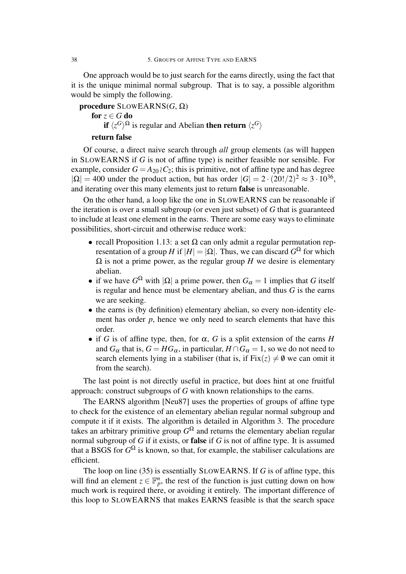One approach would be to just search for the earns directly, using the fact that it is the unique minimal normal subgroup. That is to say, a possible algorithm would be simply the following.

procedure SLOWEARNS(*G*, Ω) for  $z \in G$  do if  $\langle z^G \rangle^{\Omega}$  is regular and Abelian then return  $\langle z^G \rangle$ 

#### return false

Of course, a direct naive search through *all* group elements (as will happen in SLOWEARNS if *G* is not of affine type) is neither feasible nor sensible. For example, consider  $G = A_{20} \, \partial C_2$ ; this is primitive, not of affine type and has degree  $|\Omega| = 400$  under the product action, but has order  $|G| = 2 \cdot (20!/2)^2 \approx 3 \cdot 10^{36}$ , and iterating over this many elements just to return false is unreasonable.

On the other hand, a loop like the one in SLOWEARNS can be reasonable if the iteration is over a small subgroup (or even just subset) of *G* that is guaranteed to include at least one element in the earns. There are some easy ways to eliminate possibilities, short-circuit and otherwise reduce work:

- *•* recall Proposition 1.13: a set Ω can only admit a regular permutation representation of a group *H* if  $|H| = |\Omega|$ . Thus, we can discard  $G^{\Omega}$  for which  $Ω$  is not a prime power, as the regular group *H* we desire is elementary abelian.
- if we have  $G^{\Omega}$  with  $|\Omega|$  a prime power, then  $G_{\alpha} = 1$  implies that *G* itself is regular and hence must be elementary abelian, and thus *G* is the earns we are seeking.
- the earns is (by definition) elementary abelian, so every non-identity element has order  $p$ , hence we only need to search elements that have this order.
- if *G* is of affine type, then, for  $\alpha$ , *G* is a split extension of the earns *H* and  $G_{\alpha}$  that is,  $G = HG_{\alpha}$ , in particular,  $H \cap G_{\alpha} = 1$ , so we do not need to search elements lying in a stabiliser (that is, if  $Fix(z) \neq \emptyset$  we can omit it from the search).

The last point is not directly useful in practice, but does hint at one fruitful approach: construct subgroups of *G* with known relationships to the earns.

The EARNS algorithm [Neu87] uses the properties of groups of affine type to check for the existence of an elementary abelian regular normal subgroup and compute it if it exists. The algorithm is detailed in Algorithm 3. The procedure takes an arbitrary primitive group  $G^{\Omega}$  and returns the elementary abelian regular normal subgroup of *G* if it exists, or false if *G* is not of affine type. It is assumed that a BSGS for  $G^{\Omega}$  is known, so that, for example, the stabiliser calculations are efficient.

The loop on line (35) is essentially SLOWEARNS. If *G* is of affine type, this will find an element  $z \in \mathbb{F}_p^n$ , the rest of the function is just cutting down on how much work is required there, or avoiding it entirely. The important difference of this loop to SLOWEARNS that makes EARNS feasible is that the search space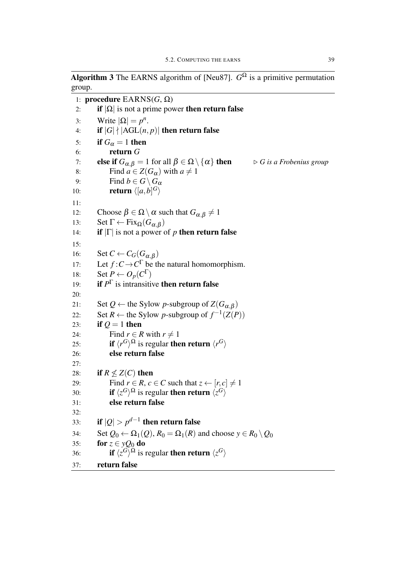**Algorithm 3** The EARNS algorithm of [Neu87].  $G^{\Omega}$  is a primitive permutation group.

1: procedure EARNS(*G*, Ω) 2: **if**  $|\Omega|$  is not a prime power then return false 3: Write  $|\Omega| = p^n$ . 4: if  $|G|$   $\{|AGL(n,p)|\}$  then return false 5: if  $G_{\alpha} = 1$  then 6: return *G* 7: **else if**  $G_{\alpha, \beta} = 1$  for all  $\beta \in \Omega \setminus \{\alpha\}$  then  $\triangleright G$  *is a Frobenius group* 8: Find  $a \in Z(G_\alpha)$  with  $a \neq 1$ 9: Find  $b \in G \setminus G_\alpha$ 10: **return**  $\langle [a,b]^G \rangle$ 11: 12: Choose  $β ∈ Ω \setminus α$  such that  $G_{α,β} ≠ 1$ 13: Set  $\Gamma \leftarrow \text{Fix}_{\Omega}(G_{\alpha,\beta})$ 14: **if**  $|\Gamma|$  is not a power of *p* then return false 15: 16: Set  $C \leftarrow C_G(G_{\alpha,\beta})$ 17: Let  $f: C \to C^{\Gamma}$  be the natural homomorphism. 18: Set  $P \leftarrow O_p(C^{\Gamma})$ 19: **if**  $P^{\Gamma}$  is intransitive **then return false** 20: 21: Set  $Q \leftarrow$  the Sylow *p*-subgroup of  $Z(G_{\alpha,\beta})$ 22: Set *R* ← the Sylow *p*-subgroup of  $f^{-1}(Z(P))$ 23: if  $Q = 1$  then 24: Find  $r \in R$  with  $r \neq 1$ 25: **if**  $\langle r^G \rangle^{\Omega}$  is regular then return  $\langle r^G \rangle$ 26: else return false 27: 28: if  $R \nless Z(C)$  then 29: Find  $r \in R$ ,  $c \in C$  such that  $z \leftarrow [r, c] \neq 1$ 30: **if**  $\langle z^G \rangle^{\Omega}$  is regular then return  $\langle z^G \rangle$ 31: else return false 32: 33: if  $|Q| > p^{d-1}$  then return false 34: Set  $Q_0 \leftarrow \Omega_1(Q)$ ,  $R_0 = \Omega_1(R)$  and choose  $y \in R_0 \setminus Q_0$ 35: **for**  $z \in yQ_0$  do 36: **if**  $\langle z^G \rangle^{\Omega}$  is regular then return  $\langle z^G \rangle$ 37: return false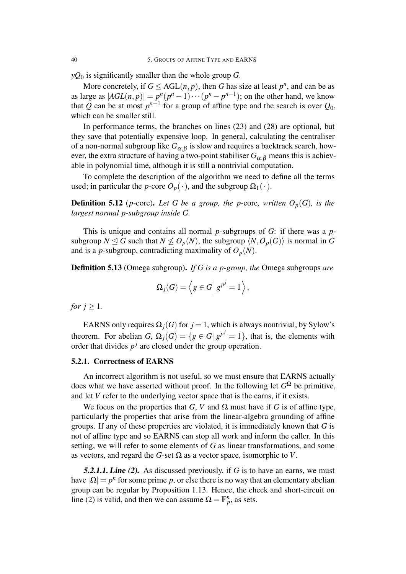*yQ*<sup>0</sup> is significantly smaller than the whole group *G*.

More concretely, if  $G \leq \text{AGL}(n, p)$ , then *G* has size at least  $p^n$ , and can be as as large as  $|AGL(n,p)| = p^n(p^n-1)\cdots(p^n-p^{n-1})$ ; on the other hand, we know that *Q* can be at most  $p^{n-1}$  for a group of affine type and the search is over  $Q_0$ , which can be smaller still.

In performance terms, the branches on lines (23) and (28) are optional, but they save that potentially expensive loop. In general, calculating the centraliser of a non-normal subgroup like  $G_{\alpha,\beta}$  is slow and requires a backtrack search, however, the extra structure of having a two-point stabiliser  $G_{\alpha,\beta}$  means this is achievable in polynomial time, although it is still a nontrivial computation.

To complete the description of the algorithm we need to define all the terms used; in particular the *p*-core  $O_p(\cdot)$ , and the subgroup  $\Omega_1(\cdot)$ .

**Definition 5.12** (*p*-core). Let *G* be a group, the *p*-core, written  $O_p(G)$ , is the *largest normal p-subgroup inside G.*

This is unique and contains all normal *p*-subgroups of *G*: if there was a *p*subgroup  $N \leq G$  such that  $N \nleq O_p(N)$ , the subgroup  $\langle N, O_p(G) \rangle$  is normal in G and is a *p*-subgroup, contradicting maximality of  $O_p(N)$ .

Definition 5.13 (Omega subgroup). *If G is a p-group, the* Omega subgroups *are*

$$
\Omega_j(G) = \left\langle g \in G \, \middle| \, g^{p^j} = 1 \right\rangle,
$$

*for*  $j > 1$ *.* 

EARNS only requires  $\Omega_i(G)$  for  $j = 1$ , which is always nontrivial, by Sylow's theorem. For abelian *G*,  $\Omega_j(G) = \{g \in G \mid g^{p^j} = 1\}$ , that is, the elements with order that divides  $p^j$  are closed under the group operation.

#### 5.2.1. Correctness of EARNS

An incorrect algorithm is not useful, so we must ensure that EARNS actually does what we have asserted without proof. In the following let  $G^{\Omega}$  be primitive, and let *V* refer to the underlying vector space that is the earns, if it exists.

We focus on the properties that *G*, *V* and  $\Omega$  must have if *G* is of affine type, particularly the properties that arise from the linear-algebra grounding of affine groups. If any of these properties are violated, it is immediately known that *G* is not of affine type and so EARNS can stop all work and inform the caller. In this setting, we will refer to some elements of *G* as linear transformations, and some as vectors, and regard the *G*-set  $\Omega$  as a vector space, isomorphic to *V*.

5.2.1.1. Line (2). As discussed previously, if *G* is to have an earns, we must have  $|\Omega| = p^n$  for some prime *p*, or else there is no way that an elementary abelian group can be regular by Proposition 1.13. Hence, the check and short-circuit on line (2) is valid, and then we can assume  $\Omega = \mathbb{F}_p^n$ , as sets.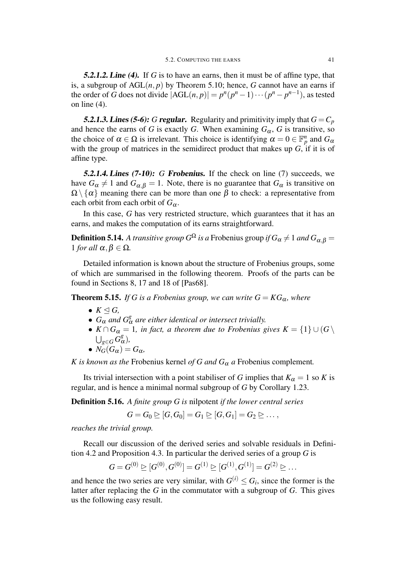5.2.1.2. Line (4). If *G* is to have an earns, then it must be of affine type, that is, a subgroup of  $AGL(n, p)$  by Theorem 5.10; hence, *G* cannot have an earns if the order of *G* does not divide  $|AGL(n, p)| = p^n(p^n - 1) \cdots (p^n - p^{n-1})$ , as tested on line (4).

5.2.1.3. Lines (5-6): *G* regular. Regularity and primitivity imply that  $G = C_p$ and hence the earns of *G* is exactly *G*. When examining  $G_{\alpha}$ , *G* is transitive, so the choice of  $\alpha \in \Omega$  is irrelevant. This choice is identifying  $\alpha = 0 \in \mathbb{F}_p^n$  and  $G_\alpha$ with the group of matrices in the semidirect product that makes up *G*, if it is of affine type.

5.2.1.4. Lines (7-10): *G* Frobenius. If the check on line (7) succeeds, we have  $G_{\alpha} \neq 1$  and  $G_{\alpha,\beta} = 1$ . Note, there is no guarantee that  $G_{\alpha}$  is transitive on  $\Omega \setminus \{\alpha\}$  meaning there can be more than one  $\beta$  to check: a representative from each orbit from each orbit of  $G_\alpha$ .

In this case, *G* has very restricted structure, which guarantees that it has an earns, and makes the computation of its earns straightforward.

 ${\bf Definition~5.14.}$  *A transitive group*  $G^\Omega$  *is a* Frobenius group  $if$   $G_\alpha \neq 1$  and  $G_{\alpha,\beta} = 0$ *l for all*  $\alpha, \beta \in Ω$ *.* 

Detailed information is known about the structure of Frobenius groups, some of which are summarised in the following theorem. Proofs of the parts can be found in Sections 8, 17 and 18 of [Pas68].

**Theorem 5.15.** *If G is a Frobenius group, we can write*  $G = KG_\alpha$ *, where* 

- *• K* ⊴ *G,*
- $G_{\alpha}$  *and*  $G_{\alpha}^{g}$  *are either identical or intersect trivially.*
- $K \cap G_{\alpha} = 1$ *, in fact, a theorem due to Frobenius gives*  $K = \{1\} \cup (G \setminus G)$  $∪_{g∈G}$   $G^g_α$ )*,*
- $N_G(G_\alpha) = G_\alpha$ *,*

*K is known as the* Frobenius kernel *of G and*  $G_{\alpha}$  *a* Frobenius complement.

Its trivial intersection with a point stabiliser of *G* implies that  $K_\alpha = 1$  so *K* is regular, and is hence a minimal normal subgroup of *G* by Corollary 1.23.

Definition 5.16. *A finite group G is* nilpotent *if the lower central series*

$$
G=G_0\trianglerighteq [G,G_0]=G_1\trianglerighteq [G,G_1]=G_2\trianglerighteq\ldots,
$$

*reaches the trivial group.*

Recall our discussion of the derived series and solvable residuals in Definition 4.2 and Proposition 4.3. In particular the derived series of a group *G* is

$$
G=G^{(0)}\trianglerighteq[G^{(0)},G^{(0)}]=G^{(1)}\trianglerighteq[G^{(1)},G^{(1)}]=G^{(2)}\trianglerighteq\ldots
$$

and hence the two series are very similar, with  $G^{(i)} \leq G_i$ , since the former is the latter after replacing the *G* in the commutator with a subgroup of *G*. This gives us the following easy result.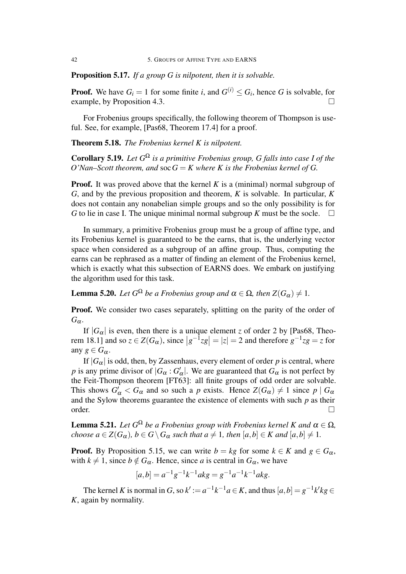Proposition 5.17. *If a group G is nilpotent, then it is solvable.*

**Proof.** We have  $G_i = 1$  for some finite *i*, and  $G^{(i)} \leq G_i$ , hence *G* is solvable, for example, by Proposition 4.3.

For Frobenius groups specifically, the following theorem of Thompson is useful. See, for example, [Pas68, Theorem 17.4] for a proof.

Theorem 5.18. *The Frobenius kernel K is nilpotent.*

Corollary 5.19. *Let G* <sup>Ω</sup> *is a primitive Frobenius group, G falls into case I of the O*'Nan–Scott theorem, and soc  $G = K$  where K is the Frobenius kernel of G.

**Proof.** It was proved above that the kernel *K* is a (minimal) normal subgroup of *G*, and by the previous proposition and theorem, *K* is solvable. In particular, *K* does not contain any nonabelian simple groups and so the only possibility is for *G* to lie in case I. The unique minimal normal subgroup *K* must be the socle.  $\Box$ 

In summary, a primitive Frobenius group must be a group of affine type, and its Frobenius kernel is guaranteed to be the earns, that is, the underlying vector space when considered as a subgroup of an affine group. Thus, computing the earns can be rephrased as a matter of finding an element of the Frobenius kernel, which is exactly what this subsection of EARNS does. We embark on justifying the algorithm used for this task.

**Lemma 5.20.** *Let*  $G^{\Omega}$  *be a Frobenius group and*  $\alpha \in \Omega$ *, then*  $Z(G_{\alpha}) \neq 1$ *.* 

**Proof.** We consider two cases separately, splitting on the parity of the order of  $G_{\alpha}$ .

If  $|G_\alpha|$  is even, then there is a unique element *z* of order 2 by [Pas68, Theorem 18.1] and so  $z \in Z(G_\alpha)$ , since  $|g^{-1}zg| = |z| = 2$  and therefore  $g^{-1}zg = z$  for any  $g \in G_\alpha$ .

If  $|G_{\alpha}|$  is odd, then, by Zassenhaus, every element of order *p* is central, where *p* is any prime divisor of  $|G_{\alpha}: G'_{\alpha}|$ . We are guaranteed that  $G_{\alpha}$  is not perfect by the Feit-Thompson theorem [FT63]: all finite groups of odd order are solvable. This shows  $G'_\n\alpha < G_\alpha$  and so such a *p* exists. Hence  $Z(G_\alpha) \neq 1$  since  $p \mid G_\alpha$ and the Sylow theorems guarantee the existence of elements with such *p* as their order.  $\Box$ 

**Lemma 5.21.** Let  $G^{\Omega}$  be a Frobenius group with Frobenius kernel K and  $\alpha \in \Omega$ , choose  $a \in Z(G_\alpha)$ ,  $b \in G \setminus G_\alpha$  such that  $a \neq 1$ , then  $[a,b] \in K$  and  $[a,b] \neq 1$ .

**Proof.** By Proposition 5.15, we can write  $b = kg$  for some  $k \in K$  and  $g \in G_\alpha$ , with  $k \neq 1$ , since  $b \notin G_\alpha$ . Hence, since *a* is central in  $G_\alpha$ , we have

$$
[a,b] = a^{-1}g^{-1}k^{-1}akg = g^{-1}a^{-1}k^{-1}akg.
$$

The kernel K is normal in G, so  $k' := a^{-1}k^{-1}a \in K$ , and thus  $[a,b] = g^{-1}k'kg \in K$ *K*, again by normality.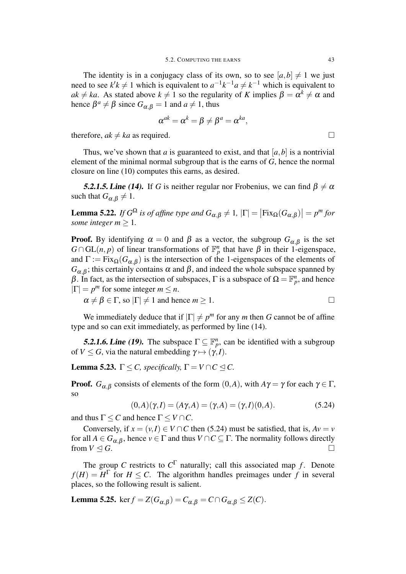The identity is in a conjugacy class of its own, so to see  $[a,b] \neq 1$  we just need to see  $k'k \neq 1$  which is equivalent to  $a^{-1}k^{-1}a \neq k^{-1}$  which is equivalent to  $ak \neq ka$ . As stated above  $k \neq 1$  so the regularity of *K* implies  $\beta = \alpha^k \neq \alpha$  and hence  $\beta^a \neq \beta$  since  $G_{\alpha,\beta} = 1$  and  $a \neq 1$ , thus

$$
\alpha^{ak} = \alpha^k = \beta \neq \beta^a = \alpha^{ka},
$$

therefore,  $ak \neq ka$  as required.  $\square$ 

Thus, we've shown that *a* is guaranteed to exist, and that  $[a, b]$  is a nontrivial element of the minimal normal subgroup that is the earns of *G*, hence the normal closure on line (10) computes this earns, as desired.

**5.2.1.5. Line (14).** If *G* is neither regular nor Frobenius, we can find  $\beta \neq \alpha$ such that  $G_{\alpha,\beta} \neq 1$ .

Lemma 5.22. *If*  $G^{\Omega}$  *is of affine type and*  $G_{\alpha,\beta} \neq 1$ ,  $|\Gamma| = |\text{Fix}_{\Omega}(G_{\alpha,\beta})| = p^m$  for *some integer*  $m \geq 1$ *.* 

**Proof.** By identifying  $\alpha = 0$  and  $\beta$  as a vector, the subgroup  $G_{\alpha,\beta}$  is the set  $G \cap GL(n, p)$  of linear transformations of  $\mathbb{F}_p^n$  that have  $\beta$  in their 1-eigenspace, and  $\Gamma := \text{Fix}_{\Omega}(G_{\alpha,\beta})$  is the intersection of the 1-eigenspaces of the elements of  $G_{\alpha,\beta}$ ; this certainly contains  $\alpha$  and  $\beta$ , and indeed the whole subspace spanned by β. In fact, as the intersection of subspaces,  $\Gamma$  is a subspace of  $\Omega = \mathbb{F}_p^n$ , and hence  $|\Gamma| = p^m$  for some integer  $m \leq n$ .

 $\alpha \neq \beta \in \Gamma$ , so  $|\Gamma| \neq 1$  and hence  $m > 1$ .

We immediately deduce that if  $|\Gamma| \neq p^m$  for any *m* then *G* cannot be of affine type and so can exit immediately, as performed by line (14).

**5.2.1.6. Line (19).** The subspace  $\Gamma \subseteq \mathbb{F}_p^n$ , can be identified with a subgroup of  $V \leq G$ , via the natural embedding  $\gamma \mapsto (\gamma, I)$ .

**Lemma 5.23.**  $\Gamma \leq C$ , specifically,  $\Gamma = V \cap C \leq C$ .

**Proof.**  $G_{\alpha,\beta}$  consists of elements of the form  $(0,A)$ , with  $A\gamma = \gamma$  for each  $\gamma \in \Gamma$ , so

$$
(0,A)(\gamma,I) = (A\gamma,A) = (\gamma,A) = (\gamma,I)(0,A). \tag{5.24}
$$

and thus  $\Gamma \leq C$  and hence  $\Gamma \leq V \cap C$ .

Conversely, if  $x = (v, I) \in V \cap C$  then (5.24) must be satisfied, that is,  $Av = v$ for all  $A \in G_{\alpha,\beta}$ , hence  $v \in \Gamma$  and thus  $V \cap C \subseteq \Gamma$ . The normality follows directly from  $V \trianglelefteq G$ . □

The group *C* restricts to  $C^{\Gamma}$  naturally; call this associated map *f*. Denote  $f(H) = H^{\Gamma}$  for  $H \leq C$ . The algorithm handles preimages under *f* in several places, so the following result is salient.

**Lemma 5.25.** ker  $f = Z(G_{\alpha,\beta}) = C_{\alpha,\beta} = C \cap G_{\alpha,\beta} \leq Z(C)$ .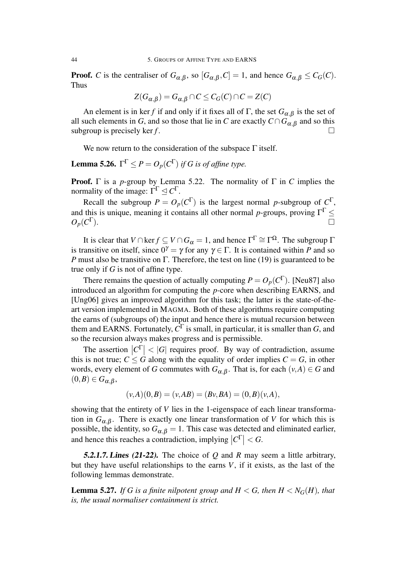**Proof.** *C* is the centraliser of  $G_{\alpha,\beta}$ , so  $[G_{\alpha,\beta}, C] = 1$ , and hence  $G_{\alpha,\beta} \leq C_G(C)$ . Thus

$$
Z(G_{\alpha,\beta}) = G_{\alpha,\beta} \cap C \leq C_G(C) \cap C = Z(C)
$$

An element is in ker *f* if and only if it fixes all of  $\Gamma$ , the set  $G_{\alpha,\beta}$  is the set of all such elements in *G*, and so those that lie in *C* are exactly  $C \cap G_{\alpha, \beta}$  and so this subgroup is precisely ker  $f$ .

We now return to the consideration of the subspace  $\Gamma$  itself.

**Lemma 5.26.**  $\Gamma^{\Gamma} \leq P = O_p(C^{\Gamma})$  if G is of affine type.

**Proof.** Γ is a *p*-group by Lemma 5.22. The normality of Γ in *C* implies the normality of the image:  $\Gamma^{\Gamma} \trianglelefteq C^{\Gamma}$ .

Recall the subgroup  $P = O_p(C^{\Gamma})$  is the largest normal *p*-subgroup of  $C^{\Gamma}$ , and this is unique, meaning it contains all other normal *p*-groups, proving Γ <sup>Γ</sup> *≤*  $O_p(C^{\Gamma})$ ).  $\Box$ 

It is clear that  $V \cap \text{ker } f \subseteq V \cap G_\alpha = 1$ , and hence  $\Gamma^{\Gamma} \cong \Gamma^{\Omega}$ . The subgroup  $\Gamma$ is transitive on itself, since  $0^{\gamma} = \gamma$  for any  $\gamma \in \Gamma$ . It is contained within *P* and so *P* must also be transitive on Γ. Therefore, the test on line (19) is guaranteed to be true only if *G* is not of affine type.

There remains the question of actually computing  $P = O_p(C^{\Gamma})$ . [Neu87] also introduced an algorithm for computing the *p*-core when describing EARNS, and [Ung06] gives an improved algorithm for this task; the latter is the state-of-theart version implemented in MAGMA. Both of these algorithms require computing the earns of (subgroups of) the input and hence there is mutual recursion between them and EARNS. Fortunately,  $C^{\Gamma}$  is small, in particular, it is smaller than *G*, and so the recursion always makes progress and is permissible.

The assertion  $|C^{\Gamma}|$  <  $|G|$  requires proof. By way of contradiction, assume this is not true;  $C \leq G$  along with the equality of order implies  $C = G$ , in other words, every element of *G* commutes with  $G_{\alpha,\beta}$ . That is, for each  $(\nu,A) \in G$  and  $(0,B) \in G_{\alpha,\beta}$ 

$$
(v, A)(0, B) = (v, AB) = (Bv, BA) = (0, B)(v, A),
$$

showing that the entirety of *V* lies in the 1-eigenspace of each linear transformation in  $G_{\alpha,\beta}$ . There is exactly one linear transformation of *V* for which this is possible, the identity, so  $G_{\alpha,\beta} = 1$ . This case was detected and eliminated earlier, and hence this reaches a contradiction, implying  $|C^{\Gamma}| < G$ .

5.2.1.7. Lines (21-22). The choice of *Q* and *R* may seem a little arbitrary, but they have useful relationships to the earns *V*, if it exists, as the last of the following lemmas demonstrate.

**Lemma 5.27.** *If G is a finite nilpotent group and*  $H < G$ *, then*  $H < N_G(H)$ *, that is, the usual normaliser containment is strict.*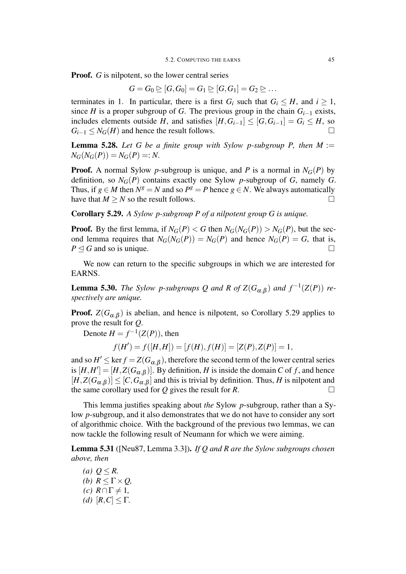**Proof.** *G* is nilpotent, so the lower central series

$$
G=G_0 \trianglerighteq [G,G_0]=G_1 \trianglerighteq [G,G_1]=G_2 \trianglerighteq \dots
$$

terminates in 1. In particular, there is a first  $G_i$  such that  $G_i \leq H$ , and  $i \geq 1$ , since *H* is a proper subgroup of *G*. The previous group in the chain  $G_{i-1}$  exists, includes elements outside *H*, and satisfies  $[H, G_{i-1}] \leq [G, G_{i-1}] = G_i \leq H$ , so  $G_{i-1} \leq N_G(H)$  and hence the result follows.

**Lemma 5.28.** Let G be a finite group with Sylow p-subgroup P, then  $M :=$  $N_G(N_G(P)) = N_G(P) =: N$ .

**Proof.** A normal Sylow *p*-subgroup is unique, and *P* is a normal in  $N_G(P)$  by definition, so  $N_G(P)$  contains exactly one Sylow *p*-subgroup of *G*, namely *G*. Thus, if  $g \in M$  then  $N^g = N$  and so  $P^g = P$  hence  $g \in N$ . We always automatically have that  $M \geq N$  so the result follows.  $\Box$ 

Corollary 5.29. *A Sylow p-subgroup P of a nilpotent group G is unique.*

**Proof.** By the first lemma, if  $N_G(P) < G$  then  $N_G(N_G(P)) > N_G(P)$ , but the second lemma requires that  $N_G(N_G(P)) = N_G(P)$  and hence  $N_G(P) = G$ , that is,  $P \triangleleft G$  and so is unique.  $\Box$ 

We now can return to the specific subgroups in which we are interested for EARNS.

**Lemma 5.30.** *The Sylow p-subgroups Q and R of*  $Z(G_{\alpha,\beta})$  *and*  $f^{-1}(Z(P))$  *respectively are unique.*

**Proof.**  $Z(G_{\alpha,\beta})$  is abelian, and hence is nilpotent, so Corollary 5.29 applies to prove the result for *Q*.

Denote  $H = f^{-1}(Z(P))$ , then

$$
f(H') = f([H, H]) = [f(H), f(H)] = [Z(P), Z(P)] = 1,
$$

and so  $H' \leq \ker f = Z(G_{\alpha,\beta})$ , therefore the second term of the lower central series is  $[H, H'] = [H, Z(G_{\alpha,\beta})]$ . By definition, *H* is inside the domain *C* of *f*, and hence  $[H, Z(G_{\alpha,\beta})] \leq [C, G_{\alpha,\beta}]$  and this is trivial by definition. Thus, *H* is nilpotent and the same corollary used for  $Q$  gives the result for  $R$ .  $\Box$ 

This lemma justifies speaking about *the* Sylow *p*-subgroup, rather than a Sylow *p*-subgroup, and it also demonstrates that we do not have to consider any sort of algorithmic choice. With the background of the previous two lemmas, we can now tackle the following result of Neumann for which we were aiming.

Lemma 5.31 ([Neu87, Lemma 3.3]). *If Q and R are the Sylow subgroups chosen above, then*

*(a)*  $Q \le R$ . *(b)*  $R \leq \Gamma \times Q$ , *(c)*  $R \cap Γ \neq 1$ *, (d)*  $[R, C] \leq \Gamma$ .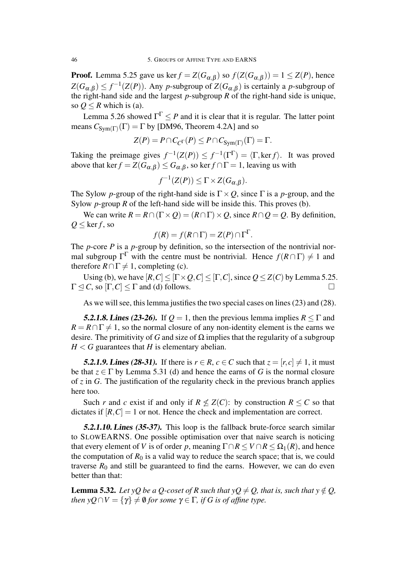**Proof.** Lemma 5.25 gave us ker $f = Z(G_{\alpha,\beta})$  so  $f(Z(G_{\alpha,\beta})) = 1 \leq Z(P)$ , hence  $Z(G_{\alpha,\beta}) \leq f^{-1}(Z(P))$ . Any *p*-subgroup of  $Z(G_{\alpha,\beta})$  is certainly a *p*-subgroup of the right-hand side and the largest *p*-subgroup *R* of the right-hand side is unique, so  $Q \le R$  which is (a).

Lemma 5.26 showed  $\Gamma^{\Gamma} \leq P$  and it is clear that it is regular. The latter point means  $C_{Sym(\Gamma)}(\Gamma) = \Gamma$  by [DM96, Theorem 4.2A] and so

$$
Z(P) = P \cap C_{C^{\Gamma}}(P) \leq P \cap C_{\text{Sym}(\Gamma)}(\Gamma) = \Gamma.
$$

Taking the preimage gives  $f^{-1}(Z(P)) \leq f^{-1}(\Gamma^{\Gamma}) = \langle \Gamma, \text{ker } f \rangle$ . It was proved above that ker  $f = Z(G_{\alpha,\beta}) \leq G_{\alpha,\beta}$ , so ker  $f \cap \Gamma = 1$ , leaving us with

$$
f^{-1}(Z(P)) \leq \Gamma \times Z(G_{\alpha,\beta}).
$$

The Sylow *p*-group of the right-hand side is Γ*×Q*, since Γ is a *p*-group, and the Sylow *p*-group *R* of the left-hand side will be inside this. This proves (b).

We can write  $R = R \cap (\Gamma \times Q) = (R \cap \Gamma) \times Q$ , since  $R \cap Q = Q$ . By definition,  $Q \leq \ker f$ , so

$$
f(R) = f(R \cap \Gamma) = Z(P) \cap \Gamma^{\Gamma}.
$$

The *p*-core *P* is a *p*-group by definition, so the intersection of the nontrivial normal subgroup  $\Gamma^{\Gamma}$  with the centre must be nontrivial. Hence  $f(R \cap \Gamma) \neq 1$  and therefore  $R \cap \Gamma \neq 1$ , completing (c).

Using (b), we have  $[R, C] \leq [\Gamma \times Q, C] \leq [\Gamma, C]$ , since  $Q \leq Z(C)$  by Lemma 5.25.  $\Gamma \leq C$ , so  $[\Gamma, C] \leq \Gamma$  and (d) follows.

As we will see, this lemma justifies the two special cases on lines (23) and (28).

5.2.1.8. Lines (23-26). If  $Q = 1$ , then the previous lemma implies  $R \leq \Gamma$  and  $R = R \cap \Gamma \neq 1$ , so the normal closure of any non-identity element is the earns we desire. The primitivity of *G* and size of  $\Omega$  implies that the regularity of a subgroup  $H < G$  guarantees that *H* is elementary abelian.

**5.2.1.9. Lines (28-31).** If there is  $r \in R$ ,  $c \in C$  such that  $z = [r, c] \neq 1$ , it must be that  $z \in \Gamma$  by Lemma 5.31 (d) and hence the earns of *G* is the normal closure of *z* in *G*. The justification of the regularity check in the previous branch applies here too.

Such *r* and *c* exist if and only if  $R \not\leq Z(C)$ : by construction  $R \leq C$  so that dictates if  $[R, C] = 1$  or not. Hence the check and implementation are correct.

5.2.1.10. Lines (35-37). This loop is the fallback brute-force search similar to SLOWEARNS. One possible optimisation over that naive search is noticing that every element of *V* is of order *p*, meaning  $\Gamma \cap R \le V \cap R \le \Omega_1(R)$ , and hence the computation of  $R_0$  is a valid way to reduce the search space; that is, we could traverse  $R_0$  and still be guaranteed to find the earns. However, we can do even better than that:

**Lemma 5.32.** Let  $yQ$  be a Q-coset of R such that  $yQ \neq Q$ , that is, such that  $y \notin Q$ , *then*  $yQ \cap V = \{ \gamma \} \neq \emptyset$  *for some*  $\gamma \in \Gamma$ *, if G is of affine type.*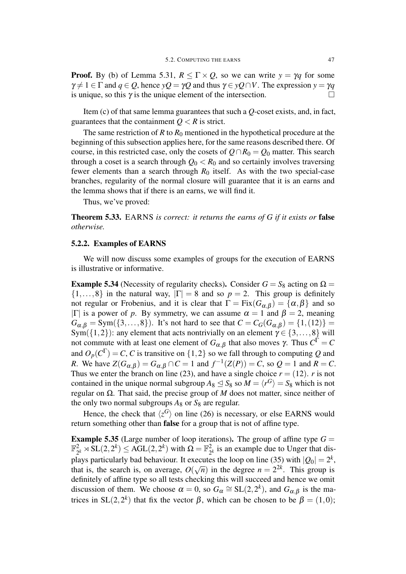**Proof.** By (b) of Lemma 5.31,  $R \leq \Gamma \times Q$ , so we can write  $y = \gamma q$  for some  $\gamma \neq 1 \in \Gamma$  and  $q \in Q$ , hence  $yQ = \gamma Q$  and thus  $\gamma \in yQ \cap V$ . The expression  $y = \gamma q$ is unique, so this  $\gamma$  is the unique element of the intersection.  $\Box$ 

Item (c) of that same lemma guarantees that such a *Q*-coset exists, and, in fact, guarantees that the containment  $Q < R$  is strict.

The same restriction of  $R$  to  $R_0$  mentioned in the hypothetical procedure at the beginning of this subsection applies here, for the same reasons described there. Of course, in this restricted case, only the cosets of  $Q \cap R_0 = Q_0$  matter. This search through a coset is a search through  $Q_0 < R_0$  and so certainly involves traversing fewer elements than a search through  $R_0$  itself. As with the two special-case branches, regularity of the normal closure will guarantee that it is an earns and the lemma shows that if there is an earns, we will find it.

Thus, we've proved:

Theorem 5.33. EARNS *is correct: it returns the earns of G if it exists or* false *otherwise.*

#### 5.2.2. Examples of EARNS

We will now discuss some examples of groups for the execution of EARNS is illustrative or informative.

**Example 5.34** (Necessity of regularity checks). Consider  $G = S_8$  acting on  $\Omega =$  $\{1,\ldots,8\}$  in the natural way,  $|\Gamma|=8$  and so  $p=2$ . This group is definitely not regular or Frobenius, and it is clear that  $\Gamma = \text{Fix}(G_{\alpha,\beta}) = \{\alpha,\beta\}$  and so *|* $\Gamma$ | is a power of *p*. By symmetry, we can assume  $\alpha = 1$  and  $\beta = 2$ , meaning  $G_{\alpha,\beta} = \text{Sym}(\{3,\ldots,8\})$ . It's not hard to see that  $C = C_G(G_{\alpha,\beta}) = \{1,(12)\}$ Sym({1,2}): any element that acts nontrivially on an element  $\gamma \in \{3, \ldots, 8\}$  will not commute with at least one element of  $G_{\alpha,\beta}$  that also moves γ. Thus  $C^{\Gamma} = C$ and  $O_p(C^{\Gamma}) = C$ , *C* is transitive on  $\{1,2\}$  so we fall through to computing *Q* and *R*. We have  $Z(G_{\alpha,\beta}) = G_{\alpha,\beta} \cap C = 1$  and  $f^{-1}(Z(P)) = C$ , so  $Q = 1$  and  $R = C$ . Thus we enter the branch on line (23), and have a single choice  $r = (12)$ . *r* is not contained in the unique normal subgroup  $A_8 \leq S_8$  so  $M = \langle r^G \rangle = S_8$  which is not regular on Ω. That said, the precise group of *M* does not matter, since neither of the only two normal subgroups  $A_8$  or  $S_8$  are regular.

Hence, the check that  $\langle z^G \rangle$  on line (26) is necessary, or else EARNS would return something other than false for a group that is not of affine type.

**Example 5.35** (Large number of loop iterations). The group of affine type  $G =$  $\mathbb{F}_2^2$  $\frac{2}{2^k} \rtimes SL(2, 2^k) \leq \text{AGL}(2, 2^k)$  with  $\Omega = \mathbb{F}_2^2$  $\frac{2}{2^k}$  is an example due to Unger that displays particularly bad behaviour. It executes the loop on line (35) with  $|Q_0| = 2^k$ , that is, the search is, on average, *O*( *√*  $\overline{n}$ ) in the degree  $n = 2^{2k}$ . This group is definitely of affine type so all tests checking this will succeed and hence we omit discussion of them. We choose  $\alpha = 0$ , so  $G_{\alpha} \cong SL(2, 2^k)$ , and  $G_{\alpha, \beta}$  is the matrices in SL(2,2<sup>k</sup>) that fix the vector  $\beta$ , which can be chosen to be  $\beta = (1,0)$ ;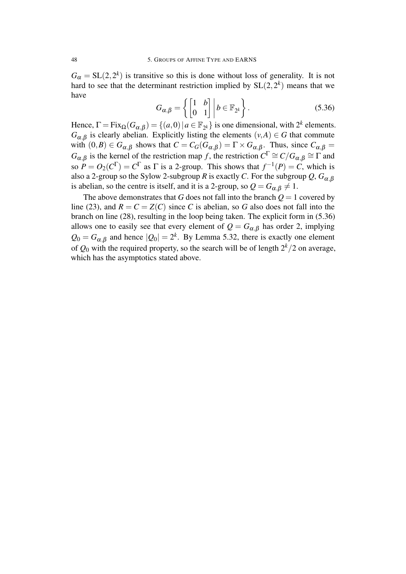$G_{\alpha} = SL(2, 2^k)$  is transitive so this is done without loss of generality. It is not hard to see that the determinant restriction implied by  $SL(2, 2^k)$  means that we have

$$
G_{\alpha,\beta} = \left\{ \begin{bmatrix} 1 & b \\ 0 & 1 \end{bmatrix} \middle| b \in \mathbb{F}_{2^k} \right\}.
$$
\n(5.36)

Hence,  $\Gamma = \text{Fix}_{\Omega}(G_{\alpha,\beta}) = \{(a,0) | a \in \mathbb{F}_{2^k}\}\$ is one dimensional, with  $2^k$  elements.  $G_{\alpha,\beta}$  is clearly abelian. Explicitly listing the elements  $(v, A) \in G$  that commute with  $(0, B) \in G_{\alpha, \beta}$  shows that  $C = C_G(G_{\alpha, \beta}) = \Gamma \times G_{\alpha, \beta}$ . Thus, since  $C_{\alpha, \beta} =$ *G*<sub>α</sub>,β is the kernel of the restriction map *f*, the restriction  $C^{\Gamma} \cong C/G_{\alpha,\beta} \cong \Gamma$  and so  $P = O_2(C^{\Gamma}) = C^{\Gamma}$  as  $\Gamma$  is a 2-group. This shows that  $f^{-1}(P) = C$ , which is also a 2-group so the Sylow 2-subgroup *R* is exactly *C*. For the subgroup  $Q$ ,  $G_{\alpha, \beta}$ is abelian, so the centre is itself, and it is a 2-group, so  $Q = G_{\alpha,\beta} \neq 1$ .

The above demonstrates that *G* does not fall into the branch  $Q = 1$  covered by line (23), and  $R = C = Z(C)$  since *C* is abelian, so *G* also does not fall into the branch on line (28), resulting in the loop being taken. The explicit form in (5.36) allows one to easily see that every element of  $Q = G_{\alpha,\beta}$  has order 2, implying  $Q_0 = G_{\alpha,\beta}$  and hence  $|Q_0| = 2^k$ . By Lemma 5.32, there is exactly one element of  $Q_0$  with the required property, so the search will be of length  $2^k/2$  on average, which has the asymptotics stated above.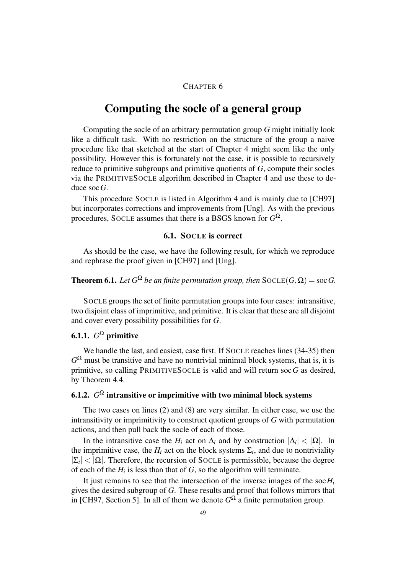#### CHAPTER 6

### Computing the socle of a general group

Computing the socle of an arbitrary permutation group *G* might initially look like a difficult task. With no restriction on the structure of the group a naive procedure like that sketched at the start of Chapter 4 might seem like the only possibility. However this is fortunately not the case, it is possible to recursively reduce to primitive subgroups and primitive quotients of *G*, compute their socles via the PRIMITIVESOCLE algorithm described in Chapter 4 and use these to deduce soc*G*.

This procedure SOCLE is listed in Algorithm 4 and is mainly due to [CH97] but incorporates corrections and improvements from [Ung]. As with the previous procedures, SOCLE assumes that there is a BSGS known for *G* Ω.

#### 6.1. SOCLE is correct

As should be the case, we have the following result, for which we reproduce and rephrase the proof given in [CH97] and [Ung].

### **Theorem 6.1.** Let  $G^{\Omega}$  be an finite permutation group, then  $\text{SOCLE}(G,\Omega) = \text{soc }G$ .

SOCLE groups the set of finite permutation groups into four cases: intransitive, two disjoint class of imprimitive, and primitive. It is clear that these are all disjoint and cover every possibility possibilities for *G*.

### 6.1.1.  $G^{\Omega}$  primitive

We handle the last, and easiest, case first. If SOCLE reaches lines (34-35) then  $G^{\Omega}$  must be transitive and have no nontrivial minimal block systems, that is, it is primitive, so calling PRIMITIVESOCLE is valid and will return soc*G* as desired, by Theorem 4.4.

### 6.1.2.  $G^{\Omega}$  intransitive or imprimitive with two minimal block systems

The two cases on lines (2) and (8) are very similar. In either case, we use the intransitivity or imprimitivity to construct quotient groups of *G* with permutation actions, and then pull back the socle of each of those.

In the intransitive case the  $H_i$  act on  $\Delta_i$  and by construction  $|\Delta_i| < |\Omega|$ . In the imprimitive case, the  $H_i$  act on the block systems  $\Sigma_i$ , and due to nontriviality  $|\Sigma_i| < |\Omega|$ . Therefore, the recursion of SOCLE is permissible, because the degree of each of the  $H_i$  is less than that of  $G$ , so the algorithm will terminate.

It just remains to see that the intersection of the inverse images of the soc $H_i$ gives the desired subgroup of *G*. These results and proof that follows mirrors that in [CH97, Section 5]. In all of them we denote  $G^{\Omega}$  a finite permutation group.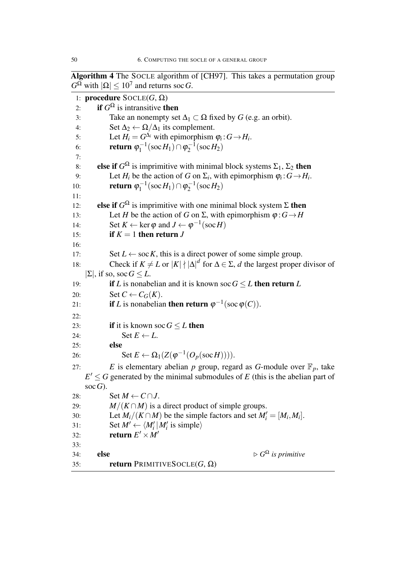Algorithm 4 The SOCLE algorithm of [CH97]. This takes a permutation group  $G^{\Omega}$  with  $|\Omega| \leq 10^7$  and returns soc *G*.

```
1: procedure SOCLE(G, Ω)
 2: if G^{\Omega} is intransitive then
 3: Take an nonempty set \Delta_1 \subset \Omega fixed by G (e.g. an orbit).
 4: Set \Delta_2 \leftarrow \Omega/\Delta_1 its complement.
 5: Let H_i = G^{\Delta_i} with epimorphism \varphi_i : G \to H_i.
 6: return \varphi_1^{-1}\phi_1^{-1}(socH<sub>1</sub>)∩ φ<sub>2</sub><sup>-1</sup>
                                          b_2^{-1}(\text{soc } H_2)7:
 8: else if G^{\Omega} is imprimitive with minimal block systems \Sigma_1, \Sigma_2 then
 9: Let H_i be the action of G on \Sigma_i, with epimorphism \varphi_i: G \rightarrow H_i.
10: return \varphi_1^{-1}\varphi_1^{-1}(socH<sub>1</sub>)∩ \varphi_2^{-1}b_2^{-1}(\text{soc } H_2)11:
12: else if G^{\Omega} is imprimitive with one minimal block system Σ then
13: Let H be the action of G on \Sigma, with epimorphism \varphi : G \rightarrow H14: Set K \leftarrow \ker \varphi and J \leftarrow \varphi^{-1}(\sec H)15: if K = 1 then return J
16:
17: Set L \leftarrow \text{soc } K, this is a direct power of some simple group.
18: Check if K \neq L or |K| \nmid |\Delta|^d for \Delta \in \Sigma, d the largest proper divisor of
    |Σ|, if so, socG ≤ L.
19: if L is nonabelian and it is known soc G \leq L then return L
20: Set C \leftarrow C_G(K).
21: if L is nonabelian then return \varphi^{-1}(\operatorname{soc} \varphi(C)).22:
23: if it is known soc G \leq L then
24: \text{Set } E \leftarrow L.
25: else
26: \operatorname{Set} E \leftarrow \Omega_1(Z(\varphi^{-1}(O_p(\operatorname{soc} H)))).
27: E is elementary abelian p group, regard as G-module over \mathbb{F}_p, take
     E' \leq G generated by the minimal submodules of E (this is the abelian part of
    socG).
28: Set M \leftarrow C \cap J.
29: M/(K \cap M) is a direct product of simple groups.
30: Let M_i/(K \cap M) be the simple factors and set M'_i = [M_i, M_i].
31: Set M' \leftarrow \langle M'_i | M'_i \text{ is simple} \rangle32: return E' \times M'33:
34: else \triangleright G\triangleright G<sup>\Omega</sup> is primitive
35: return PRIMITIVESOCLE(G, Ω)
```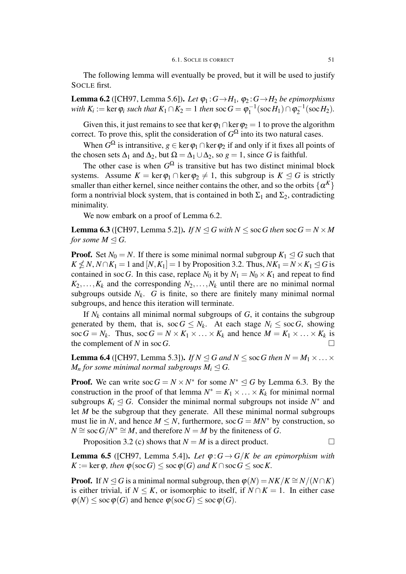The following lemma will eventually be proved, but it will be used to justify SOCLE first.

**Lemma 6.2** ([CH97, Lemma 5.6]). *Let*  $\varphi_1$ :  $G \rightarrow H_1$ ,  $\varphi_2$ :  $G \rightarrow H_2$  *be epimorphisms with K*<sub>i</sub> := ker  $\varphi_i$  *such that K*<sub>1</sub> ∩ *K*<sub>2</sub> = 1 *then* soc  $G = \varphi_1^{-1}$  $\varphi_1^{-1}(\sec H_1) \cap \varphi_2^{-1}$  $b_2^{-1}(\text{soc } H_2)$ .

Given this, it just remains to see that ker  $\varphi_1 \cap \ker \varphi_2 = 1$  to prove the algorithm correct. To prove this, split the consideration of  $G^{\Omega}$  into its two natural cases.

When  $G^{\Omega}$  is intransitive,  $g \in \text{ker } \varphi_1 \cap \text{ker } \varphi_2$  if and only if it fixes all points of the chosen sets  $\Delta_1$  and  $\Delta_2$ , but  $\Omega = \Delta_1 \cup \Delta_2$ , so  $g = 1$ , since *G* is faithful.

The other case is when  $G^{\Omega}$  is transitive but has two distinct minimal block systems. Assume  $K = \ker \varphi_1 \cap \ker \varphi_2 \neq 1$ , this subgroup is  $K \triangleleft G$  is strictly smaller than either kernel, since neither contains the other, and so the orbits  $\{\alpha^K\}$ form a nontrivial block system, that is contained in both  $\Sigma_1$  and  $\Sigma_2$ , contradicting minimality.

We now embark on a proof of Lemma 6.2.

**Lemma 6.3** ([CH97, Lemma 5.2]). *If*  $N \triangleleft G$  *with*  $N \leq$  soc *G then* soc  $G = N \times M$ *for some*  $M \triangleleft G$ .

**Proof.** Set  $N_0 = N$ . If there is some minimal normal subgroup  $K_1 \leq G$  such that  $K \nleq N$ ,  $N \cap K_1 = 1$  and  $[N, K_1] = 1$  by Proposition 3.2. Thus,  $NK_1 = N \times K_1 \leq G$  is contained in soc *G*. In this case, replace  $N_0$  it by  $N_1 = N_0 \times K_1$  and repeat to find  $K_2, \ldots, K_k$  and the corresponding  $N_2, \ldots, N_k$  until there are no minimal normal subgroups outside  $N_k$ .  $G$  is finite, so there are finitely many minimal normal subgroups, and hence this iteration will terminate.

If  $N_k$  contains all minimal normal subgroups of  $G$ , it contains the subgroup generated by them, that is, soc $G \leq N_k$ . At each stage  $N_i \leq \text{soc } G$ , showing soc  $G = N_k$ . Thus, soc  $G = N \times K_1 \times \ldots \times K_k$  and hence  $M = K_1 \times \ldots \times K_k$  is the complement of  $N$  in soc $G$ .

**Lemma 6.4** ([CH97, Lemma 5.3]). *If*  $N \le G$  *and*  $N \le$  soc *G then*  $N = M_1 \times \ldots \times$ *M*<sup>n</sup> *for some minimal normal subgroups*  $M_i \leq G$ .

**Proof.** We can write  $\operatorname{soc} G = N \times N^*$  for some  $N^* \leq G$  by Lemma 6.3. By the construction in the proof of that lemma  $N^* = K_1 \times \ldots \times K_k$  for minimal normal subgroups  $K_i \leq G$ . Consider the minimal normal subgroups not inside  $N^*$  and let *M* be the subgroup that they generate. All these minimal normal subgroups must lie in *N*, and hence  $M \leq N$ , furthermore, soc  $G = MN^*$  by construction, so  $N \cong$  soc  $G/N^* \cong M$ , and therefore  $N = M$  by the finiteness of *G*.

Proposition 3.2 (c) shows that  $N = M$  is a direct product.  $\Box$ 

**Lemma 6.5** ([CH97, Lemma 5.4]). Let  $\varphi$ :  $G \rightarrow G/K$  be an epimorphism with  $K := \text{ker } \varphi$ , then  $\varphi(\text{soc } G) \leq \text{soc } \varphi(G)$  and  $K \cap \text{soc } G \leq \text{soc } K$ .

**Proof.** If  $N \triangleleft G$  is a minimal normal subgroup, then  $\varphi(N) = NK/K \cong N/(N \cap K)$ is either trivial, if  $N \leq K$ , or isomorphic to itself, if  $N \cap K = 1$ . In either case  $\varphi(N) \leq \sec \varphi(G)$  and hence  $\varphi(\sec G) \leq \sec \varphi(G)$ .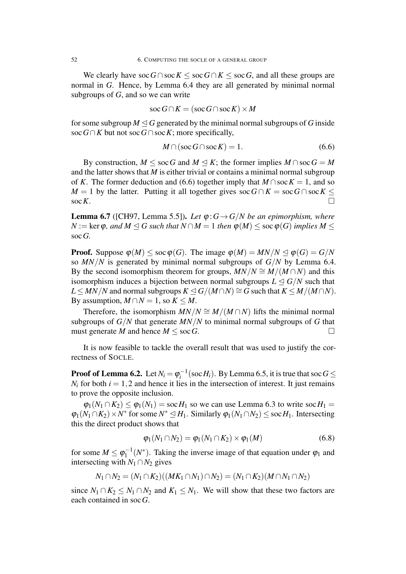We clearly have soc  $G \cap$  soc $K \leq$  soc  $G \cap K \leq$  soc  $G$ , and all these groups are normal in *G*. Hence, by Lemma 6.4 they are all generated by minimal normal subgroups of *G*, and so we can write

$$
\operatorname{soc} G \cap K = (\operatorname{soc} G \cap \operatorname{soc} K) \times M
$$

for some subgroup  $M \triangleleft G$  generated by the minimal normal subgroups of G inside soc*G∩K* but not soc*G∩*soc*K*; more specifically,

$$
M \cap (\operatorname{soc} G \cap \operatorname{soc} K) = 1. \tag{6.6}
$$

By construction,  $M \leq \text{soc } G$  and  $M \leq K$ ; the former implies  $M \cap \text{soc } G = M$ and the latter shows that *M* is either trivial or contains a minimal normal subgroup of *K*. The former deduction and (6.6) together imply that  $M \cap \text{soc } K = 1$ , and so *M* = 1 by the latter. Putting it all together gives soc  $G \cap K = \text{soc }G \cap \text{soc }K$ soc*K*.

**Lemma 6.7** ([CH97, Lemma 5.5]). *Let*  $\varphi$ :  $G \rightarrow G/N$  *be an epimorphism, where*  $N := \text{ker } \varphi$ , and  $M \leq G$  *such that*  $N \cap M = 1$  *then*  $\varphi(M) \leq \text{soc } \varphi(G)$  *implies*  $M \leq$ soc*G.*

**Proof.** Suppose  $\varphi(M) \leq \sec \varphi(G)$ . The image  $\varphi(M) = MN/N \leq \varphi(G) = G/N$ so  $MN/N$  is generated by minimal normal subgroups of  $G/N$  by Lemma 6.4. By the second isomorphism theorem for groups,  $MN/N \cong M/(M \cap N)$  and this isomorphism induces a bijection between normal subgroups  $L \leq G/N$  such that  $L \leq MN/N$  and normal subgroups  $K \leq G/(M \cap N) \cong G$  such that  $K \leq M/(M \cap N)$ . By assumption,  $M \cap N = 1$ , so  $K \leq M$ .

Therefore, the isomorphism  $MN/N \cong M/(M \cap N)$  lifts the minimal normal subgroups of  $G/N$  that generate  $MN/N$  to minimal normal subgroups of G that must generate *M* and hence  $M \leq \text{soc } G$ .

It is now feasible to tackle the overall result that was used to justify the correctness of SOCLE.

Proof of Lemma 6.2. Let  $N_i = \varphi_i^{-1}$  $\int_{i}^{-1}$ (soc*H<sub>i</sub>*). By Lemma 6.5, it is true that soc *G*  $\leq$  $N_i$  for both  $i = 1, 2$  and hence it lies in the intersection of interest. It just remains to prove the opposite inclusion.

 $\varphi_1(N_1 \cap K_2) \leq \varphi_1(N_1) = \text{soc } H_1$  so we can use Lemma 6.3 to write soc  $H_1 =$  $\varphi_1(N_1 \cap K_2) \times N^*$  for some  $N^* \leq H_1$ . Similarly  $\varphi_1(N_1 \cap N_2) \leq \text{soc } H_1$ . Intersecting this the direct product shows that

$$
\varphi_1(N_1 \cap N_2) = \varphi_1(N_1 \cap K_2) \times \varphi_1(M) \tag{6.8}
$$

for some  $M \leq \varphi_1^{-1}$  $\eta_1^{-1}(N^*)$ . Taking the inverse image of that equation under  $\varphi_1$  and intersecting with  $N_1 \cap N_2$  gives

$$
N_1 \cap N_2 = (N_1 \cap K_2)((MK_1 \cap N_1) \cap N_2) = (N_1 \cap K_2)(M \cap N_1 \cap N_2)
$$

since  $N_1 \cap K_2 \leq N_1 \cap N_2$  and  $K_1 \leq N_1$ . We will show that these two factors are each contained in soc*G*.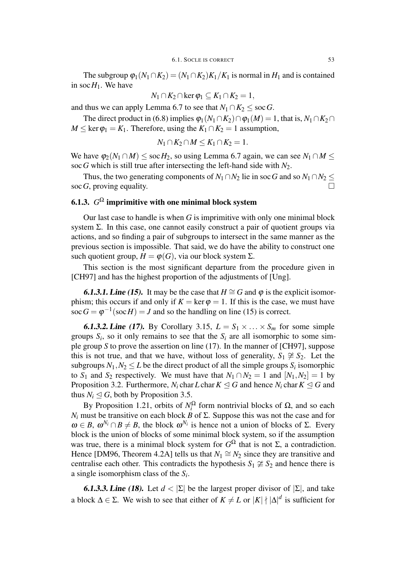The subgroup  $\varphi_1(N_1 \cap K_2) = (N_1 \cap K_2)K_1/K_1$  is normal in  $H_1$  and is contained in soc $H_1$ . We have

$$
N_1 \cap K_2 \cap \ker \varphi_1 \subseteq K_1 \cap K_2 = 1,
$$

and thus we can apply Lemma 6.7 to see that  $N_1 \cap K_2 \leq \text{soc } G$ .

The direct product in (6.8) implies  $\varphi_1(N_1 \cap K_2) \cap \varphi_1(M) = 1$ , that is,  $N_1 \cap K_2 \cap$  $M \leq \ker \varphi_1 = K_1$ . Therefore, using the  $K_1 \cap K_2 = 1$  assumption,

$$
N_1 \cap K_2 \cap M \leq K_1 \cap K_2 = 1.
$$

We have  $\varphi_2(N_1 \cap M) \leq \text{soc } H_2$ , so using Lemma 6.7 again, we can see  $N_1 \cap M \leq$ soc *G* which is still true after intersecting the left-hand side with  $N_2$ .

Thus, the two generating components of  $N_1 \cap N_2$  lie in soc *G* and so  $N_1 \cap N_2 \leq$ soc  $G$ , proving equality.

### 6.1.3.  $G^{\Omega}$  imprimitive with one minimal block system

Our last case to handle is when *G* is imprimitive with only one minimal block system  $\Sigma$ . In this case, one cannot easily construct a pair of quotient groups via actions, and so finding a pair of subgroups to intersect in the same manner as the previous section is impossible. That said, we do have the ability to construct one such quotient group,  $H = \varphi(G)$ , via our block system  $\Sigma$ .

This section is the most significant departure from the procedure given in [CH97] and has the highest proportion of the adjustments of [Ung].

**6.1.3.1. Line (15).** It may be the case that  $H \cong G$  and  $\varphi$  is the explicit isomorphism; this occurs if and only if  $K = \ker \varphi = 1$ . If this is the case, we must have soc  $G = \varphi^{-1}(\text{soc } H) = J$  and so the handling on line (15) is correct.

**6.1.3.2. Line (17).** By Corollary 3.15,  $L = S_1 \times \ldots \times S_m$  for some simple groups  $S_i$ , so it only remains to see that the  $S_i$  are all isomorphic to some simple group *S* to prove the assertion on line (17). In the manner of [CH97], suppose this is not true, and that we have, without loss of generality,  $S_1 \not\cong S_2$ . Let the subgroups  $N_1, N_2 \leq L$  be the direct product of all the simple groups  $S_i$  isomorphic to *S*<sub>1</sub> and *S*<sub>2</sub> respectively. We must have that  $N_1 \cap N_2 = 1$  and  $[N_1, N_2] = 1$  by Proposition 3.2. Furthermore, *N<sub>i</sub>* char *L* char  $K \triangleleft G$  and hence *N<sub>i</sub>* char  $K \triangleleft G$  and thus  $N_i \triangleleft G$ , both by Proposition 3.5.

By Proposition 1.21, orbits of  $N_i^{\Omega}$  $\frac{r\Omega}{i}$  form nontrivial blocks of  $\Omega$ , and so each *N<sub>i</sub>* must be transitive on each block *B* of Σ. Suppose this was not the case and for  $\omega \in B$ ,  $\omega^{N_i} \cap B \neq B$ , the block  $\omega^{N_i}$  is hence not a union of blocks of  $\Sigma$ . Every block is the union of blocks of some minimal block system, so if the assumption was true, there is a minimal block system for  $G^{\Omega}$  that is not  $\Sigma$ , a contradiction. Hence [DM96, Theorem 4.2A] tells us that  $N_1 \cong N_2$  since they are transitive and centralise each other. This contradicts the hypothesis  $S_1 \not\cong S_2$  and hence there is a single isomorphism class of the *S<sup>i</sup>* .

**6.1.3.3. Line (18).** Let  $d < |\Sigma|$  be the largest proper divisor of  $|\Sigma|$ , and take a block  $\Delta \in \Sigma$ . We wish to see that either of  $K \neq L$  or  $|K| \nmid |\Delta|^d$  is sufficient for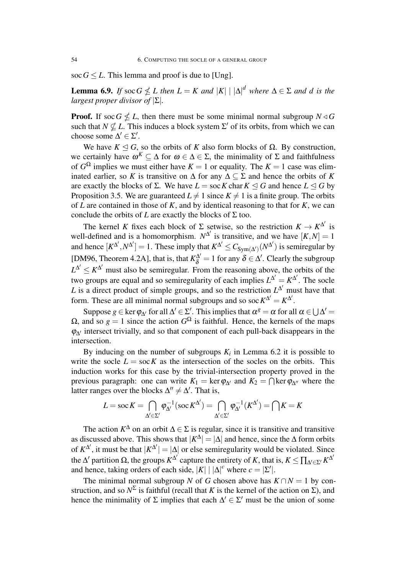soc  $G \leq L$ . This lemma and proof is due to [Ung].

**Lemma 6.9.** *If* soc  $G \nleq L$  *then*  $L = K$  *and*  $|K| |A|$ <sup>*d*</sup> *where*  $\Delta \in \Sigma$  *and d is the largest proper divisor of |*Σ*|.*

**Proof.** If soc  $G \nleq L$ , then there must be some minimal normal subgroup  $N \triangleleft G$ such that  $N \nsubseteq L$ . This induces a block system  $\Sigma'$  of its orbits, from which we can choose some  $\Delta' \in \Sigma'$ .

We have  $K \triangleleft G$ , so the orbits of *K* also form blocks of  $\Omega$ . By construction, we certainly have  $\omega^K \subseteq \Delta$  for  $\omega \in \Delta \in \Sigma$ , the minimality of  $\Sigma$  and faithfulness of  $G^{\Omega}$  implies we must either have  $K = 1$  or equality. The  $K = 1$  case was eliminated earlier, so *K* is transitive on  $\Delta$  for any  $\Delta \subset \Sigma$  and hence the orbits of *K* are exactly the blocks of Σ. We have  $L =$  soc K char  $K \le G$  and hence  $L \le G$  by Proposition 3.5. We are guaranteed  $L \neq 1$  since  $K \neq 1$  is a finite group. The orbits of *L* are contained in those of *K*, and by identical reasoning to that for *K*, we can conclude the orbits of *L* are exactly the blocks of  $\Sigma$  too.

The kernel *K* fixes each block of  $\Sigma$  setwise, so the restriction  $K \to K^{\Delta'}$  is well-defined and is a homomorphism.  $N^{\Delta'}$  is transitive, and we have  $[K, N] = 1$ and hence  $[K^{\Delta'}, N^{\Delta'}] = 1$ . These imply that  $K^{\Delta'} \leq C_{Sym(\Delta')}(N^{\Delta'})$  is semiregular by [DM96, Theorem 4.2A], that is, that  $K_{\delta}^{\Delta'} = 1$  for any  $\delta \in \Delta'$ . Clearly the subgroup  $L^{\Delta'} \leq K^{\Delta'}$  must also be semiregular. From the reasoning above, the orbits of the two groups are equal and so semiregularity of each implies  $L^{\Delta'} = K^{\Delta'}$ . The socle *L* is a direct product of simple groups, and so the restriction  $L^{\Delta'}$  must have that form. These are all minimal normal subgroups and so soc  $K^{\Delta'} = K^{\Delta'}$ .

Suppose  $g \in \text{ker } \varphi_{\Delta'}$  for all  $\Delta' \in \Sigma'$ . This implies that  $\alpha^g = \alpha$  for all  $\alpha \in \bigcup \Delta' =$  $Ω$ , and so  $g = 1$  since the action  $G^Ω$  is faithful. Hence, the kernels of the maps <sup>φ</sup>∆*′* intersect trivially, and so that component of each pull-back disappears in the intersection.

By inducing on the number of subgroups  $K_i$  in Lemma 6.2 it is possible to write the socle  $L = \text{soc } K$  as the intersection of the socles on the orbits. This induction works for this case by the trivial-intersection property proved in the previous paragraph: one can write  $K_1 = \ker \varphi_{\Delta'}$  and  $K_2 = \bigcap \ker \varphi_{\Delta''}$  where the latter ranges over the blocks  $\Delta'' \neq \Delta'$ . That is,

$$
L = \operatorname{soc} K = \bigcap_{\Delta' \in \Sigma'} \varphi_{\Delta'}^{-1}(\operatorname{soc} K^{\Delta'}) = \bigcap_{\Delta' \in \Sigma'} \varphi_{\Delta'}^{-1}(K^{\Delta'}) = \bigcap K = K
$$

The action  $K^{\Delta}$  on an orbit  $\Delta \in \Sigma$  is regular, since it is transitive and transitive as discussed above. This shows that  $|K^{\Delta}| = |\Delta|$  and hence, since the  $\Delta$  form orbits of  $K^{\Delta'}$ , it must be that  $|K^{\Delta'}| = |\Delta|$  or else semiregularity would be violated. Since the Δ' partition Ω, the groups  $K^{\Delta'}$  capture the entirety of K, that is,  $K \leq \prod_{\Delta' \in \Sigma'} K^{\Delta'}$ and hence, taking orders of each side,  $|K| | \Delta |^c$  where  $c = |\Sigma'|$ .

The minimal normal subgroup *N* of *G* chosen above has  $K \cap N = 1$  by construction, and so  $N^{\Sigma}$  is faithful (recall that *K* is the kernel of the action on  $\Sigma$ ), and hence the minimality of  $\Sigma$  implies that each  $\Delta' \in \Sigma'$  must be the union of some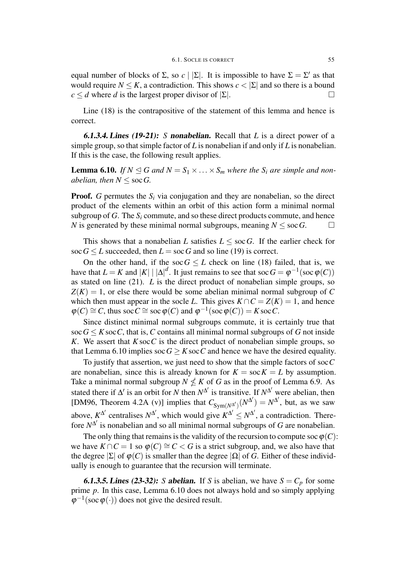equal number of blocks of  $\Sigma$ , so  $c \mid |\Sigma|$ . It is impossible to have  $\Sigma = \Sigma'$  as that would require  $N \leq K$ , a contradiction. This shows  $c < |\Sigma|$  and so there is a bound  $c \le d$  where *d* is the largest proper divisor of  $|\Sigma|$ .

Line (18) is the contrapositive of the statement of this lemma and hence is correct.

6.1.3.4. Lines (19-21): *S* nonabelian. Recall that *L* is a direct power of a simple group, so that simple factor of *L* is nonabelian if and only if *L* is nonabelian. If this is the case, the following result applies.

**Lemma 6.10.** *If*  $N \le G$  *and*  $N = S_1 \times \ldots \times S_m$  *where the*  $S_i$  *are simple and nonabelian, then*  $N \leq \text{soc } G$ .

**Proof.** *G* permutes the  $S_i$  via conjugation and they are nonabelian, so the direct product of the elements within an orbit of this action form a minimal normal subgroup of *G*. The *S<sup>i</sup>* commute, and so these direct products commute, and hence *N* is generated by these minimal normal subgroups, meaning  $N \leq \text{soc } G$ . □

This shows that a nonabelian *L* satisfies  $L \leq \text{soc } G$ . If the earlier check for soc  $G \leq L$  succeeded, then  $L = \text{soc } G$  and so line (19) is correct.

On the other hand, if the soc $G \leq L$  check on line (18) failed, that is, we have that  $L = K$  and  $|K| | \Delta |^{d}$ . It just remains to see that soc  $G = \varphi^{-1}(\text{soc } \varphi(C))$ as stated on line (21). *L* is the direct product of nonabelian simple groups, so  $Z(K) = 1$ , or else there would be some abelian minimal normal subgroup of C which then must appear in the socle *L*. This gives  $K \cap C = Z(K) = 1$ , and hence  $\varphi(C) \cong C$ , thus soc  $C \cong$  soc  $\varphi(C)$  and  $\varphi^{-1}(\sec \varphi(C)) = K \sec C$ .

Since distinct minimal normal subgroups commute, it is certainly true that soc  $G \leq K$  soc *C*, that is, *C* contains all minimal normal subgroups of *G* not inside *K*. We assert that *K*soc*C* is the direct product of nonabelian simple groups, so that Lemma 6.10 implies  $\sec G > K \sec C$  and hence we have the desired equality.

To justify that assertion, we just need to show that the simple factors of soc*C* are nonabelian, since this is already known for  $K = \text{soc } K = L$  by assumption. Take a minimal normal subgroup  $N \nleq K$  of *G* as in the proof of Lemma 6.9. As stated there if  $\Delta'$  is an orbit for *N* then  $N^{\Delta'}$  is transitive. If  $N^{\Delta'}$  were abelian, then [DM96, Theorem 4.2A (v)] implies that  $C_{Sym(N^{\Delta'})}(N^{\Delta'}) = N^{\Delta'}$ , but, as we saw above,  $K^{\Delta'}$  centralises  $N^{\Delta'}$ , which would give  $K^{\Delta'} \leq N^{\Delta'}$ , a contradiction. Therefore  $N^{\Delta'}$  is nonabelian and so all minimal normal subgroups of *G* are nonabelian.

The only thing that remains is the validity of the recursion to compute soc  $\varphi(C)$ : we have  $K \cap C = 1$  so  $\varphi(C) \cong C < G$  is a strict subgroup, and, we also have that the degree *|*Σ*|* of <sup>φ</sup>(*C*) is smaller than the degree *|*Ω*|* of *G*. Either of these individually is enough to guarantee that the recursion will terminate.

**6.1.3.5. Lines (23-32):** *S* abelian. If *S* is abelian, we have  $S = C_p$  for some prime *p*. In this case, Lemma 6.10 does not always hold and so simply applying  $\varphi^{-1}(\sec \varphi(\cdot))$  does not give the desired result.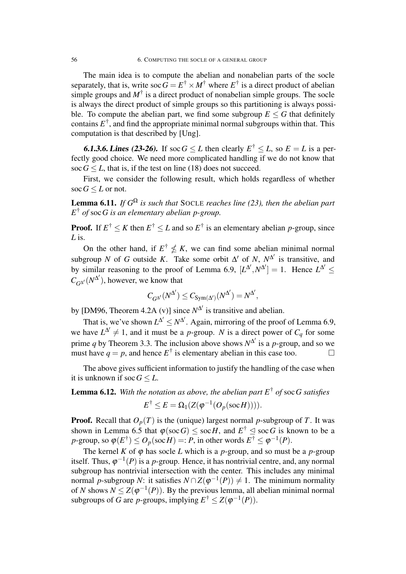The main idea is to compute the abelian and nonabelian parts of the socle separately, that is, write soc  $G = E^{\dagger} \times M^{\dagger}$  where  $E^{\dagger}$  is a direct product of abelian simple groups and  $M^{\dagger}$  is a direct product of nonabelian simple groups. The socle is always the direct product of simple groups so this partitioning is always possible. To compute the abelian part, we find some subgroup  $E \leq G$  that definitely contains  $E^{\dagger}$ , and find the appropriate minimal normal subgroups within that. This computation is that described by [Ung].

**6.1.3.6. Lines (23-26).** If soc  $G \leq L$  then clearly  $E^{\dagger} \leq L$ , so  $E = L$  is a perfectly good choice. We need more complicated handling if we do not know that soc  $G \leq L$ , that is, if the test on line (18) does not succeed.

First, we consider the following result, which holds regardless of whether soc  $G \leq L$  or not.

**Lemma 6.11.** *If*  $G^{\Omega}$  *is such that* SOCLE *reaches line* (23), *then the abelian part E* † *of* soc*G is an elementary abelian p-group.*

**Proof.** If  $E^{\dagger} \leq K$  then  $E^{\dagger} \leq L$  and so  $E^{\dagger}$  is an elementary abelian *p*-group, since *L* is.

On the other hand, if  $E^{\dagger} \nleq K$ , we can find some abelian minimal normal subgroup *N* of *G* outside *K*. Take some orbit  $\Delta'$  of *N*,  $N^{\Delta'}$  is transitive, and by similar reasoning to the proof of Lemma 6.9,  $[L^{\Delta'}, N^{\Delta'}] = 1$ . Hence  $L^{\Delta'} \leq$  $C_{G^{\Delta'}}(N^{\Delta'})$ , however, we know that

$$
C_{G^{\Delta'}}(N^{\Delta'}) \leq C_{\mathrm{Sym}(\Delta')}(N^{\Delta'}) = N^{\Delta'},
$$

by [DM96, Theorem 4.2A (v)] since  $N^{\Delta'}$  is transitive and abelian.

That is, we've shown  $L^{\Delta'} \le N^{\Delta'}$ . Again, mirroring of the proof of Lemma 6.9, we have  $L^{\Delta'} \neq 1$ , and it must be a *p*-group. *N* is a direct power of  $C_q$  for some prime *q* by Theorem 3.3. The inclusion above shows  $N^{\Delta'}$  is a *p*-group, and so we must have  $q = p$ , and hence  $E^{\dagger}$  is elementary abelian in this case too.

The above gives sufficient information to justify the handling of the case when it is unknown if  $\operatorname{soc} G \leq L$ .

Lemma 6.12. *With the notation as above, the abelian part E* † *of* soc*G satisfies*

$$
E^{\dagger} \leq E = \Omega_1(Z(\varphi^{-1}(O_p(\operatorname{soc} H))))
$$

**Proof.** Recall that  $O_p(T)$  is the (unique) largest normal *p*-subgroup of *T*. It was shown in Lemma 6.5 that  $\varphi(\operatorname{soc} G) \leq \operatorname{soc} H$ , and  $E^{\dagger} \leq \operatorname{soc} G$  is known to be a *p*-group, so  $\varphi(E^{\dagger}) \leq O_p(\text{soc }H) =: P$ , in other words  $E^{\dagger} \leq \varphi^{-1}(P)$ .

The kernel *K* of  $\varphi$  has socle *L* which is a *p*-group, and so must be a *p*-group itself. Thus,  $\varphi^{-1}(P)$  is a *p*-group. Hence, it has nontrivial centre, and, any normal subgroup has nontrivial intersection with the center. This includes any minimal normal *p*-subgroup *N*: it satisfies  $N \cap Z(\varphi^{-1}(P)) \neq 1$ . The minimum normality of *N* shows  $N \leq Z(\varphi^{-1}(P))$ . By the previous lemma, all abelian minimal normal subgroups of *G* are *p*-groups, implying  $E^{\dagger} \le Z(\varphi^{-1}(P)).$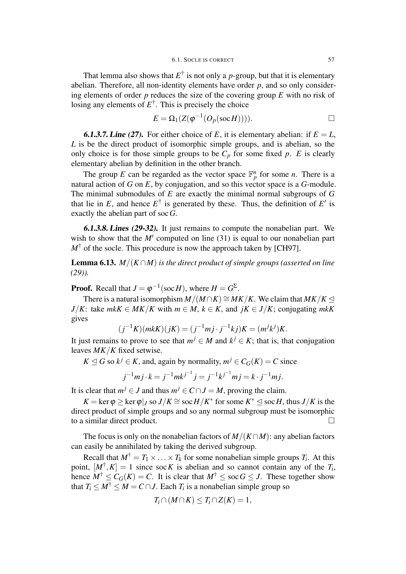That lemma also shows that  $E^{\dagger}$  is not only a *p*-group, but that it is elementary abelian. Therefore, all non-identity elements have order *p*, and so only considering elements of order *p* reduces the size of the covering group *E* with no risk of losing any elements of  $E^{\dagger}$ . This is precisely the choice

$$
E = \Omega_1(Z(\varphi^{-1}(O_p(\text{soc }H))))
$$

**6.1.3.7. Line (27).** For either choice of E, it is elementary abelian: if  $E = L$ , *L* is be the direct product of isomorphic simple groups, and is abelian, so the only choice is for those simple groups to be  $C_p$  for some fixed p. E is clearly elementary abelian by definition in the other branch.

The group *E* can be regarded as the vector space  $\mathbb{F}_p^n$  for some *n*. There is a natural action of *G* on *E*, by conjugation, and so this vector space is a *G*-module. The minimal submodules of *E* are exactly the minimal normal subgroups of *G* that lie in E, and hence  $E^{\dagger}$  is generated by these. Thus, the definition of  $E'$  is exactly the abelian part of soc*G*.

6.1.3.8. Lines (29-32). It just remains to compute the nonabelian part. We wish to show that the *M'* computed on line (31) is equal to our nonabelian part  $M^{\dagger}$  of the socle. This procedure is now the approach taken by [CH97].

**Lemma 6.13.** *M*/ $(K \cap M)$  *is the direct product of simple groups (asserted on line (29)).*

**Proof.** Recall that  $J = \varphi^{-1}(\text{soc } H)$ , where  $H = G^{\Sigma}$ .

There is a natural isomorphism  $M/(M \cap K) \cong MK/K$ . We claim that  $MK/K \trianglelefteq$ *J*/*K*: take *mkK*  $\in$  *MK*/*K* with  $m \in M$ ,  $k \in K$ , and  $jK \in J/K$ ; conjugating *mkK* gives

$$
(j^{-1}K)(mkK)(jK) = (j^{-1}mj \cdot j^{-1}kj)K = (m^{j}k^{j})K.
$$

It just remains to prove to see that  $m^j \in M$  and  $k^j \in K$ ; that is, that conjugation leaves *MK/K* fixed setwise.

 $K \trianglelefteq G$  so  $k^j \in K$ , and, again by normality,  $m^j \in C_G(K) = C$  since

$$
j^{-1}mj \cdot k = j^{-1}mk^{j^{-1}}j = j^{-1}k^{j^{-1}}mj = k \cdot j^{-1}mj.
$$

It is clear that  $m^{j} \in J$  and thus  $m^{j} \in C \cap J = M$ , proving the claim.

 $K = \ker \varphi \ge \ker \varphi|_J$  so  $J/K \cong \sec H/K^*$  for some  $K^* \le \sec H$ , thus  $J/K$  is the direct product of simple groups and so any normal subgroup must be isomorphic to a similar direct product.

The focus is only on the nonabelian factors of *M/*(*K∩M*): any abelian factors can easily be annihilated by taking the derived subgroup.

Recall that  $M^{\dagger} = T_1 \times \ldots \times T_k$  for some nonabelian simple groups  $T_i$ . At this point,  $[M^{\dagger}, K] = 1$  since soc K is abelian and so cannot contain any of the  $T_i$ , hence  $M^{\dagger} \leq C_G(K) = C$ . It is clear that  $M^{\dagger} \leq \sec G \leq J$ . These together show that  $T_i \leq M^{\dagger} \leq M = C \cap J$ . Each  $T_i$  is a nonabelian simple group so

$$
T_i \cap (M \cap K) \leq T_i \cap Z(K) = 1,
$$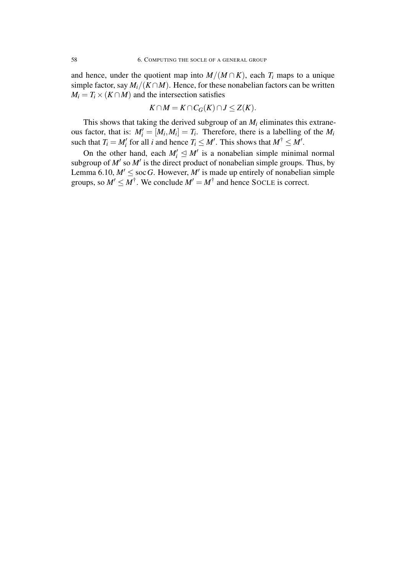and hence, under the quotient map into  $M/(M \cap K)$ , each  $T_i$  maps to a unique simple factor, say  $M_i/(K \cap M)$ . Hence, for these nonabelian factors can be written  $M_i = T_i \times (K \cap M)$  and the intersection satisfies

$$
K \cap M = K \cap C_G(K) \cap J \leq Z(K).
$$

This shows that taking the derived subgroup of an  $M_i$  eliminates this extraneous factor, that is:  $M'_i = [M_i, M_i] = T_i$ . Therefore, there is a labelling of the  $M_i$ such that  $T_i = M'_i$  for all *i* and hence  $T_i \leq M'$ . This shows that  $M^{\dagger} \leq M'$ .

On the other hand, each  $M'_i \leq M'$  is a nonabelian simple minimal normal subgroup of  $M'$  so  $M'$  is the direct product of nonabelian simple groups. Thus, by Lemma 6.10,  $M' \leq$  soc G. However, M' is made up entirely of nonabelian simple groups, so  $M' \leq M^{\dagger}$ . We conclude  $M' = M^{\dagger}$  and hence SOCLE is correct.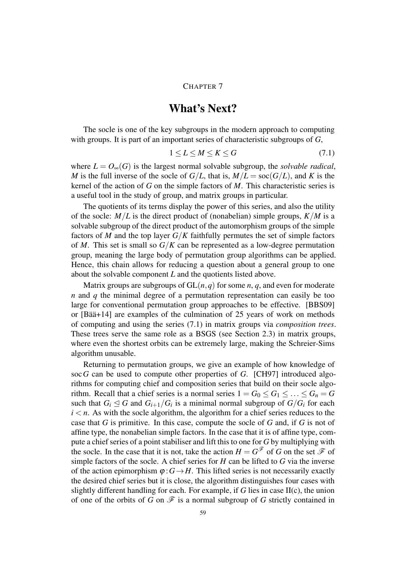#### CHAPTER 7

### What's Next?

The socle is one of the key subgroups in the modern approach to computing with groups. It is part of an important series of characteristic subgroups of *G*,

$$
1 \le L \le M \le K \le G \tag{7.1}
$$

where  $L = O_\infty(G)$  is the largest normal solvable subgroup, the *solvable radical*, *M* is the full inverse of the socle of  $G/L$ , that is,  $M/L = \text{soc}(G/L)$ , and K is the kernel of the action of *G* on the simple factors of *M*. This characteristic series is a useful tool in the study of group, and matrix groups in particular.

The quotients of its terms display the power of this series, and also the utility of the socle:  $M/L$  is the direct product of (nonabelian) simple groups,  $K/M$  is a solvable subgroup of the direct product of the automorphism groups of the simple factors of *M* and the top layer  $G/K$  faithfully permutes the set of simple factors of *M*. This set is small so *G/K* can be represented as a low-degree permutation group, meaning the large body of permutation group algorithms can be applied. Hence, this chain allows for reducing a question about a general group to one about the solvable component *L* and the quotients listed above.

Matrix groups are subgroups of  $GL(n,q)$  for some *n*, *q*, and even for moderate *n* and *q* the minimal degree of a permutation representation can easily be too large for conventional permutation group approaches to be effective. [BBS09] or [Bää+14] are examples of the culmination of 25 years of work on methods of computing and using the series (7.1) in matrix groups via *composition trees*. These trees serve the same role as a BSGS (see Section 2.3) in matrix groups, where even the shortest orbits can be extremely large, making the Schreier-Sims algorithm unusable.

Returning to permutation groups, we give an example of how knowledge of soc*G* can be used to compute other properties of *G*. [CH97] introduced algorithms for computing chief and composition series that build on their socle algorithm. Recall that a chief series is a normal series  $1 = G_0 \le G_1 \le \ldots \le G_n = G$ such that  $G_i \leq G$  and  $G_{i+1}/G_i$  is a minimal normal subgroup of  $G/G_i$  for each  $i < n$ . As with the socle algorithm, the algorithm for a chief series reduces to the case that *G* is primitive. In this case, compute the socle of *G* and, if *G* is not of affine type, the nonabelian simple factors. In the case that it is of affine type, compute a chief series of a point stabiliser and lift this to one for *G* by multiplying with the socle. In the case that it is not, take the action  $H = G^{\mathscr{F}}$  of *G* on the set  $\mathscr{F}$  of simple factors of the socle. A chief series for *H* can be lifted to *G* via the inverse of the action epimorphism  $\varphi$  :  $G \rightarrow H$ . This lifted series is not necessarily exactly the desired chief series but it is close, the algorithm distinguishes four cases with slightly different handling for each. For example, if *G* lies in case II(c), the union of one of the orbits of *G* on  $\mathscr F$  is a normal subgroup of *G* strictly contained in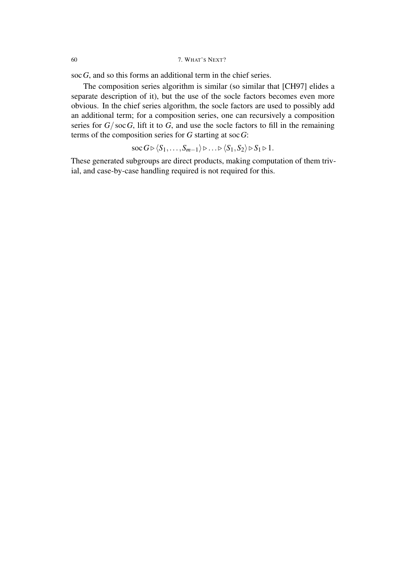soc*G*, and so this forms an additional term in the chief series.

The composition series algorithm is similar (so similar that [CH97] elides a separate description of it), but the use of the socle factors becomes even more obvious. In the chief series algorithm, the socle factors are used to possibly add an additional term; for a composition series, one can recursively a composition series for  $G/\operatorname{soc} G$ , lift it to  $G$ , and use the socle factors to fill in the remaining terms of the composition series for *G* starting at soc*G*:

$$
\operatorname{soc} G \triangleright \langle S_1, \ldots, S_{m-1} \rangle \triangleright \ldots \triangleright \langle S_1, S_2 \rangle \triangleright S_1 \triangleright 1.
$$

These generated subgroups are direct products, making computation of them trivial, and case-by-case handling required is not required for this.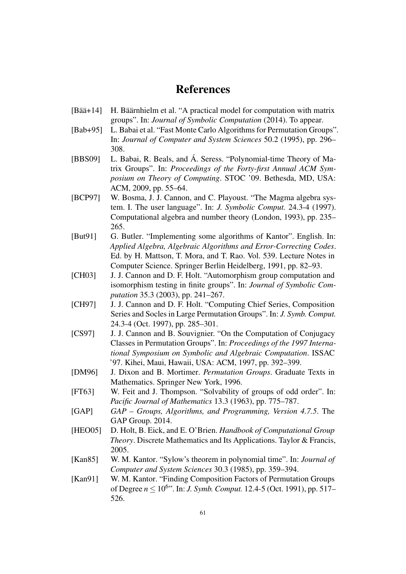### References

- [Bää+14] H. Bäärnhielm et al. "A practical model for computation with matrix groups". In: *Journal of Symbolic Computation* (2014). To appear.
- [Bab+95] L. Babai et al. "Fast Monte Carlo Algorithms for Permutation Groups". In: *Journal of Computer and System Sciences* 50.2 (1995), pp. 296– 308.
- [BBS09] L. Babai, R. Beals, and Á. Seress. "Polynomial-time Theory of Matrix Groups". In: *Proceedings of the Forty-first Annual ACM Symposium on Theory of Computing*. STOC '09. Bethesda, MD, USA: ACM, 2009, pp. 55–64.
- [BCP97] W. Bosma, J. J. Cannon, and C. Playoust. "The Magma algebra system. I. The user language". In: *J. Symbolic Comput.* 24.3-4 (1997). Computational algebra and number theory (London, 1993), pp. 235– 265.
- [But91] G. Butler. "Implementing some algorithms of Kantor". English. In: *Applied Algebra, Algebraic Algorithms and Error-Correcting Codes*. Ed. by H. Mattson, T. Mora, and T. Rao. Vol. 539. Lecture Notes in Computer Science. Springer Berlin Heidelberg, 1991, pp. 82–93.
- [CH03] J. J. Cannon and D. F. Holt. "Automorphism group computation and isomorphism testing in finite groups". In: *Journal of Symbolic Computation* 35.3 (2003), pp. 241–267.
- [CH97] J. J. Cannon and D. F. Holt. "Computing Chief Series, Composition Series and Socles in Large Permutation Groups". In: *J. Symb. Comput.* 24.3-4 (Oct. 1997), pp. 285–301.
- [CS97] J. J. Cannon and B. Souvignier. "On the Computation of Conjugacy Classes in Permutation Groups". In: *Proceedings of the 1997 International Symposium on Symbolic and Algebraic Computation*. ISSAC '97. Kihei, Maui, Hawaii, USA: ACM, 1997, pp. 392–399.
- [DM96] J. Dixon and B. Mortimer. *Permutation Groups*. Graduate Texts in Mathematics. Springer New York, 1996.
- [FT63] W. Feit and J. Thompson. "Solvability of groups of odd order". In: *Pacific Journal of Mathematics* 13.3 (1963), pp. 775–787.
- [GAP] *GAP Groups, Algorithms, and Programming, Version 4.7.5*. The GAP Group. 2014.
- [HEO05] D. Holt, B. Eick, and E. O'Brien. *Handbook of Computational Group Theory*. Discrete Mathematics and Its Applications. Taylor & Francis, 2005.
- [Kan85] W. M. Kantor. "Sylow's theorem in polynomial time". In: *Journal of Computer and System Sciences* 30.3 (1985), pp. 359–394.
- [Kan91] W. M. Kantor. "Finding Composition Factors of Permutation Groups of Degree *n ≤* 10<sup>6</sup> ". In: *J. Symb. Comput.* 12.4-5 (Oct. 1991), pp. 517– 526.